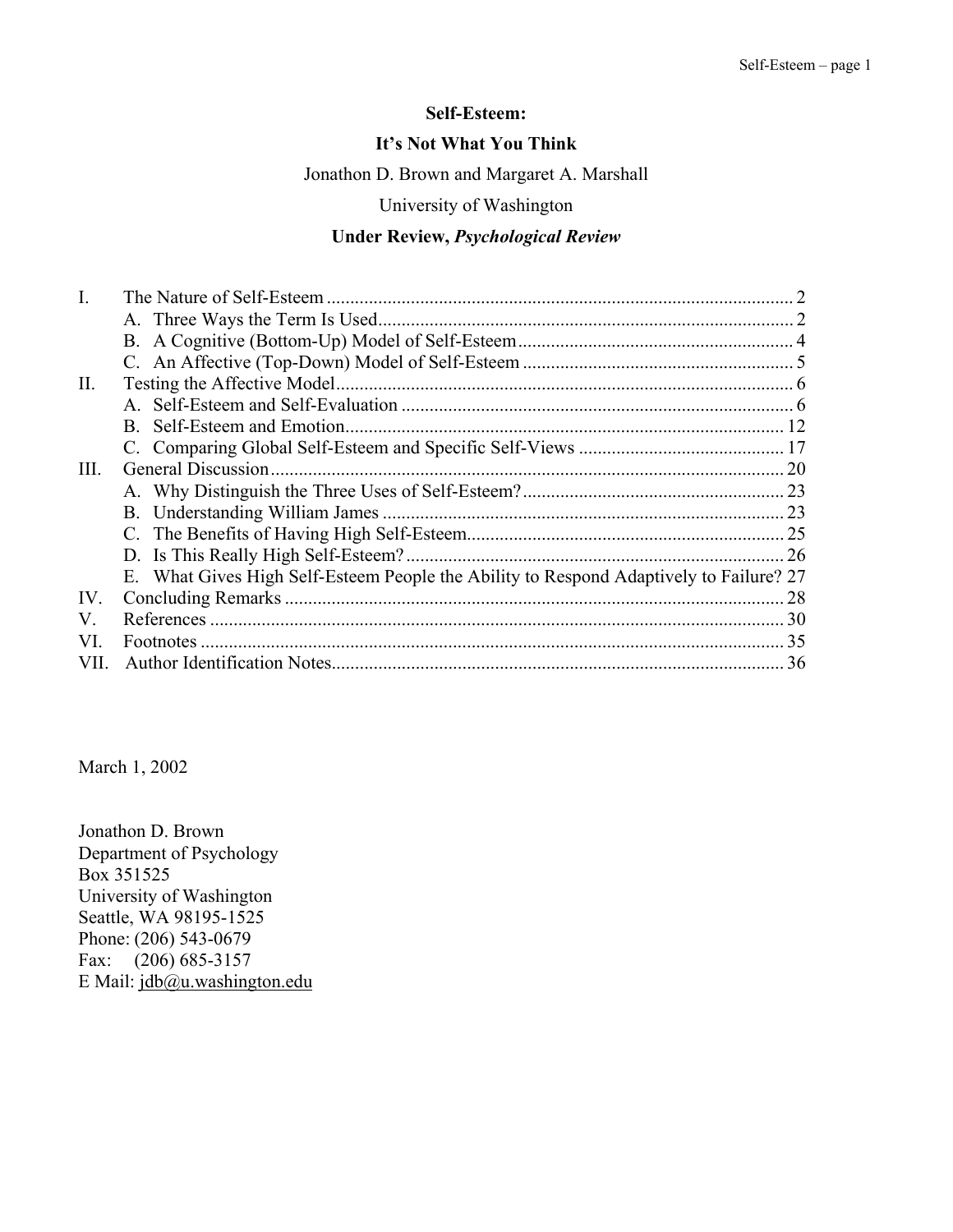### **Self-Esteem:**

### **It's Not What You Think**

### Jonathon D. Brown and Margaret A. Marshall

University of Washington

## **Under Review,** *Psychological Review*

| 26                                                                                     |
|----------------------------------------------------------------------------------------|
|                                                                                        |
| 28                                                                                     |
|                                                                                        |
|                                                                                        |
| 36                                                                                     |
| E. What Gives High Self-Esteem People the Ability to Respond Adaptively to Failure? 27 |

March 1, 2002

Jonathon D. Brown Department of Psychology Box 351525 University of Washington Seattle, WA 98195-1525 Phone: (206) 543-0679 Fax: (206) 685-3157 E Mail: [jdb@u.washington.edu](mailto:jdb@u.washington.edu)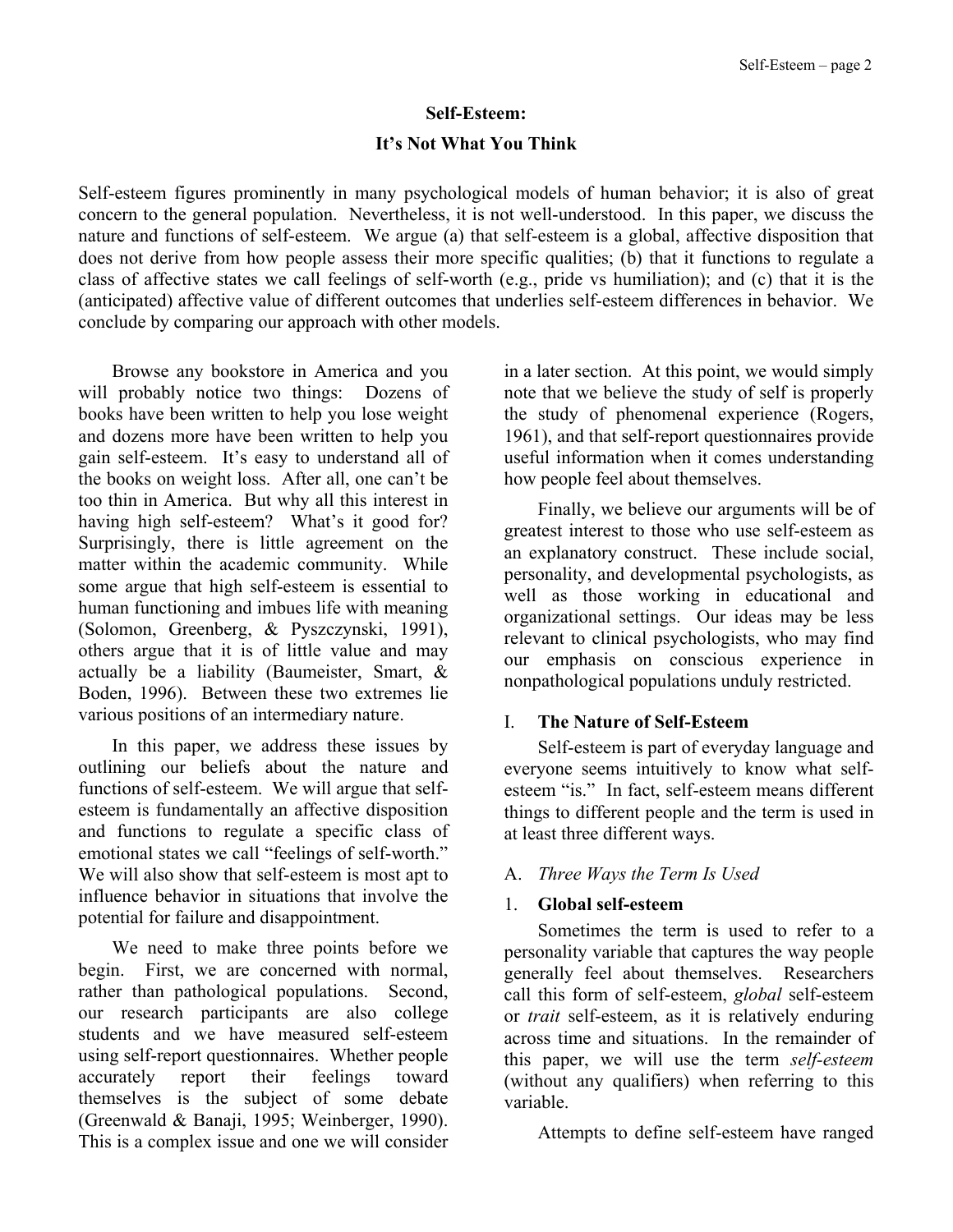#### **Self-Esteem:**

#### **It's Not What You Think**

<span id="page-1-0"></span>Self-esteem figures prominently in many psychological models of human behavior; it is also of great concern to the general population. Nevertheless, it is not well-understood. In this paper, we discuss the nature and functions of self-esteem. We argue (a) that self-esteem is a global, affective disposition that does not derive from how people assess their more specific qualities; (b) that it functions to regulate a class of affective states we call feelings of self-worth (e.g., pride vs humiliation); and (c) that it is the (anticipated) affective value of different outcomes that underlies self-esteem differences in behavior. We conclude by comparing our approach with other models.

Browse any bookstore in America and you will probably notice two things: Dozens of books have been written to help you lose weight and dozens more have been written to help you gain self-esteem. It's easy to understand all of the books on weight loss. After all, one can't be too thin in America. But why all this interest in having high self-esteem? What's it good for? Surprisingly, there is little agreement on the matter within the academic community. While some argue that high self-esteem is essential to human functioning and imbues life with meaning (Solomon, Greenberg, & Pyszczynski, 1991), others argue that it is of little value and may actually be a liability (Baumeister, Smart, & Boden, 1996). Between these two extremes lie various positions of an intermediary nature.

In this paper, we address these issues by outlining our beliefs about the nature and functions of self-esteem. We will argue that selfesteem is fundamentally an affective disposition and functions to regulate a specific class of emotional states we call "feelings of self-worth." We will also show that self-esteem is most apt to influence behavior in situations that involve the potential for failure and disappointment.

We need to make three points before we begin. First, we are concerned with normal, rather than pathological populations. Second, our research participants are also college students and we have measured self-esteem using self-report questionnaires. Whether people accurately report their feelings toward themselves is the subject of some debate (Greenwald & Banaji, 1995; Weinberger, 1990). This is a complex issue and one we will consider

in a later section. At this point, we would simply note that we believe the study of self is properly the study of phenomenal experience (Rogers, 1961), and that self-report questionnaires provide useful information when it comes understanding how people feel about themselves.

Finally, we believe our arguments will be of greatest interest to those who use self-esteem as an explanatory construct. These include social, personality, and developmental psychologists, as well as those working in educational and organizational settings. Our ideas may be less relevant to clinical psychologists, who may find our emphasis on conscious experience in nonpathological populations unduly restricted.

### I. **The Nature of Self-Esteem**

Self-esteem is part of everyday language and everyone seems intuitively to know what selfesteem "is." In fact, self-esteem means different things to different people and the term is used in at least three different ways.

### A. *Three Ways the Term Is Used*

### 1. **Global self-esteem**

Sometimes the term is used to refer to a personality variable that captures the way people generally feel about themselves. Researchers call this form of self-esteem, *global* self-esteem or *trait* self-esteem, as it is relatively enduring across time and situations. In the remainder of this paper, we will use the term *self-esteem* (without any qualifiers) when referring to this variable.

Attempts to define self-esteem have ranged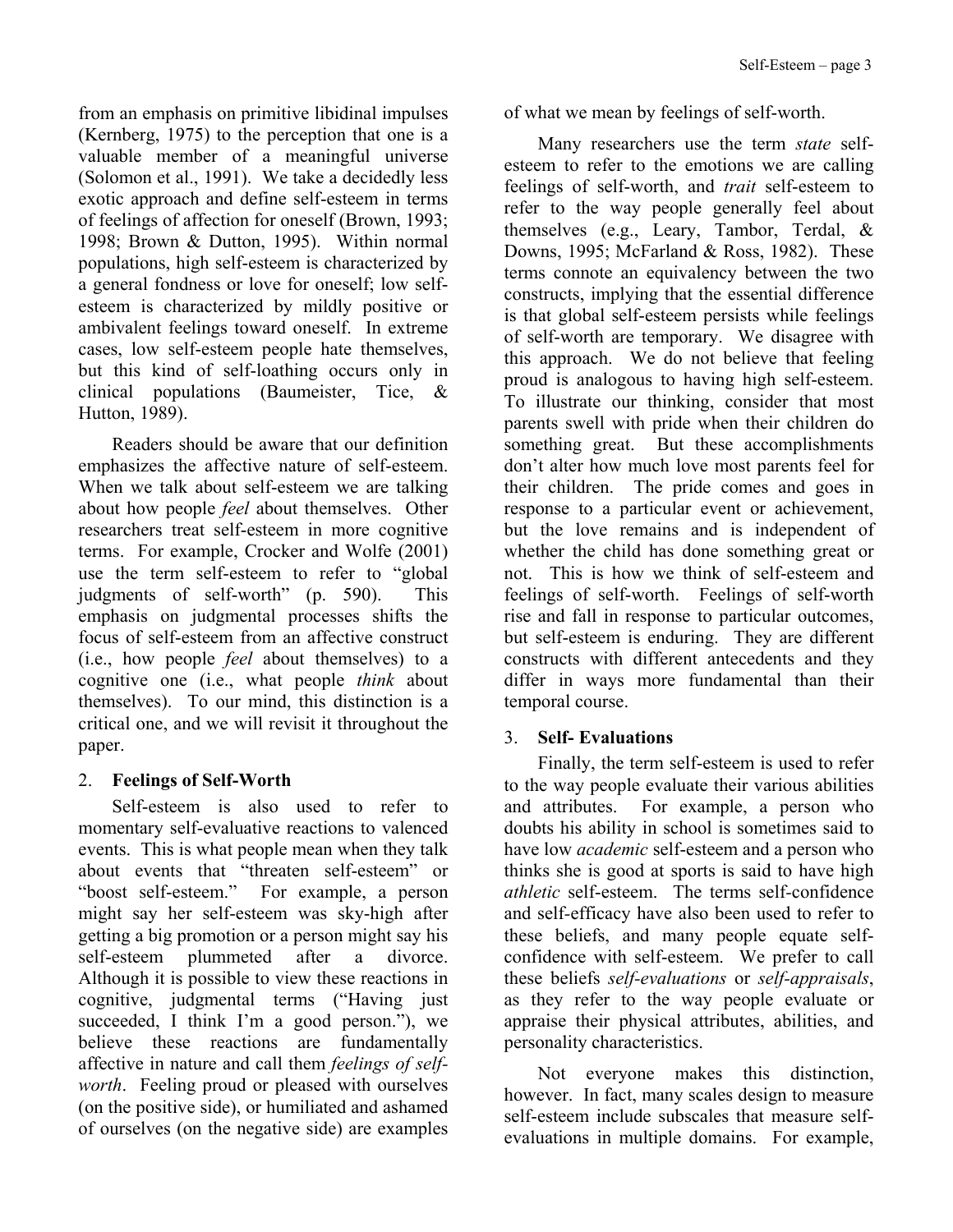from an emphasis on primitive libidinal impulses (Kernberg, 1975) to the perception that one is a valuable member of a meaningful universe (Solomon et al., 1991). We take a decidedly less exotic approach and define self-esteem in terms of feelings of affection for oneself (Brown, 1993; 1998; Brown & Dutton, 1995). Within normal populations, high self-esteem is characterized by a general fondness or love for oneself; low selfesteem is characterized by mildly positive or ambivalent feelings toward oneself. In extreme cases, low self-esteem people hate themselves, but this kind of self-loathing occurs only in clinical populations (Baumeister, Tice, & Hutton, 1989).

Readers should be aware that our definition emphasizes the affective nature of self-esteem. When we talk about self-esteem we are talking about how people *feel* about themselves. Other researchers treat self-esteem in more cognitive terms. For example, Crocker and Wolfe (2001) use the term self-esteem to refer to "global judgments of self-worth" (p. 590). This emphasis on judgmental processes shifts the focus of self-esteem from an affective construct (i.e., how people *feel* about themselves) to a cognitive one (i.e., what people *think* about themselves). To our mind, this distinction is a critical one, and we will revisit it throughout the paper.

### 2. **Feelings of Self-Worth**

Self-esteem is also used to refer to momentary self-evaluative reactions to valenced events. This is what people mean when they talk about events that "threaten self-esteem" or "boost self-esteem." For example, a person might say her self-esteem was sky-high after getting a big promotion or a person might say his self-esteem plummeted after a divorce. Although it is possible to view these reactions in cognitive, judgmental terms ("Having just succeeded, I think I'm a good person."), we believe these reactions are fundamentally affective in nature and call them *feelings of selfworth*. Feeling proud or pleased with ourselves (on the positive side), or humiliated and ashamed of ourselves (on the negative side) are examples

of what we mean by feelings of self-worth.

Many researchers use the term *state* selfesteem to refer to the emotions we are calling feelings of self-worth, and *trait* self-esteem to refer to the way people generally feel about themselves (e.g., Leary, Tambor, Terdal, & Downs, 1995; McFarland & Ross, 1982). These terms connote an equivalency between the two constructs, implying that the essential difference is that global self-esteem persists while feelings of self-worth are temporary. We disagree with this approach. We do not believe that feeling proud is analogous to having high self-esteem. To illustrate our thinking, consider that most parents swell with pride when their children do something great. But these accomplishments don't alter how much love most parents feel for their children. The pride comes and goes in response to a particular event or achievement, but the love remains and is independent of whether the child has done something great or not. This is how we think of self-esteem and feelings of self-worth. Feelings of self-worth rise and fall in response to particular outcomes, but self-esteem is enduring. They are different constructs with different antecedents and they differ in ways more fundamental than their temporal course.

# 3. **Self- Evaluations**

Finally, the term self-esteem is used to refer to the way people evaluate their various abilities and attributes. For example, a person who doubts his ability in school is sometimes said to have low *academic* self-esteem and a person who thinks she is good at sports is said to have high *athletic* self-esteem. The terms self*-*confidence and self*-*efficacy have also been used to refer to these beliefs, and many people equate selfconfidence with self-esteem. We prefer to call these beliefs *self-evaluations* or *self-appraisals*, as they refer to the way people evaluate or appraise their physical attributes, abilities, and personality characteristics.

Not everyone makes this distinction, however. In fact, many scales design to measure self-esteem include subscales that measure selfevaluations in multiple domains. For example,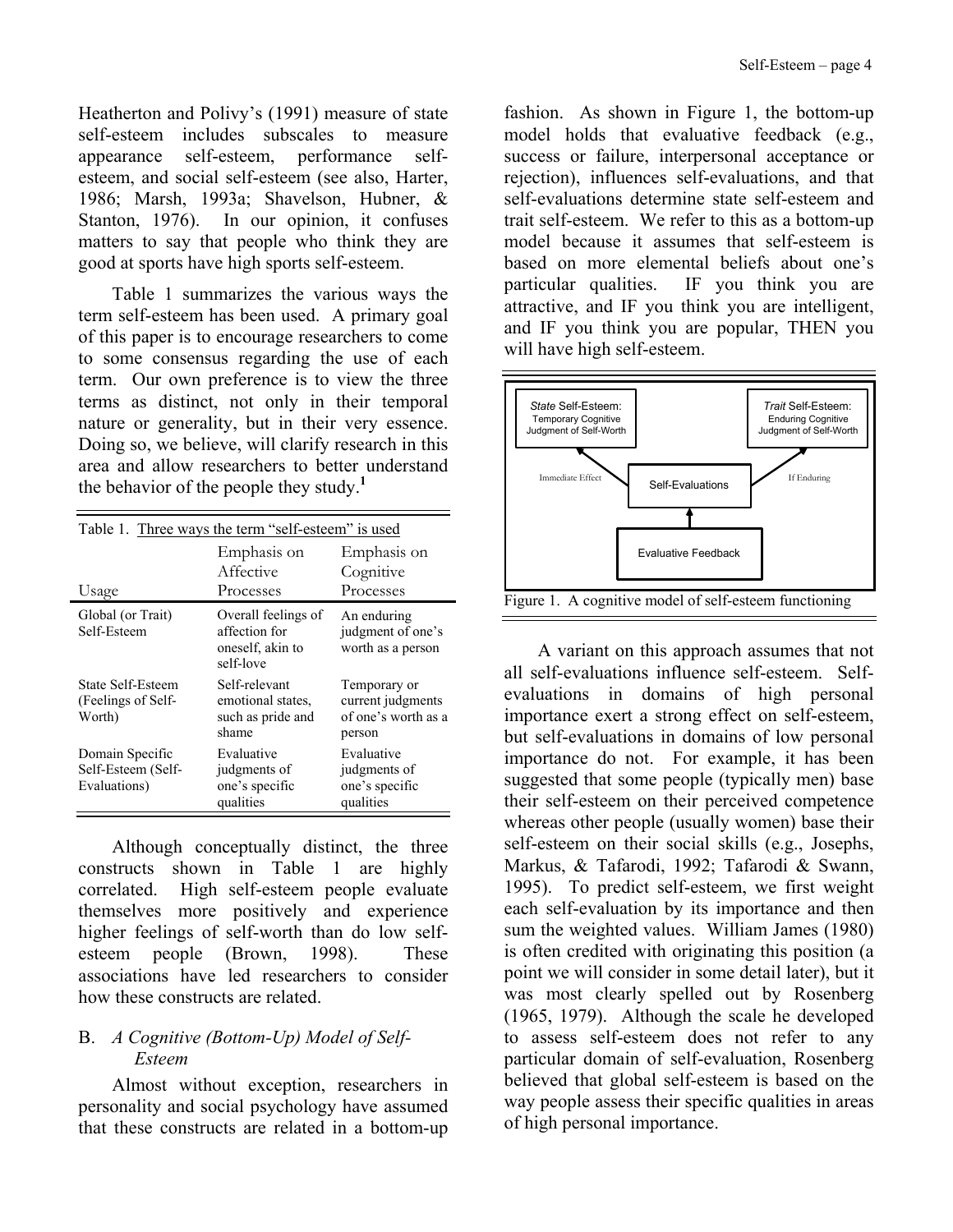<span id="page-3-0"></span>Heatherton and Polivy's (1991) measure of state self-esteem includes subscales to measure appearance self-esteem, performance selfesteem, and social self-esteem (see also, Harter, 1986; Marsh, 1993a; Shavelson, Hubner, & Stanton, 1976). In our opinion, it confuses matters to say that people who think they are good at sports have high sports self-esteem.

[Table 1](#page-3-1) summarizes the various ways the term self-esteem has been used. A primary goal of this paper is to encourage researchers to come to some consensus regarding the use of each term. Our own preference is to view the three terms as distinct, not only in their temporal nature or generality, but in their very essence. Doing so, we believe, will clarify research in this area and allow researchers to better understand the behavior of the people they study.**[1](#page-34-1)**

<span id="page-3-1"></span>

| Table 1. Three ways the term "self-esteem" is used    |                                                                       |                                                                    |  |  |  |
|-------------------------------------------------------|-----------------------------------------------------------------------|--------------------------------------------------------------------|--|--|--|
| Usage                                                 | Emphasis on<br>Affective<br>Processes                                 | Emphasis on<br>Cognitive<br>Processes                              |  |  |  |
| Global (or Trait)<br>Self-Esteem                      | Overall feelings of<br>affection for<br>oneself, akin to<br>self-love | An enduring<br>judgment of one's<br>worth as a person              |  |  |  |
| State Self-Esteem<br>(Feelings of Self-<br>Worth)     | Self-relevant<br>emotional states.<br>such as pride and<br>shame      | Temporary or<br>current judgments<br>of one's worth as a<br>person |  |  |  |
| Domain Specific<br>Self-Esteem (Self-<br>Evaluations) | Evaluative<br>judgments of<br>one's specific<br>qualities             | Evaluative<br>judgments of<br>one's specific<br>qualities          |  |  |  |

Although conceptually distinct, the three constructs shown in [Table 1](#page-3-1) are highly correlated. High self-esteem people evaluate themselves more positively and experience higher feelings of self-worth than do low selfesteem people (Brown, 1998). These associations have led researchers to consider how these constructs are related.

## B. *A Cognitive (Bottom-Up) Model of Self-Esteem*

Almost without exception, researchers in personality and social psychology have assumed that these constructs are related in a bottom-up fashion. As shown in [Figure 1,](#page-3-2) the bottom-up model holds that evaluative feedback (e.g., success or failure, interpersonal acceptance or rejection), influences self-evaluations, and that self-evaluations determine state self-esteem and trait self-esteem. We refer to this as a bottom-up model because it assumes that self-esteem is based on more elemental beliefs about one's particular qualities. IF you think you are attractive, and IF you think you are intelligent, and IF you think you are popular, THEN you will have high self-esteem.

<span id="page-3-2"></span>

A variant on this approach assumes that not all self-evaluations influence self-esteem. Selfevaluations in domains of high personal importance exert a strong effect on self-esteem, but self-evaluations in domains of low personal importance do not. For example, it has been suggested that some people (typically men) base their self-esteem on their perceived competence whereas other people (usually women) base their self-esteem on their social skills (e.g., Josephs, Markus, & Tafarodi, 1992; Tafarodi & Swann, 1995). To predict self-esteem, we first weight each self-evaluation by its importance and then sum the weighted values. William James (1980) is often credited with originating this position (a point we will consider in some detail later), but it was most clearly spelled out by Rosenberg (1965, 1979). Although the scale he developed to assess self-esteem does not refer to any particular domain of self-evaluation, Rosenberg believed that global self-esteem is based on the way people assess their specific qualities in areas of high personal importance.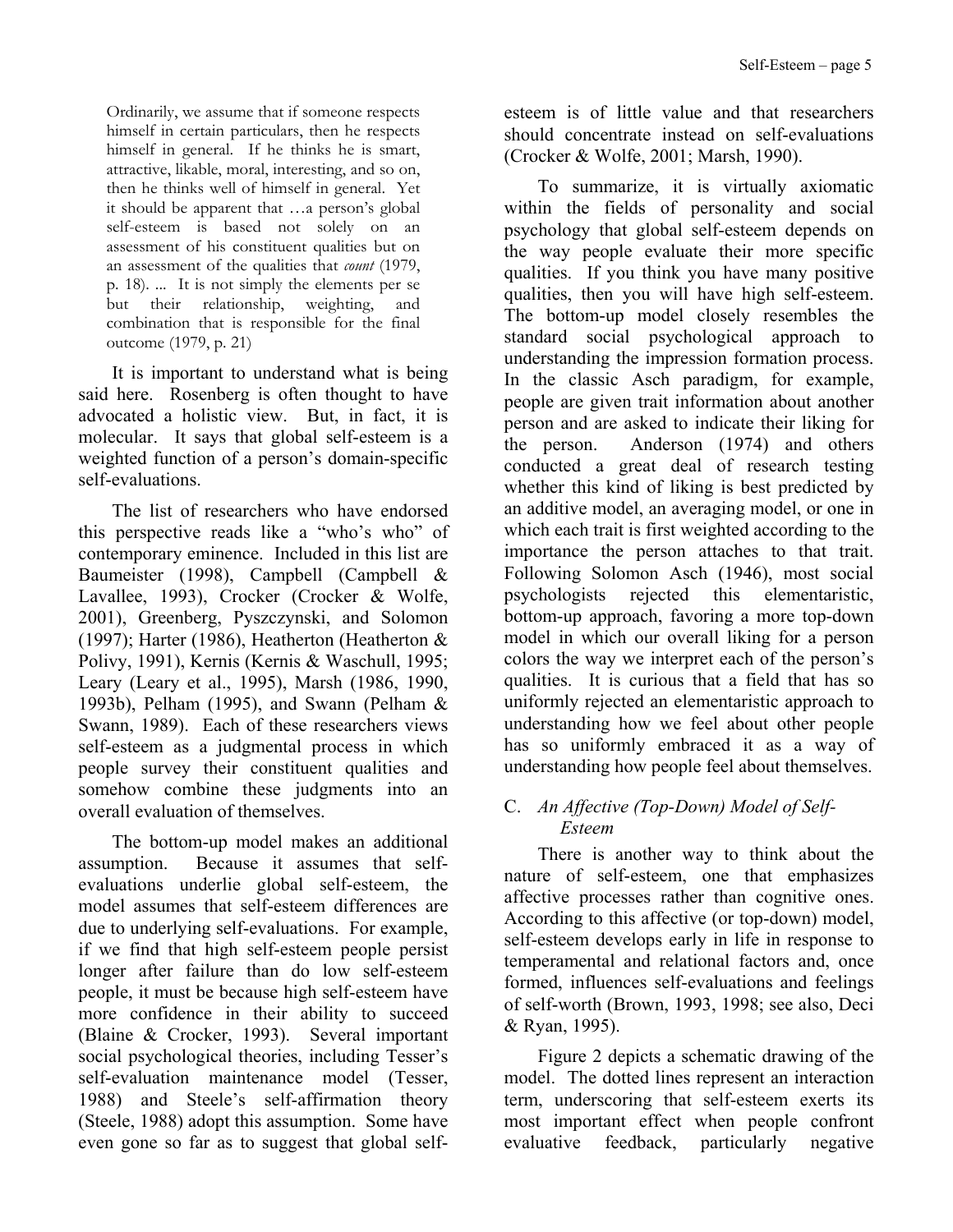<span id="page-4-0"></span>Ordinarily, we assume that if someone respects himself in certain particulars, then he respects himself in general. If he thinks he is smart, attractive, likable, moral, interesting, and so on, then he thinks well of himself in general. Yet it should be apparent that …a person's global self-esteem is based not solely on an assessment of his constituent qualities but on an assessment of the qualities that *count* (1979, p. 18). ... It is not simply the elements per se but their relationship, weighting, and combination that is responsible for the final outcome (1979, p. 21)

It is important to understand what is being said here. Rosenberg is often thought to have advocated a holistic view. But, in fact, it is molecular. It says that global self-esteem is a weighted function of a person's domain-specific self-evaluations.

The list of researchers who have endorsed this perspective reads like a "who's who" of contemporary eminence. Included in this list are Baumeister (1998), Campbell (Campbell & Lavallee, 1993), Crocker (Crocker & Wolfe, 2001), Greenberg, Pyszczynski, and Solomon (1997); Harter (1986), Heatherton (Heatherton & Polivy, 1991), Kernis (Kernis & Waschull, 1995; Leary (Leary et al., 1995), Marsh (1986, 1990, 1993b), Pelham (1995), and Swann (Pelham & Swann, 1989). Each of these researchers views self-esteem as a judgmental process in which people survey their constituent qualities and somehow combine these judgments into an overall evaluation of themselves.

The bottom-up model makes an additional assumption. Because it assumes that selfevaluations underlie global self-esteem, the model assumes that self-esteem differences are due to underlying self-evaluations. For example, if we find that high self-esteem people persist longer after failure than do low self-esteem people, it must be because high self-esteem have more confidence in their ability to succeed (Blaine & Crocker, 1993). Several important social psychological theories, including Tesser's self-evaluation maintenance model (Tesser, 1988) and Steele's self-affirmation theory (Steele, 1988) adopt this assumption. Some have even gone so far as to suggest that global selfesteem is of little value and that researchers should concentrate instead on self-evaluations (Crocker & Wolfe, 2001; Marsh, 1990).

To summarize, it is virtually axiomatic within the fields of personality and social psychology that global self-esteem depends on the way people evaluate their more specific qualities. If you think you have many positive qualities, then you will have high self-esteem. The bottom-up model closely resembles the standard social psychological approach to understanding the impression formation process. In the classic Asch paradigm, for example, people are given trait information about another person and are asked to indicate their liking for the person. Anderson (1974) and others conducted a great deal of research testing whether this kind of liking is best predicted by an additive model, an averaging model, or one in which each trait is first weighted according to the importance the person attaches to that trait. Following Solomon Asch (1946), most social psychologists rejected this elementaristic, bottom-up approach, favoring a more top-down model in which our overall liking for a person colors the way we interpret each of the person's qualities. It is curious that a field that has so uniformly rejected an elementaristic approach to understanding how we feel about other people has so uniformly embraced it as a way of understanding how people feel about themselves.

### C. *An Affective (Top-Down) Model of Self-Esteem*

There is another way to think about the nature of self-esteem, one that emphasizes affective processes rather than cognitive ones. According to this affective (or top-down) model, self-esteem develops early in life in response to temperamental and relational factors and, once formed, influences self-evaluations and feelings of self-worth (Brown, 1993, 1998; see also, Deci & Ryan, 1995).

[Figure 2](#page-5-1) depicts a schematic drawing of the model. The dotted lines represent an interaction term, underscoring that self-esteem exerts its most important effect when people confront evaluative feedback, particularly negative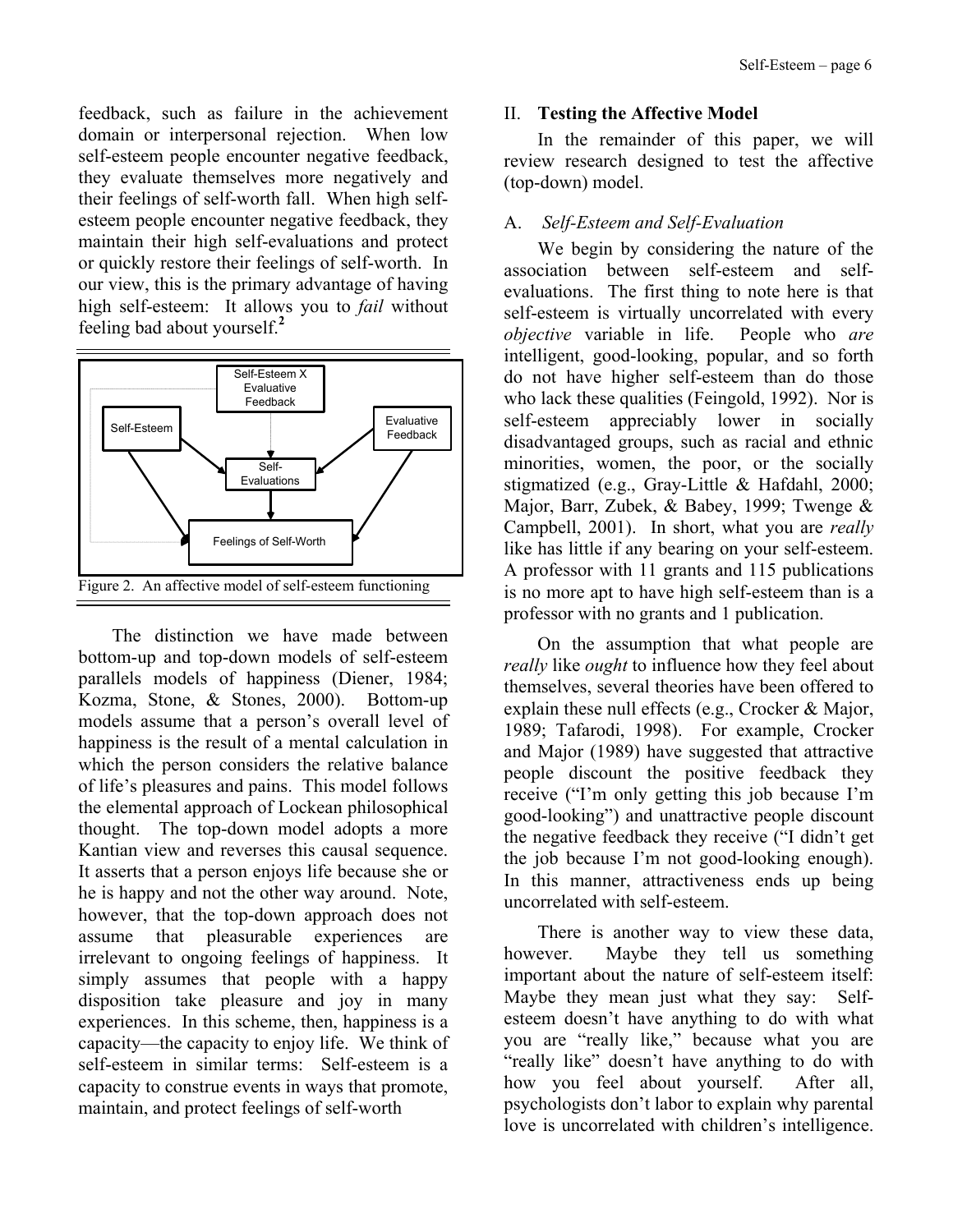<span id="page-5-0"></span>feedback, such as failure in the achievement domain or interpersonal rejection. When low self-esteem people encounter negative feedback, they evaluate themselves more negatively and their feelings of self-worth fall. When high selfesteem people encounter negative feedback, they maintain their high self-evaluations and protect or quickly restore their feelings of self-worth. In our view, this is the primary advantage of having high self-esteem: It allows you to *fail* without feeling bad about yourself.**[2](#page-34-2)**

<span id="page-5-1"></span>

The distinction we have made between bottom-up and top-down models of self-esteem parallels models of happiness (Diener, 1984; Kozma, Stone, & Stones, 2000). Bottom-up models assume that a person's overall level of happiness is the result of a mental calculation in which the person considers the relative balance of life's pleasures and pains. This model follows the elemental approach of Lockean philosophical thought. The top-down model adopts a more Kantian view and reverses this causal sequence. It asserts that a person enjoys life because she or he is happy and not the other way around. Note, however, that the top-down approach does not assume that pleasurable experiences are irrelevant to ongoing feelings of happiness. It simply assumes that people with a happy disposition take pleasure and joy in many experiences. In this scheme, then, happiness is a capacity—the capacity to enjoy life. We think of self-esteem in similar terms: Self-esteem is a capacity to construe events in ways that promote, maintain, and protect feelings of self-worth

## II. **Testing the Affective Model**

In the remainder of this paper, we will review research designed to test the affective (top-down) model.

# A. *Self-Esteem and Self-Evaluation*

We begin by considering the nature of the association between self-esteem and selfevaluations. The first thing to note here is that self-esteem is virtually uncorrelated with every *objective* variable in life. People who *are* intelligent, good-looking, popular, and so forth do not have higher self-esteem than do those who lack these qualities (Feingold, 1992). Nor is self-esteem appreciably lower in socially disadvantaged groups, such as racial and ethnic minorities, women, the poor, or the socially stigmatized (e.g., Gray-Little & Hafdahl, 2000; Major, Barr, Zubek, & Babey, 1999; Twenge & Campbell, 2001). In short, what you are *really* like has little if any bearing on your self-esteem. A professor with 11 grants and 115 publications is no more apt to have high self-esteem than is a professor with no grants and 1 publication.

On the assumption that what people are *really* like *ought* to influence how they feel about themselves, several theories have been offered to explain these null effects (e.g., Crocker & Major, 1989; Tafarodi, 1998). For example, Crocker and Major (1989) have suggested that attractive people discount the positive feedback they receive ("I'm only getting this job because I'm good-looking") and unattractive people discount the negative feedback they receive ("I didn't get the job because I'm not good-looking enough). In this manner, attractiveness ends up being uncorrelated with self-esteem.

There is another way to view these data, however. Maybe they tell us something important about the nature of self-esteem itself: Maybe they mean just what they say: Selfesteem doesn't have anything to do with what you are "really like," because what you are "really like" doesn't have anything to do with how you feel about yourself. After all, psychologists don't labor to explain why parental love is uncorrelated with children's intelligence.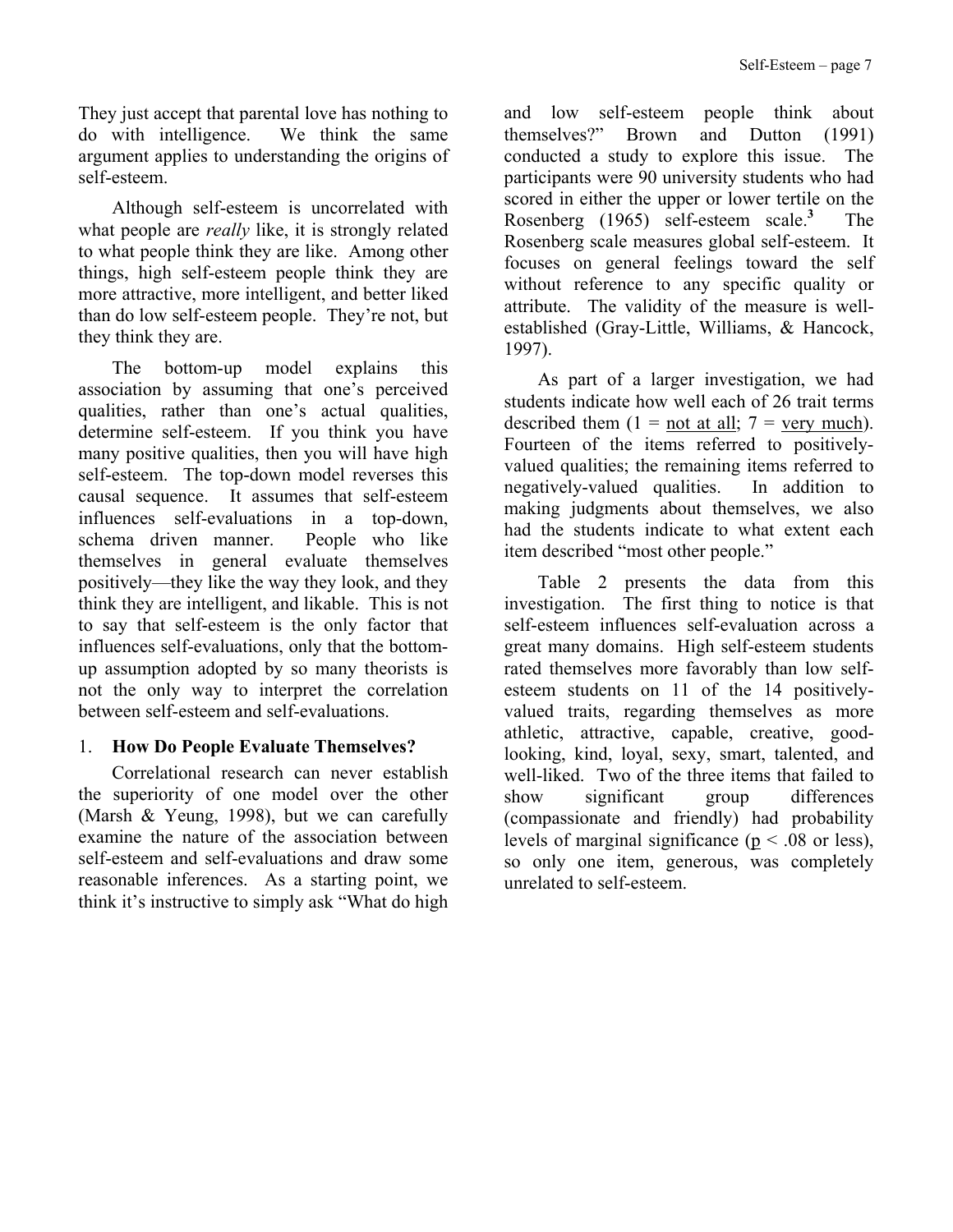They just accept that parental love has nothing to do with intelligence. We think the same argument applies to understanding the origins of self-esteem.

Although self-esteem is uncorrelated with what people are *really* like, it is strongly related to what people think they are like. Among other things, high self-esteem people think they are more attractive, more intelligent, and better liked than do low self-esteem people. They're not, but they think they are.

The bottom-up model explains this association by assuming that one's perceived qualities, rather than one's actual qualities, determine self-esteem. If you think you have many positive qualities, then you will have high self-esteem. The top-down model reverses this causal sequence. It assumes that self-esteem influences self-evaluations in a top-down, schema driven manner. People who like themselves in general evaluate themselves positively—they like the way they look, and they think they are intelligent, and likable. This is not to say that self-esteem is the only factor that influences self-evaluations, only that the bottomup assumption adopted by so many theorists is not the only way to interpret the correlation between self-esteem and self-evaluations.

### 1. **How Do People Evaluate Themselves?**

Correlational research can never establish the superiority of one model over the other (Marsh & Yeung, 1998), but we can carefully examine the nature of the association between self-esteem and self-evaluations and draw some reasonable inferences. As a starting point, we think it's instructive to simply ask "What do high

and low self-esteem people think about themselves?" Brown and Dutton (1991) conducted a study to explore this issue. The participants were 90 university students who had scored in either the upper or lower tertile on the Rosenberg (1965) self-esteem scale.**[3](#page-34-3)** The Rosenberg scale measures global self-esteem. It focuses on general feelings toward the self without reference to any specific quality or attribute. The validity of the measure is wellestablished (Gray-Little, Williams, & Hancock, 1997).

As part of a larger investigation, we had students indicate how well each of 26 trait terms described them  $(1 = not at all; 7 = very much)$ . Fourteen of the items referred to positivelyvalued qualities; the remaining items referred to negatively-valued qualities. In addition to making judgments about themselves, we also had the students indicate to what extent each item described "most other people."

[Table 2](#page-7-0) presents the data from this investigation. The first thing to notice is that self-esteem influences self-evaluation across a great many domains. High self-esteem students rated themselves more favorably than low selfesteem students on 11 of the 14 positivelyvalued traits, regarding themselves as more athletic, attractive, capable, creative, goodlooking, kind, loyal, sexy, smart, talented, and well-liked. Two of the three items that failed to show significant group differences (compassionate and friendly) had probability levels of marginal significance ( $p < .08$  or less), so only one item, generous, was completely unrelated to self-esteem.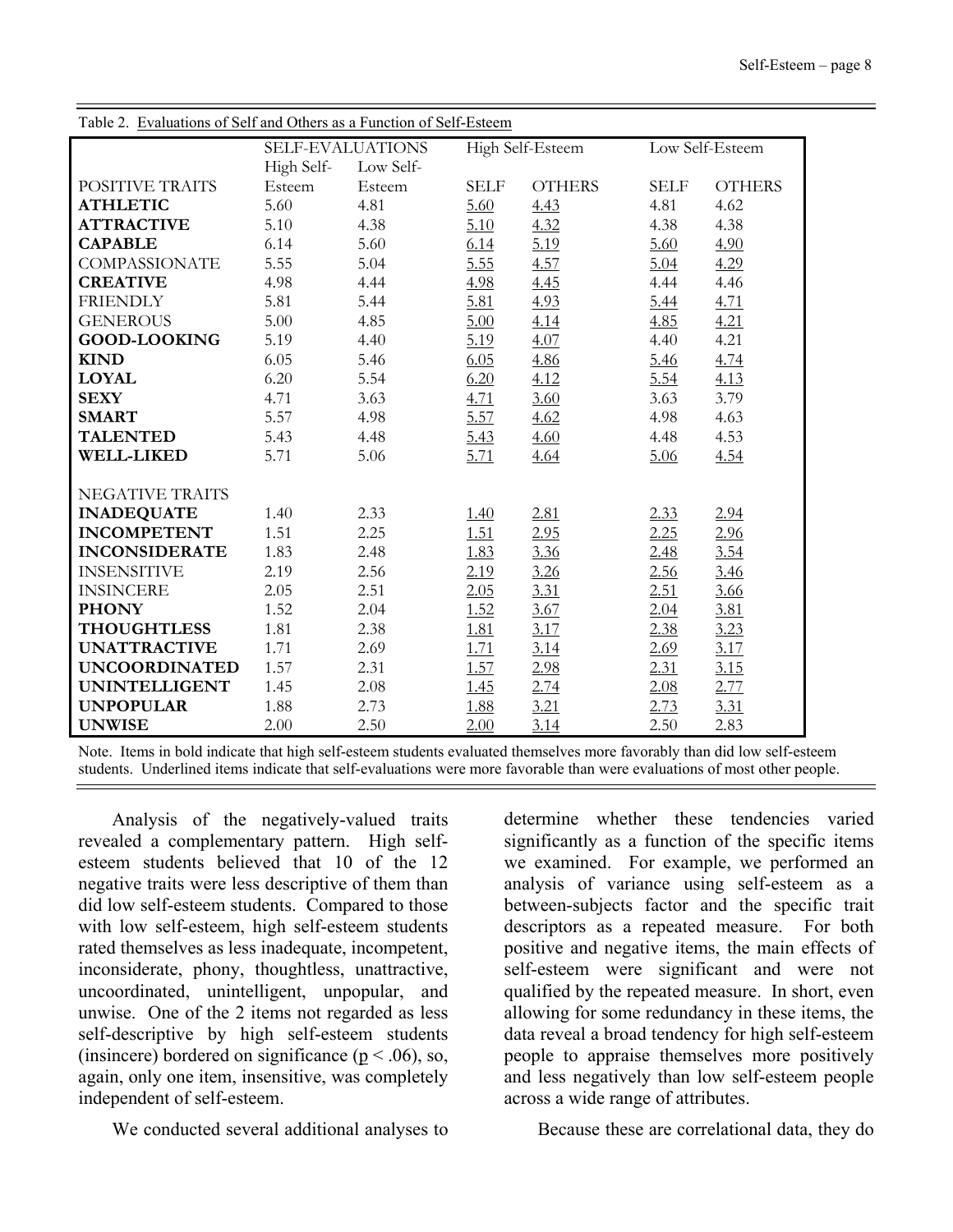|                      | SELF-EVALUATIONS |           | High Self-Esteem |               | Low Self-Esteem |               |
|----------------------|------------------|-----------|------------------|---------------|-----------------|---------------|
|                      | High Self-       | Low Self- |                  |               |                 |               |
| POSITIVE TRAITS      | Esteem           | Esteem    | <b>SELF</b>      | <b>OTHERS</b> | <b>SELF</b>     | <b>OTHERS</b> |
| <b>ATHLETIC</b>      | 5.60             | 4.81      | 5.60             | 4.43          | 4.81            | 4.62          |
| <b>ATTRACTIVE</b>    | 5.10             | 4.38      | 5.10             | 4.32          | 4.38            | 4.38          |
| <b>CAPABLE</b>       | 6.14             | 5.60      | 6.14             | 5.19          | 5.60            | 4.90          |
| <b>COMPASSIONATE</b> | 5.55             | 5.04      | 5.55             | 4.57          | 5.04            | 4.29          |
| <b>CREATIVE</b>      | 4.98             | 4.44      | 4.98             | 4.45          | 4.44            | 4.46          |
| <b>FRIENDLY</b>      | 5.81             | 5.44      | 5.81             | 4.93          | 5.44            | 4.71          |
| <b>GENEROUS</b>      | 5.00             | 4.85      | 5.00             | 4.14          | 4.85            | 4.21          |
| <b>GOOD-LOOKING</b>  | 5.19             | 4.40      | 5.19             | 4.07          | 4.40            | 4.21          |
| <b>KIND</b>          | 6.05             | 5.46      | 6.05             | 4.86          | 5.46            | 4.74          |
| <b>LOYAL</b>         | 6.20             | 5.54      | 6.20             | 4.12          | 5.54            | 4.13          |
| <b>SEXY</b>          | 4.71             | 3.63      | 4.71             | 3.60          | 3.63            | 3.79          |
| <b>SMART</b>         | 5.57             | 4.98      | 5.57             | 4.62          | 4.98            | 4.63          |
| <b>TALENTED</b>      | 5.43             | 4.48      | 5.43             | 4.60          | 4.48            | 4.53          |
| <b>WELL-LIKED</b>    | 5.71             | 5.06      | 5.71             | 4.64          | 5.06            | 4.54          |
|                      |                  |           |                  |               |                 |               |
| NEGATIVE TRAITS      |                  |           |                  |               |                 |               |
| <b>INADEQUATE</b>    | 1.40             | 2.33      | 1.40             | 2.81          | 2.33            | 2.94          |
| <b>INCOMPETENT</b>   | 1.51             | 2.25      | 1.51             | 2.95          | 2.25            | 2.96          |
| <b>INCONSIDERATE</b> | 1.83             | 2.48      | 1.83             | 3.36          | 2.48            | 3.54          |
| <b>INSENSITIVE</b>   | 2.19             | 2.56      | 2.19             | 3.26          | 2.56            | 3.46          |
| <b>INSINCERE</b>     | 2.05             | 2.51      | 2.05             | 3.31          | 2.51            | 3.66          |
| <b>PHONY</b>         | 1.52             | 2.04      | 1.52             | 3.67          | 2.04            | 3.81          |
| <b>THOUGHTLESS</b>   | 1.81             | 2.38      | 1.81             | 3.17          | 2.38            | 3.23          |
| <b>UNATTRACTIVE</b>  | 1.71             | 2.69      | 1.71             | 3.14          | 2.69            | 3.17          |
| <b>UNCOORDINATED</b> | 1.57             | 2.31      | 1.57             | 2.98          | 2.31            | 3.15          |
| <b>UNINTELLIGENT</b> | 1.45             | 2.08      | 1.45             | 2.74          | 2.08            | 2.77          |
| <b>UNPOPULAR</b>     | 1.88             | 2.73      | 1.88             | 3.21          | 2.73            | 3.31          |
| <b>UNWISE</b>        | 2.00             | 2.50      | 2.00             | 3.14          | 2.50            | 2.83          |

<span id="page-7-0"></span>Table 2. Evaluations of Self and Others as a Function of Self-Esteem

Note. Items in bold indicate that high self-esteem students evaluated themselves more favorably than did low self-esteem students. Underlined items indicate that self-evaluations were more favorable than were evaluations of most other people.

Analysis of the negatively-valued traits revealed a complementary pattern. High selfesteem students believed that 10 of the 12 negative traits were less descriptive of them than did low self-esteem students. Compared to those with low self-esteem, high self-esteem students rated themselves as less inadequate, incompetent, inconsiderate, phony, thoughtless, unattractive, uncoordinated, unintelligent, unpopular, and unwise. One of the 2 items not regarded as less self-descriptive by high self-esteem students (insincere) bordered on significance ( $p < .06$ ), so, again, only one item, insensitive, was completely independent of self-esteem.

We conducted several additional analyses to

determine whether these tendencies varied significantly as a function of the specific items we examined. For example, we performed an analysis of variance using self-esteem as a between-subjects factor and the specific trait descriptors as a repeated measure. For both positive and negative items, the main effects of self-esteem were significant and were not qualified by the repeated measure. In short, even allowing for some redundancy in these items, the data reveal a broad tendency for high self-esteem people to appraise themselves more positively and less negatively than low self-esteem people across a wide range of attributes.

Because these are correlational data, they do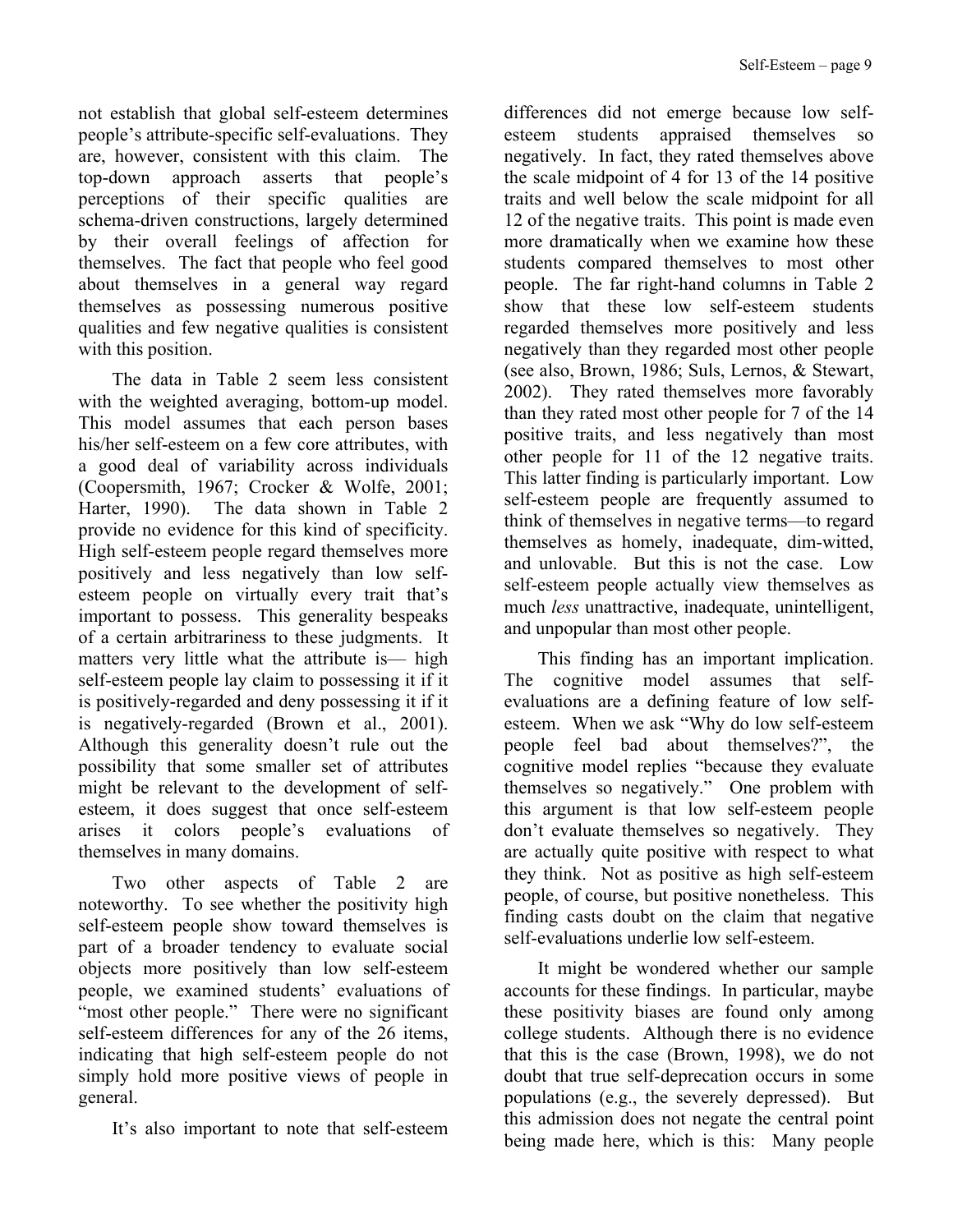not establish that global self-esteem determines people's attribute-specific self-evaluations. They are, however, consistent with this claim. The top-down approach asserts that people's perceptions of their specific qualities are schema-driven constructions, largely determined by their overall feelings of affection for themselves. The fact that people who feel good about themselves in a general way regard themselves as possessing numerous positive qualities and few negative qualities is consistent with this position.

The data in [Table 2](#page-7-0) seem less consistent with the weighted averaging, bottom-up model. This model assumes that each person bases his/her self-esteem on a few core attributes, with a good deal of variability across individuals (Coopersmith, 1967; Crocker & Wolfe, 2001; Harter, 1990). The data shown in [Table 2](#page-7-0)  provide no evidence for this kind of specificity. High self-esteem people regard themselves more positively and less negatively than low selfesteem people on virtually every trait that's important to possess. This generality bespeaks of a certain arbitrariness to these judgments. It matters very little what the attribute is— high self-esteem people lay claim to possessing it if it is positively-regarded and deny possessing it if it is negatively-regarded (Brown et al., 2001). Although this generality doesn't rule out the possibility that some smaller set of attributes might be relevant to the development of selfesteem, it does suggest that once self-esteem arises it colors people's evaluations of themselves in many domains.

Two other aspects of [Table 2](#page-7-0) are noteworthy. To see whether the positivity high self-esteem people show toward themselves is part of a broader tendency to evaluate social objects more positively than low self-esteem people, we examined students' evaluations of "most other people." There were no significant self-esteem differences for any of the 26 items, indicating that high self-esteem people do not simply hold more positive views of people in general.

It's also important to note that self-esteem

differences did not emerge because low selfesteem students appraised themselves so negatively. In fact, they rated themselves above the scale midpoint of 4 for 13 of the 14 positive traits and well below the scale midpoint for all 12 of the negative traits. This point is made even more dramatically when we examine how these students compared themselves to most other people. The far right-hand columns in [Table 2](#page-7-0)  show that these low self-esteem students regarded themselves more positively and less negatively than they regarded most other people (see also, Brown, 1986; Suls, Lernos, & Stewart, 2002). They rated themselves more favorably than they rated most other people for 7 of the 14 positive traits, and less negatively than most other people for 11 of the 12 negative traits. This latter finding is particularly important. Low self-esteem people are frequently assumed to think of themselves in negative terms—to regard themselves as homely, inadequate, dim-witted, and unlovable. But this is not the case. Low self-esteem people actually view themselves as much *less* unattractive, inadequate, unintelligent, and unpopular than most other people.

This finding has an important implication. The cognitive model assumes that selfevaluations are a defining feature of low selfesteem. When we ask "Why do low self-esteem people feel bad about themselves?", the cognitive model replies "because they evaluate themselves so negatively." One problem with this argument is that low self-esteem people don't evaluate themselves so negatively. They are actually quite positive with respect to what they think. Not as positive as high self-esteem people, of course, but positive nonetheless. This finding casts doubt on the claim that negative self-evaluations underlie low self-esteem.

It might be wondered whether our sample accounts for these findings. In particular, maybe these positivity biases are found only among college students. Although there is no evidence that this is the case (Brown, 1998), we do not doubt that true self-deprecation occurs in some populations (e.g., the severely depressed). But this admission does not negate the central point being made here, which is this: Many people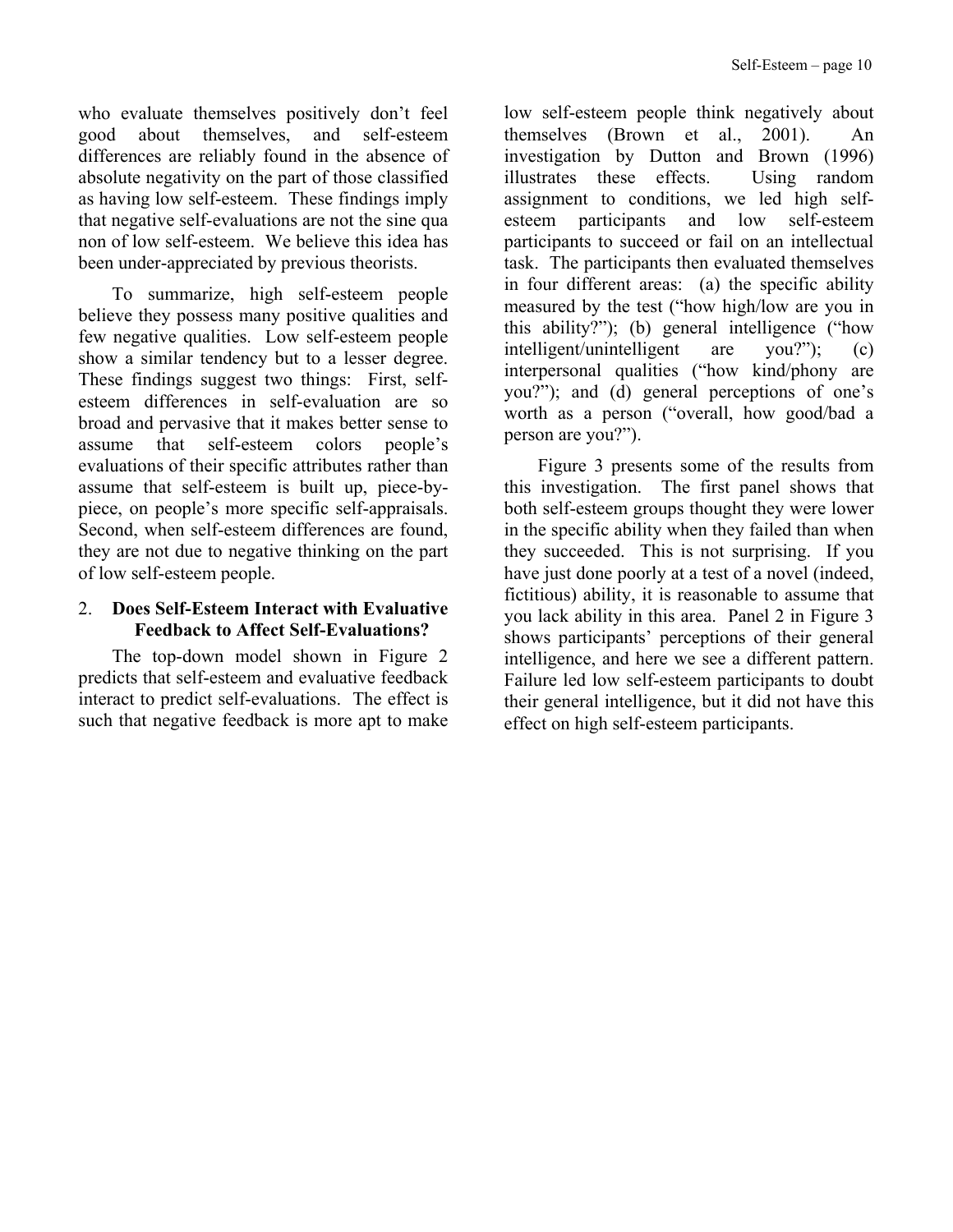who evaluate themselves positively don't feel good about themselves, and self-esteem differences are reliably found in the absence of absolute negativity on the part of those classified as having low self-esteem. These findings imply that negative self-evaluations are not the sine qua non of low self-esteem. We believe this idea has been under-appreciated by previous theorists.

To summarize, high self-esteem people believe they possess many positive qualities and few negative qualities. Low self-esteem people show a similar tendency but to a lesser degree. These findings suggest two things: First, selfesteem differences in self-evaluation are so broad and pervasive that it makes better sense to assume that self-esteem colors people's evaluations of their specific attributes rather than assume that self-esteem is built up, piece-bypiece, on people's more specific self-appraisals. Second, when self-esteem differences are found, they are not due to negative thinking on the part of low self-esteem people.

### 2. **Does Self-Esteem Interact with Evaluative Feedback to Affect Self-Evaluations?**

The top-down model shown in [Figure 2](#page-5-1)  predicts that self-esteem and evaluative feedback interact to predict self-evaluations. The effect is such that negative feedback is more apt to make low self-esteem people think negatively about themselves (Brown et al., 2001). An investigation by Dutton and Brown (1996) illustrates these effects. Using random assignment to conditions, we led high selfesteem participants and low self-esteem participants to succeed or fail on an intellectual task. The participants then evaluated themselves in four different areas: (a) the specific ability measured by the test ("how high/low are you in this ability?"); (b) general intelligence ("how intelligent/unintelligent are you?"); (c) interpersonal qualities ("how kind/phony are you?"); and (d) general perceptions of one's worth as a person ("overall, how good/bad a person are you?").

[Figure 3](#page-10-0) presents some of the results from this investigation. The first panel shows that both self-esteem groups thought they were lower in the specific ability when they failed than when they succeeded. This is not surprising. If you have just done poorly at a test of a novel (indeed, fictitious) ability, it is reasonable to assume that you lack ability in this area. Panel 2 in [Figure 3](#page-10-0)  shows participants' perceptions of their general intelligence, and here we see a different pattern. Failure led low self-esteem participants to doubt their general intelligence, but it did not have this effect on high self-esteem participants.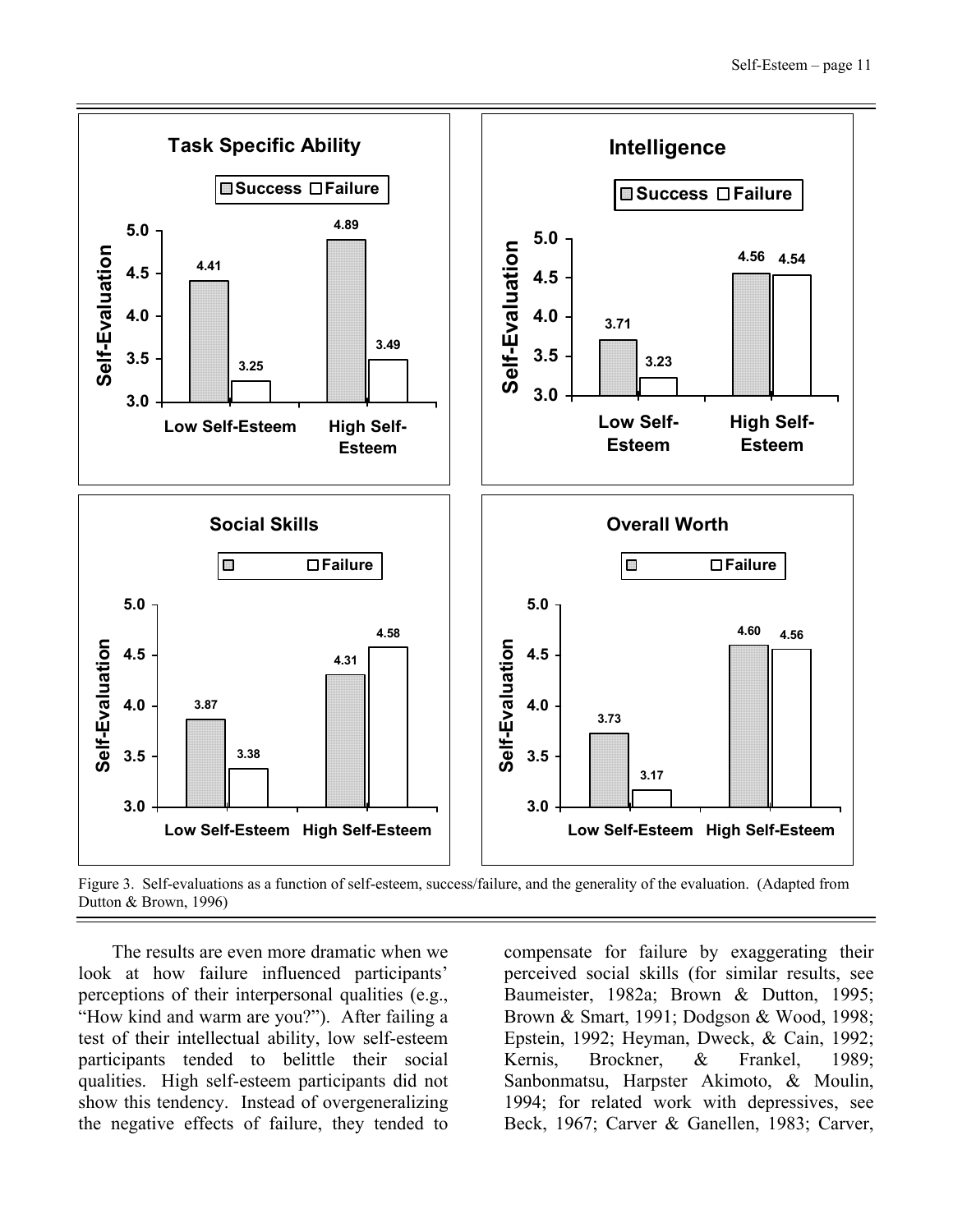

<span id="page-10-0"></span>Figure 3. Self-evaluations as a function of self-esteem, success/failure, and the generality of the evaluation. (Adapted from Dutton & Brown, 1996)

The results are even more dramatic when we look at how failure influenced participants' perceptions of their interpersonal qualities (e.g., "How kind and warm are you?"). After failing a test of their intellectual ability, low self-esteem participants tended to belittle their social qualities. High self-esteem participants did not show this tendency. Instead of overgeneralizing the negative effects of failure, they tended to

compensate for failure by exaggerating their perceived social skills (for similar results, see Baumeister, 1982a; Brown & Dutton, 1995; Brown & Smart, 1991; Dodgson & Wood, 1998; Epstein, 1992; Heyman, Dweck, & Cain, 1992; Kernis, Brockner, & Frankel, 1989; Sanbonmatsu, Harpster Akimoto, & Moulin, 1994; for related work with depressives, see Beck, 1967; Carver & Ganellen, 1983; Carver,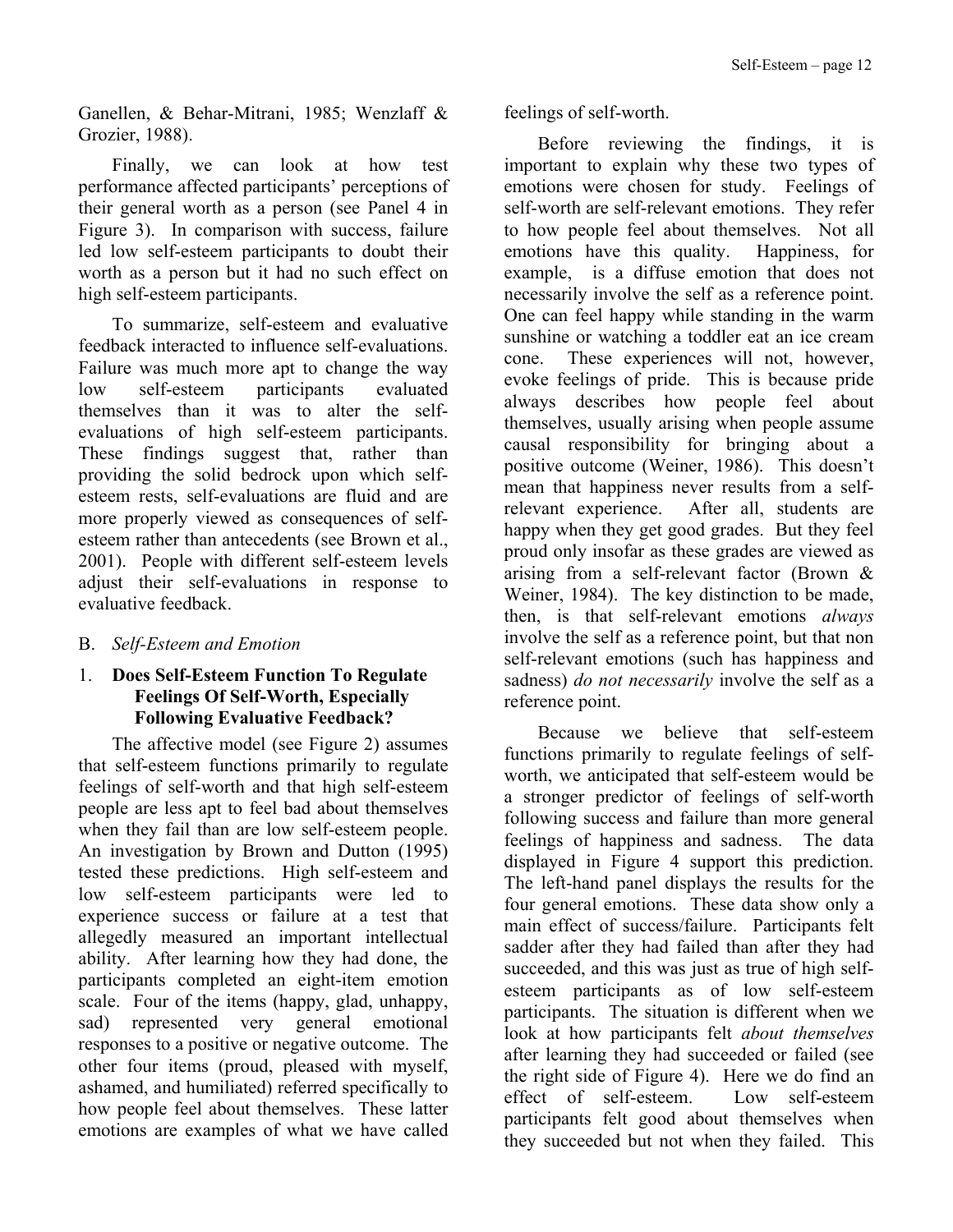<span id="page-11-0"></span>Ganellen, & Behar-Mitrani, 1985; Wenzlaff & Grozier, 1988).

Finally, we can look at how test performance affected participants' perceptions of their general worth as a person (see Panel 4 in [Figure 3\)](#page-10-0). In comparison with success, failure led low self-esteem participants to doubt their worth as a person but it had no such effect on high self-esteem participants.

To summarize, self-esteem and evaluative feedback interacted to influence self-evaluations. Failure was much more apt to change the way low self-esteem participants evaluated themselves than it was to alter the selfevaluations of high self-esteem participants. These findings suggest that, rather than providing the solid bedrock upon which selfesteem rests, self-evaluations are fluid and are more properly viewed as consequences of selfesteem rather than antecedents (see Brown et al., 2001). People with different self-esteem levels adjust their self-evaluations in response to evaluative feedback.

### B. *Self-Esteem and Emotion*

## 1. **Does Self-Esteem Function To Regulate Feelings Of Self-Worth, Especially Following Evaluative Feedback?**

The affective model (see [Figure 2\)](#page-5-1) assumes that self-esteem functions primarily to regulate feelings of self-worth and that high self-esteem people are less apt to feel bad about themselves when they fail than are low self-esteem people. An investigation by Brown and Dutton (1995) tested these predictions. High self-esteem and low self-esteem participants were led to experience success or failure at a test that allegedly measured an important intellectual ability. After learning how they had done, the participants completed an eight-item emotion scale. Four of the items (happy, glad, unhappy, sad) represented very general emotional responses to a positive or negative outcome. The other four items (proud, pleased with myself, ashamed, and humiliated) referred specifically to how people feel about themselves. These latter emotions are examples of what we have called

feelings of self-worth.

Before reviewing the findings, it is important to explain why these two types of emotions were chosen for study. Feelings of self-worth are self-relevant emotions. They refer to how people feel about themselves. Not all emotions have this quality. Happiness, for example, is a diffuse emotion that does not necessarily involve the self as a reference point. One can feel happy while standing in the warm sunshine or watching a toddler eat an ice cream cone. These experiences will not, however, evoke feelings of pride. This is because pride always describes how people feel about themselves, usually arising when people assume causal responsibility for bringing about a positive outcome (Weiner, 1986). This doesn't mean that happiness never results from a selfrelevant experience. After all, students are happy when they get good grades. But they feel proud only insofar as these grades are viewed as arising from a self-relevant factor (Brown & Weiner, 1984). The key distinction to be made, then, is that self-relevant emotions *always* involve the self as a reference point, but that non self-relevant emotions (such has happiness and sadness) *do not necessarily* involve the self as a reference point.

Because we believe that self-esteem functions primarily to regulate feelings of selfworth, we anticipated that self-esteem would be a stronger predictor of feelings of self-worth following success and failure than more general feelings of happiness and sadness. The data displayed in [Figure 4](#page-12-0) support this prediction. The left-hand panel displays the results for the four general emotions. These data show only a main effect of success/failure. Participants felt sadder after they had failed than after they had succeeded, and this was just as true of high selfesteem participants as of low self-esteem participants. The situation is different when we look at how participants felt *about themselves* after learning they had succeeded or failed (see the right side of [Figure 4\)](#page-12-0). Here we do find an effect of self-esteem. Low self-esteem participants felt good about themselves when they succeeded but not when they failed. This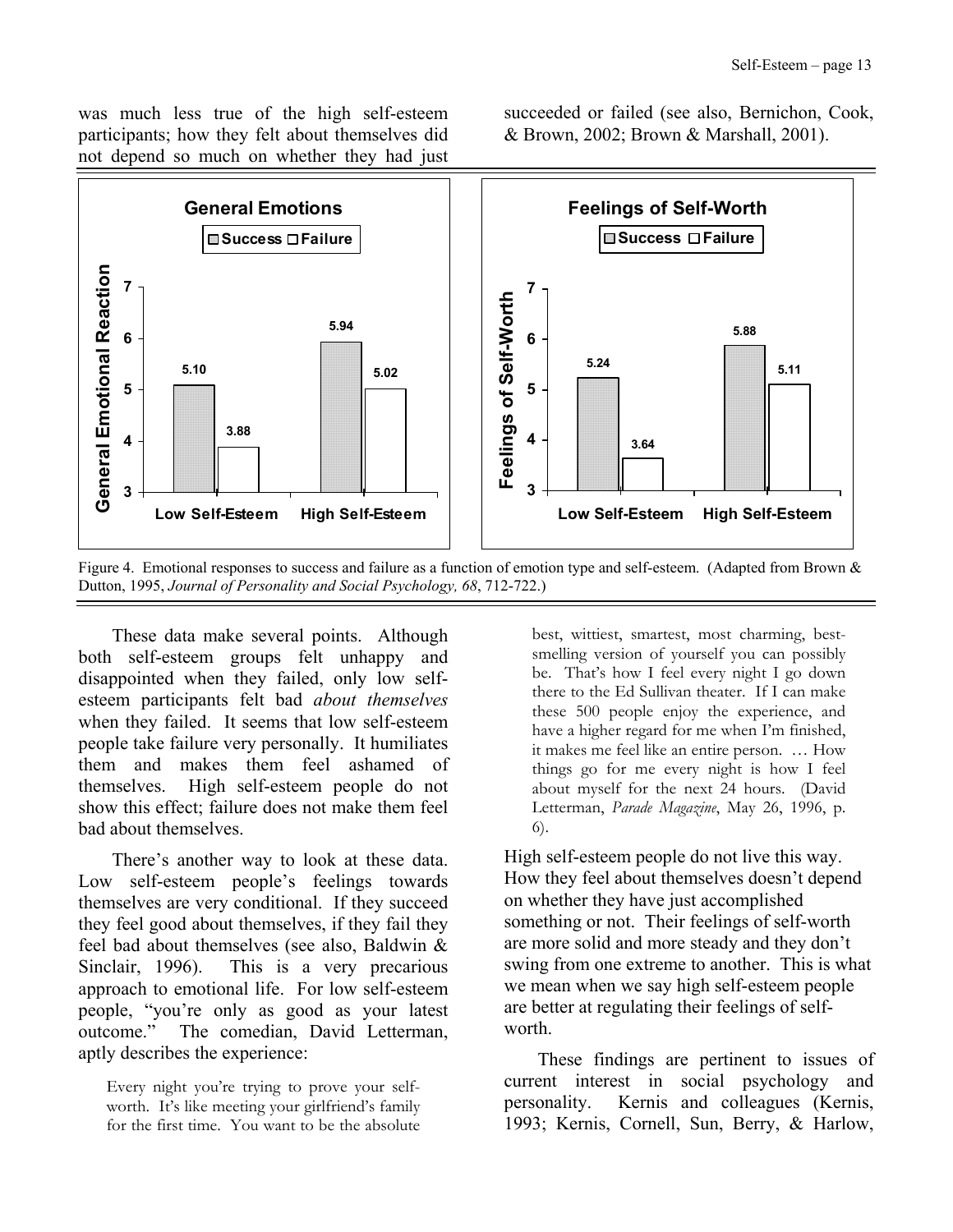succeeded or failed (see also, Bernichon, Cook, & Brown, 2002; Brown & Marshall, 2001).

was much less true of the high self-esteem participants; how they felt about themselves did not depend so much on whether they had just

<span id="page-12-0"></span>

Figure 4. Emotional responses to success and failure as a function of emotion type and self-esteem. (Adapted from Brown & Dutton, 1995, *Journal of Personality and Social Psychology, 68*, 712-722.)

These data make several points. Although both self-esteem groups felt unhappy and disappointed when they failed, only low selfesteem participants felt bad *about themselves* when they failed. It seems that low self-esteem people take failure very personally. It humiliates them and makes them feel ashamed of themselves. High self-esteem people do not show this effect; failure does not make them feel bad about themselves.

There's another way to look at these data. Low self-esteem people's feelings towards themselves are very conditional. If they succeed they feel good about themselves, if they fail they feel bad about themselves (see also, Baldwin & Sinclair, 1996). This is a very precarious approach to emotional life. For low self-esteem people, "you're only as good as your latest outcome." The comedian, David Letterman, aptly describes the experience:

Every night you're trying to prove your selfworth. It's like meeting your girlfriend's family for the first time. You want to be the absolute best, wittiest, smartest, most charming, bestsmelling version of yourself you can possibly be. That's how I feel every night I go down there to the Ed Sullivan theater. If I can make these 500 people enjoy the experience, and have a higher regard for me when I'm finished, it makes me feel like an entire person. … How things go for me every night is how I feel about myself for the next 24 hours. (David Letterman, *Parade Magazine*, May 26, 1996, p. 6).

High self-esteem people do not live this way. How they feel about themselves doesn't depend on whether they have just accomplished something or not. Their feelings of self-worth are more solid and more steady and they don't swing from one extreme to another. This is what we mean when we say high self-esteem people are better at regulating their feelings of selfworth.

These findings are pertinent to issues of current interest in social psychology and personality. Kernis and colleagues (Kernis, 1993; Kernis, Cornell, Sun, Berry, & Harlow,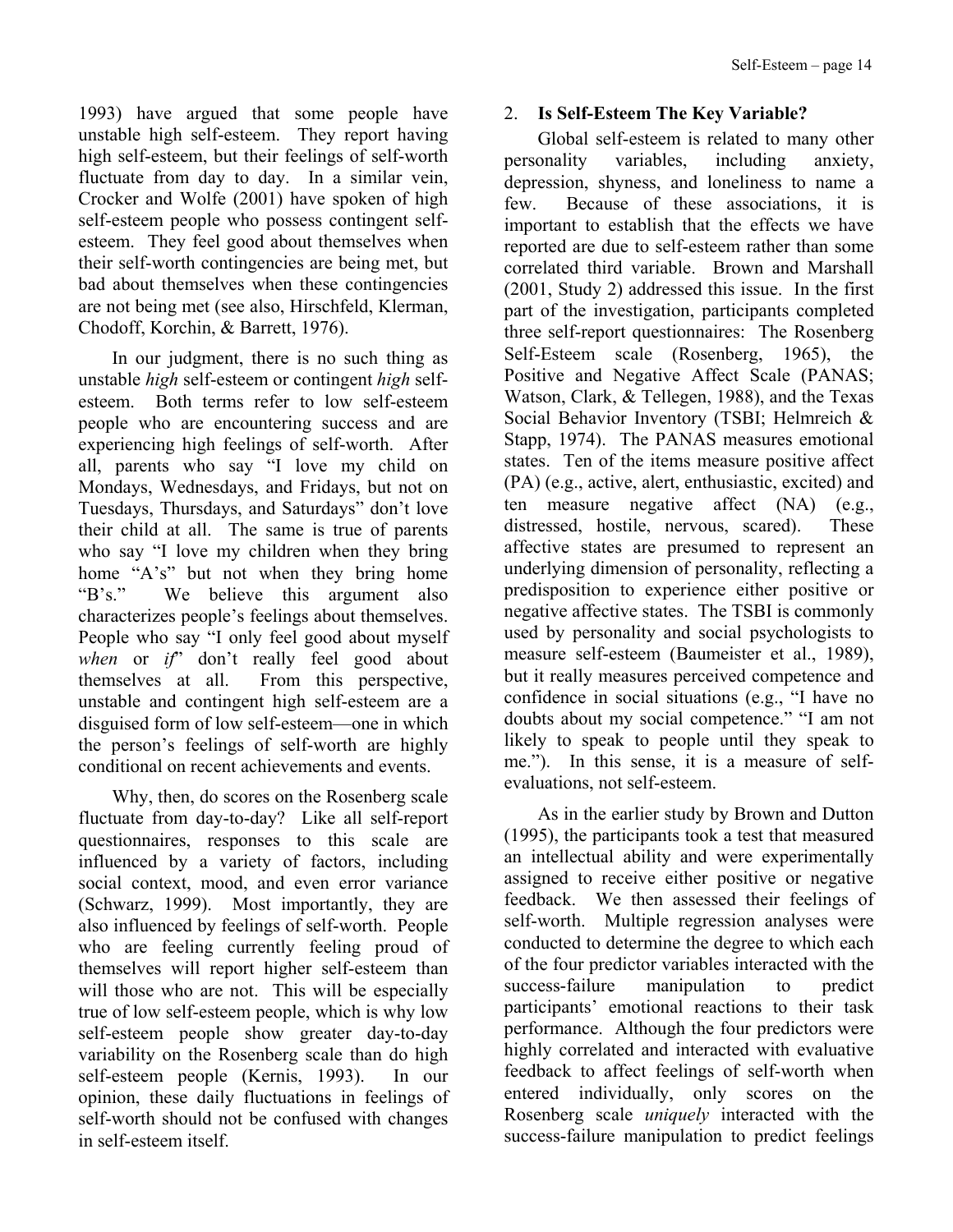1993) have argued that some people have unstable high self-esteem. They report having high self-esteem, but their feelings of self-worth fluctuate from day to day. In a similar vein, Crocker and Wolfe (2001) have spoken of high self-esteem people who possess contingent selfesteem. They feel good about themselves when their self-worth contingencies are being met, but bad about themselves when these contingencies are not being met (see also, Hirschfeld, Klerman, Chodoff, Korchin, & Barrett, 1976).

In our judgment, there is no such thing as unstable *high* self-esteem or contingent *high* selfesteem. Both terms refer to low self-esteem people who are encountering success and are experiencing high feelings of self-worth. After all, parents who say "I love my child on Mondays, Wednesdays, and Fridays, but not on Tuesdays, Thursdays, and Saturdays" don't love their child at all. The same is true of parents who say "I love my children when they bring home "A's" but not when they bring home "B's." We believe this argument also characterizes people's feelings about themselves. People who say "I only feel good about myself *when* or *if*" don't really feel good about themselves at all. From this perspective, unstable and contingent high self-esteem are a disguised form of low self-esteem—one in which the person's feelings of self-worth are highly conditional on recent achievements and events.

Why, then, do scores on the Rosenberg scale fluctuate from day-to-day? Like all self-report questionnaires, responses to this scale are influenced by a variety of factors, including social context, mood, and even error variance (Schwarz, 1999). Most importantly, they are also influenced by feelings of self-worth. People who are feeling currently feeling proud of themselves will report higher self-esteem than will those who are not. This will be especially true of low self-esteem people, which is why low self-esteem people show greater day-to-day variability on the Rosenberg scale than do high self-esteem people (Kernis, 1993). In our opinion, these daily fluctuations in feelings of self-worth should not be confused with changes in self-esteem itself.

# 2. **Is Self-Esteem The Key Variable?**

Global self-esteem is related to many other personality variables, including anxiety, depression, shyness, and loneliness to name a few. Because of these associations, it is important to establish that the effects we have reported are due to self-esteem rather than some correlated third variable. Brown and Marshall (2001, Study 2) addressed this issue. In the first part of the investigation, participants completed three self-report questionnaires: The Rosenberg Self-Esteem scale (Rosenberg, 1965), the Positive and Negative Affect Scale (PANAS; Watson, Clark, & Tellegen, 1988), and the Texas Social Behavior Inventory (TSBI; Helmreich & Stapp, 1974). The PANAS measures emotional states. Ten of the items measure positive affect (PA) (e.g., active, alert, enthusiastic, excited) and ten measure negative affect (NA) (e.g., distressed, hostile, nervous, scared). These affective states are presumed to represent an underlying dimension of personality, reflecting a predisposition to experience either positive or negative affective states. The TSBI is commonly used by personality and social psychologists to measure self-esteem (Baumeister et al., 1989), but it really measures perceived competence and confidence in social situations (e.g., "I have no doubts about my social competence." "I am not likely to speak to people until they speak to me."). In this sense, it is a measure of selfevaluations, not self-esteem.

As in the earlier study by Brown and Dutton (1995), the participants took a test that measured an intellectual ability and were experimentally assigned to receive either positive or negative feedback. We then assessed their feelings of self-worth. Multiple regression analyses were conducted to determine the degree to which each of the four predictor variables interacted with the success-failure manipulation to predict participants' emotional reactions to their task performance. Although the four predictors were highly correlated and interacted with evaluative feedback to affect feelings of self-worth when entered individually, only scores on the Rosenberg scale *uniquely* interacted with the success-failure manipulation to predict feelings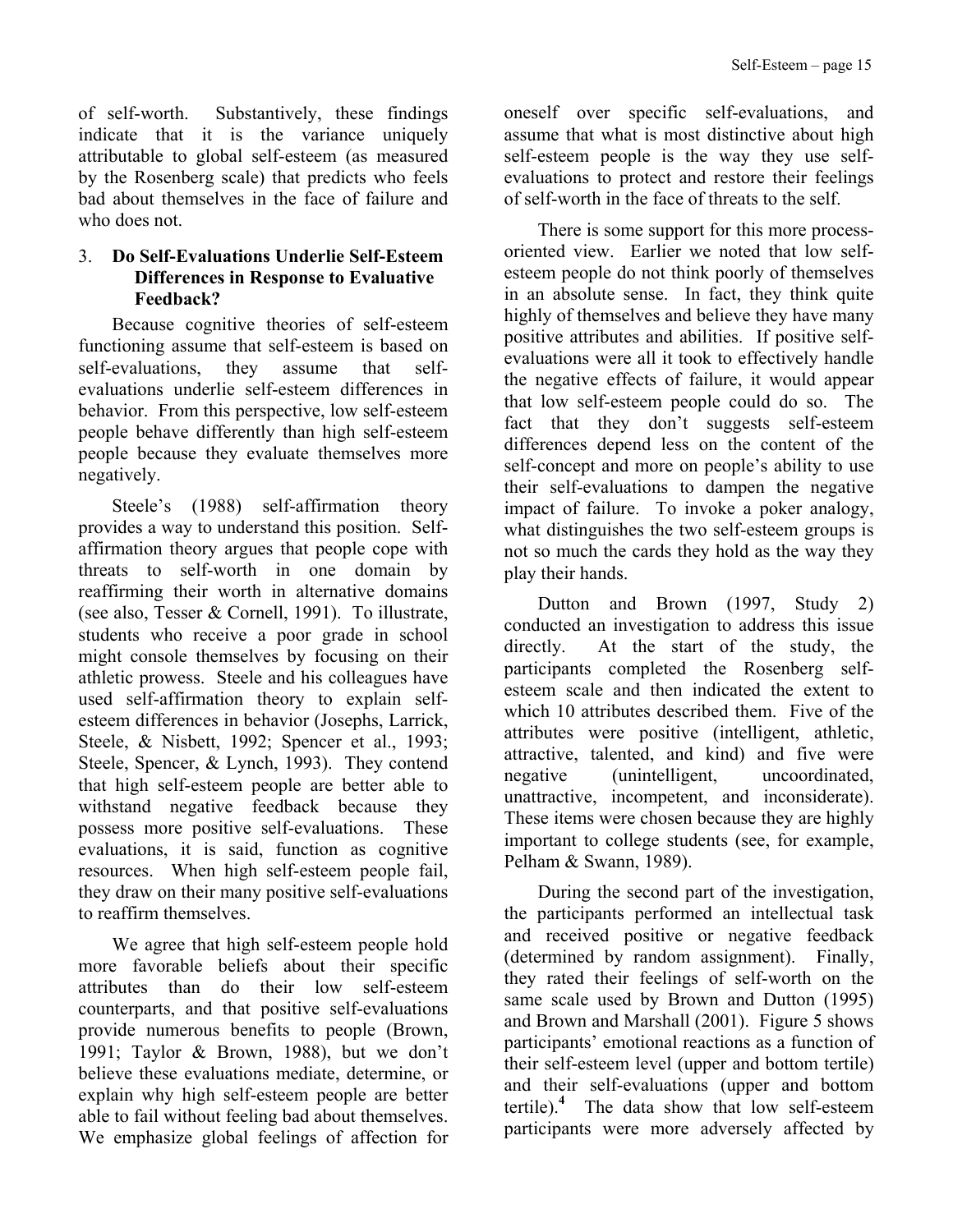of self-worth. Substantively, these findings indicate that it is the variance uniquely attributable to global self-esteem (as measured by the Rosenberg scale) that predicts who feels bad about themselves in the face of failure and who does not.

## 3. **Do Self-Evaluations Underlie Self-Esteem Differences in Response to Evaluative Feedback?**

Because cognitive theories of self-esteem functioning assume that self-esteem is based on self-evaluations, they assume that selfevaluations underlie self-esteem differences in behavior. From this perspective, low self-esteem people behave differently than high self-esteem people because they evaluate themselves more negatively.

Steele's (1988) self-affirmation theory provides a way to understand this position. Selfaffirmation theory argues that people cope with threats to self-worth in one domain by reaffirming their worth in alternative domains (see also, Tesser & Cornell, 1991). To illustrate, students who receive a poor grade in school might console themselves by focusing on their athletic prowess. Steele and his colleagues have used self-affirmation theory to explain selfesteem differences in behavior (Josephs, Larrick, Steele, & Nisbett, 1992; Spencer et al., 1993; Steele, Spencer, & Lynch, 1993). They contend that high self-esteem people are better able to withstand negative feedback because they possess more positive self-evaluations. These evaluations, it is said, function as cognitive resources. When high self-esteem people fail, they draw on their many positive self-evaluations to reaffirm themselves.

We agree that high self-esteem people hold more favorable beliefs about their specific attributes than do their low self-esteem counterparts, and that positive self-evaluations provide numerous benefits to people (Brown, 1991; Taylor & Brown, 1988), but we don't believe these evaluations mediate, determine, or explain why high self-esteem people are better able to fail without feeling bad about themselves. We emphasize global feelings of affection for

oneself over specific self-evaluations, and assume that what is most distinctive about high self-esteem people is the way they use selfevaluations to protect and restore their feelings of self-worth in the face of threats to the self.

There is some support for this more processoriented view. Earlier we noted that low selfesteem people do not think poorly of themselves in an absolute sense. In fact, they think quite highly of themselves and believe they have many positive attributes and abilities. If positive selfevaluations were all it took to effectively handle the negative effects of failure, it would appear that low self-esteem people could do so. The fact that they don't suggests self-esteem differences depend less on the content of the self-concept and more on people's ability to use their self-evaluations to dampen the negative impact of failure. To invoke a poker analogy, what distinguishes the two self-esteem groups is not so much the cards they hold as the way they play their hands.

Dutton and Brown (1997, Study 2) conducted an investigation to address this issue directly. At the start of the study, the participants completed the Rosenberg selfesteem scale and then indicated the extent to which 10 attributes described them. Five of the attributes were positive (intelligent, athletic, attractive, talented, and kind) and five were negative (unintelligent, uncoordinated, unattractive, incompetent, and inconsiderate). These items were chosen because they are highly important to college students (see, for example, Pelham & Swann, 1989).

During the second part of the investigation, the participants performed an intellectual task and received positive or negative feedback (determined by random assignment). Finally, they rated their feelings of self-worth on the same scale used by Brown and Dutton (1995) and Brown and Marshall (2001). [Figure 5](#page-15-0) shows participants' emotional reactions as a function of their self-esteem level (upper and bottom tertile) and their self-evaluations (upper and bottom tertile).**[4](#page-34-4)** The data show that low self-esteem participants were more adversely affected by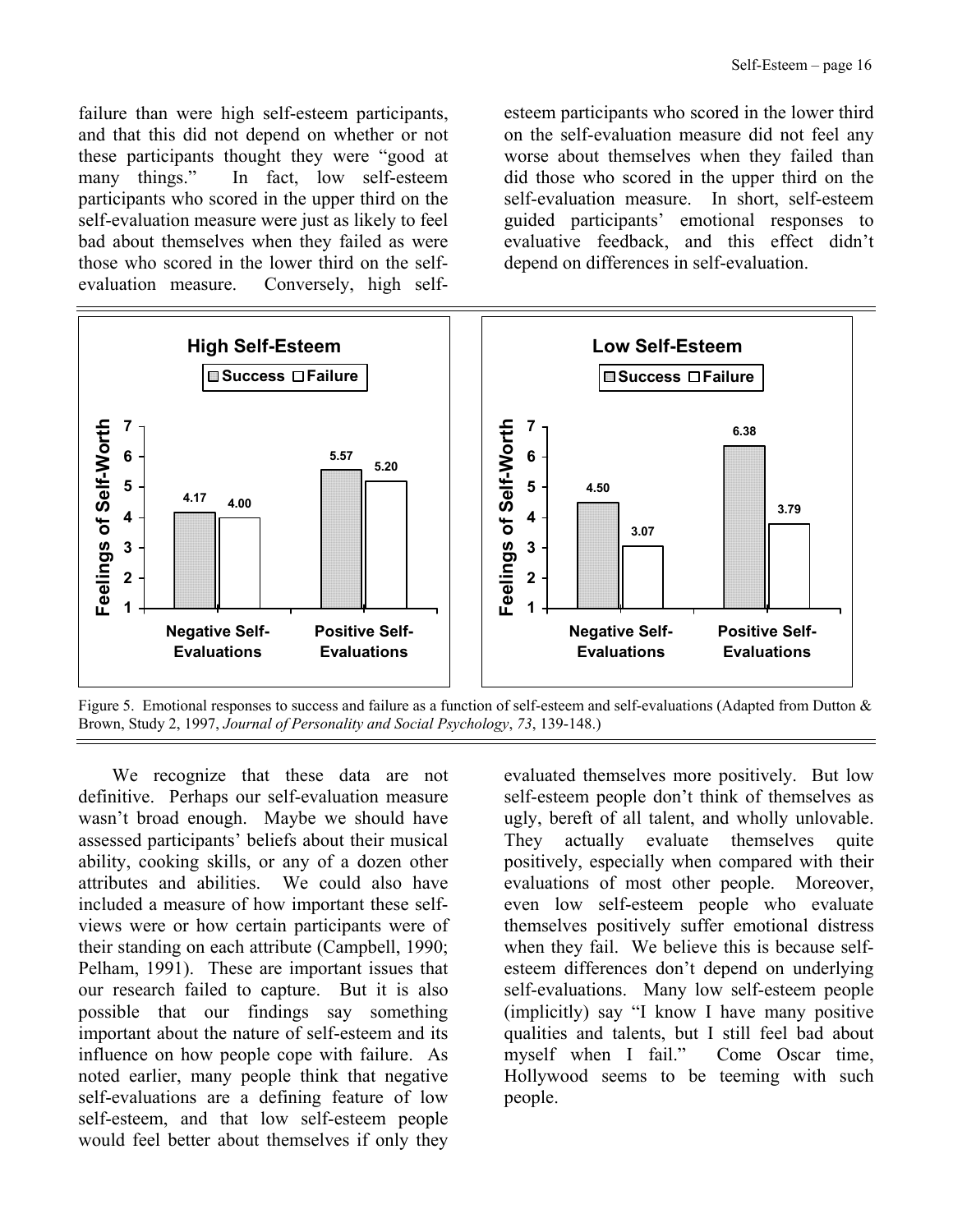failure than were high self-esteem participants, and that this did not depend on whether or not these participants thought they were "good at many things." In fact, low self-esteem participants who scored in the upper third on the self-evaluation measure were just as likely to feel bad about themselves when they failed as were those who scored in the lower third on the selfevaluation measure. Conversely, high selfesteem participants who scored in the lower third on the self-evaluation measure did not feel any worse about themselves when they failed than did those who scored in the upper third on the self-evaluation measure. In short, self-esteem guided participants' emotional responses to evaluative feedback, and this effect didn't depend on differences in self-evaluation.

<span id="page-15-0"></span>

Figure 5. Emotional responses to success and failure as a function of self-esteem and self-evaluations (Adapted from Dutton & Brown, Study 2, 1997, *Journal of Personality and Social Psychology*, *73*, 139-148.)

We recognize that these data are not definitive. Perhaps our self-evaluation measure wasn't broad enough. Maybe we should have assessed participants' beliefs about their musical ability, cooking skills, or any of a dozen other attributes and abilities. We could also have included a measure of how important these selfviews were or how certain participants were of their standing on each attribute (Campbell, 1990; Pelham, 1991). These are important issues that our research failed to capture. But it is also possible that our findings say something important about the nature of self-esteem and its influence on how people cope with failure. As noted earlier, many people think that negative self-evaluations are a defining feature of low self-esteem, and that low self-esteem people would feel better about themselves if only they

evaluated themselves more positively. But low self-esteem people don't think of themselves as ugly, bereft of all talent, and wholly unlovable. They actually evaluate themselves quite positively, especially when compared with their evaluations of most other people. Moreover, even low self-esteem people who evaluate themselves positively suffer emotional distress when they fail. We believe this is because selfesteem differences don't depend on underlying self-evaluations. Many low self-esteem people (implicitly) say "I know I have many positive qualities and talents, but I still feel bad about myself when I fail." Come Oscar time, Hollywood seems to be teeming with such people.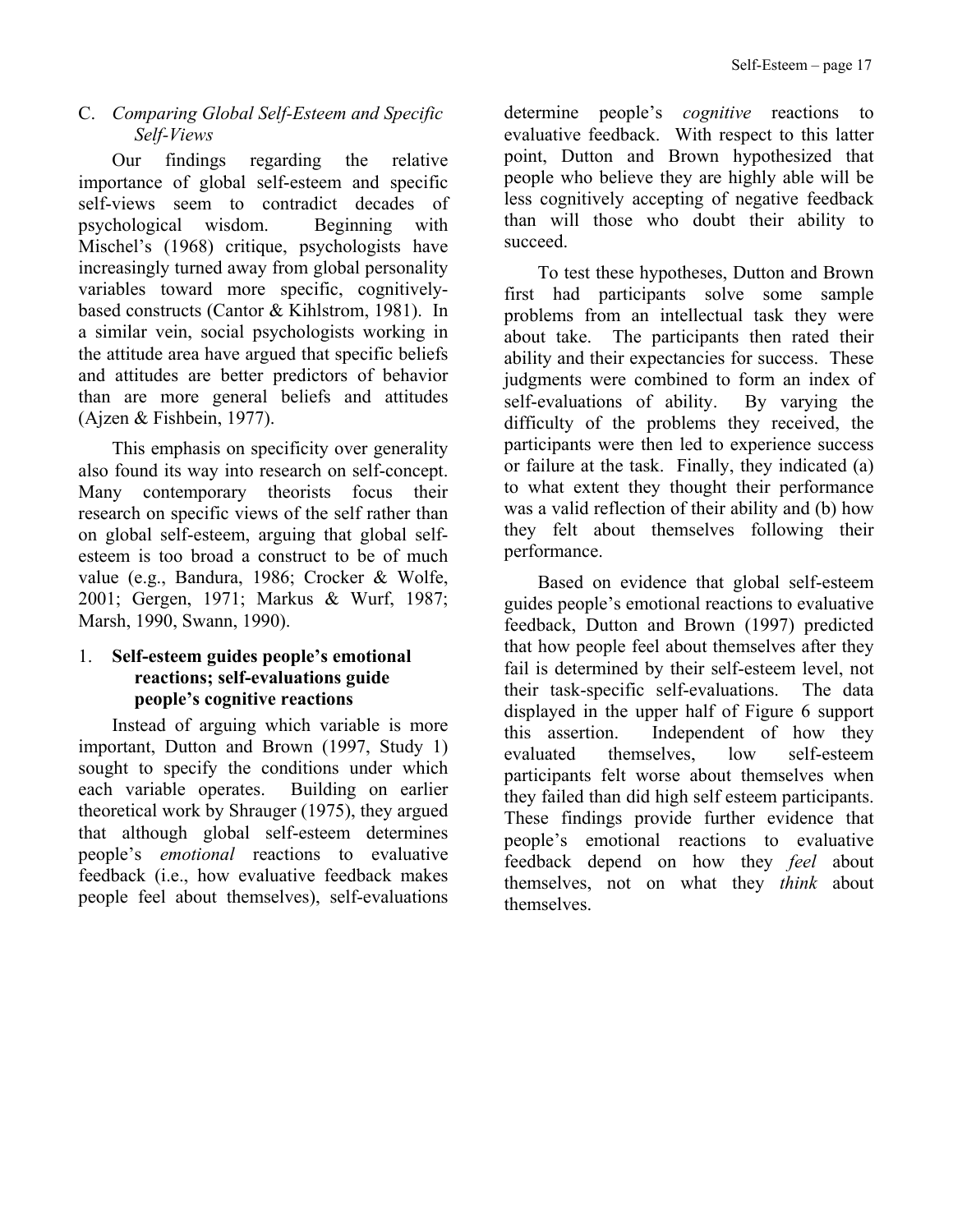## <span id="page-16-0"></span>C. *Comparing Global Self-Esteem and Specific Self-Views*

Our findings regarding the relative importance of global self-esteem and specific self-views seem to contradict decades of psychological wisdom. Beginning with Mischel's (1968) critique, psychologists have increasingly turned away from global personality variables toward more specific, cognitivelybased constructs (Cantor & Kihlstrom, 1981). In a similar vein, social psychologists working in the attitude area have argued that specific beliefs and attitudes are better predictors of behavior than are more general beliefs and attitudes (Ajzen & Fishbein, 1977).

This emphasis on specificity over generality also found its way into research on self-concept. Many contemporary theorists focus their research on specific views of the self rather than on global self-esteem, arguing that global selfesteem is too broad a construct to be of much value (e.g., Bandura, 1986; Crocker & Wolfe, 2001; Gergen, 1971; Markus & Wurf, 1987; Marsh, 1990, Swann, 1990).

### 1. **Self-esteem guides people's emotional reactions; self-evaluations guide people's cognitive reactions**

Instead of arguing which variable is more important, Dutton and Brown (1997, Study 1) sought to specify the conditions under which each variable operates. Building on earlier theoretical work by Shrauger (1975), they argued that although global self-esteem determines people's *emotional* reactions to evaluative feedback (i.e., how evaluative feedback makes people feel about themselves), self-evaluations

determine people's *cognitive* reactions to evaluative feedback. With respect to this latter point, Dutton and Brown hypothesized that people who believe they are highly able will be less cognitively accepting of negative feedback than will those who doubt their ability to succeed.

To test these hypotheses, Dutton and Brown first had participants solve some sample problems from an intellectual task they were about take. The participants then rated their ability and their expectancies for success. These judgments were combined to form an index of self-evaluations of ability. By varying the difficulty of the problems they received, the participants were then led to experience success or failure at the task. Finally, they indicated (a) to what extent they thought their performance was a valid reflection of their ability and (b) how they felt about themselves following their performance.

Based on evidence that global self-esteem guides people's emotional reactions to evaluative feedback, Dutton and Brown (1997) predicted that how people feel about themselves after they fail is determined by their self-esteem level, not their task-specific self-evaluations. The data displayed in the upper half of [Figure 6](#page-17-0) support this assertion. Independent of how they evaluated themselves, low self-esteem participants felt worse about themselves when they failed than did high self esteem participants. These findings provide further evidence that people's emotional reactions to evaluative feedback depend on how they *feel* about themselves, not on what they *think* about themselves.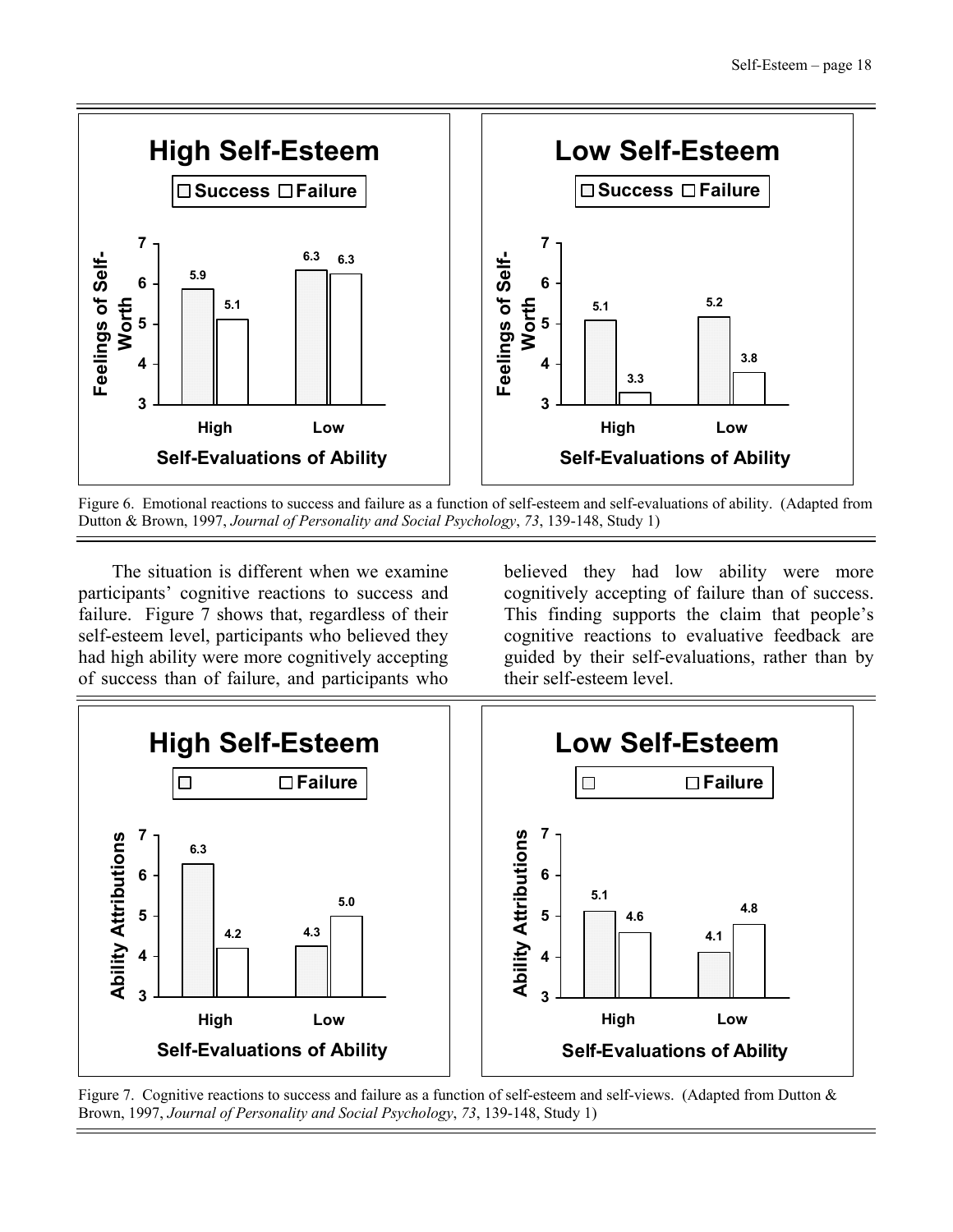<span id="page-17-0"></span>

Figure 6. Emotional reactions to success and failure as a function of self-esteem and self-evaluations of ability. (Adapted from Dutton & Brown, 1997, *Journal of Personality and Social Psychology*, *73*, 139-148, Study 1)

The situation is different when we examine participants' cognitive reactions to success and failure. [Figure 7](#page-17-1) shows that, regardless of their self-esteem level, participants who believed they had high ability were more cognitively accepting of success than of failure, and participants who their self-esteem level.

believed they had low ability were more cognitively accepting of failure than of success. This finding supports the claim that people's cognitive reactions to evaluative feedback are guided by their self-evaluations, rather than by

<span id="page-17-1"></span>

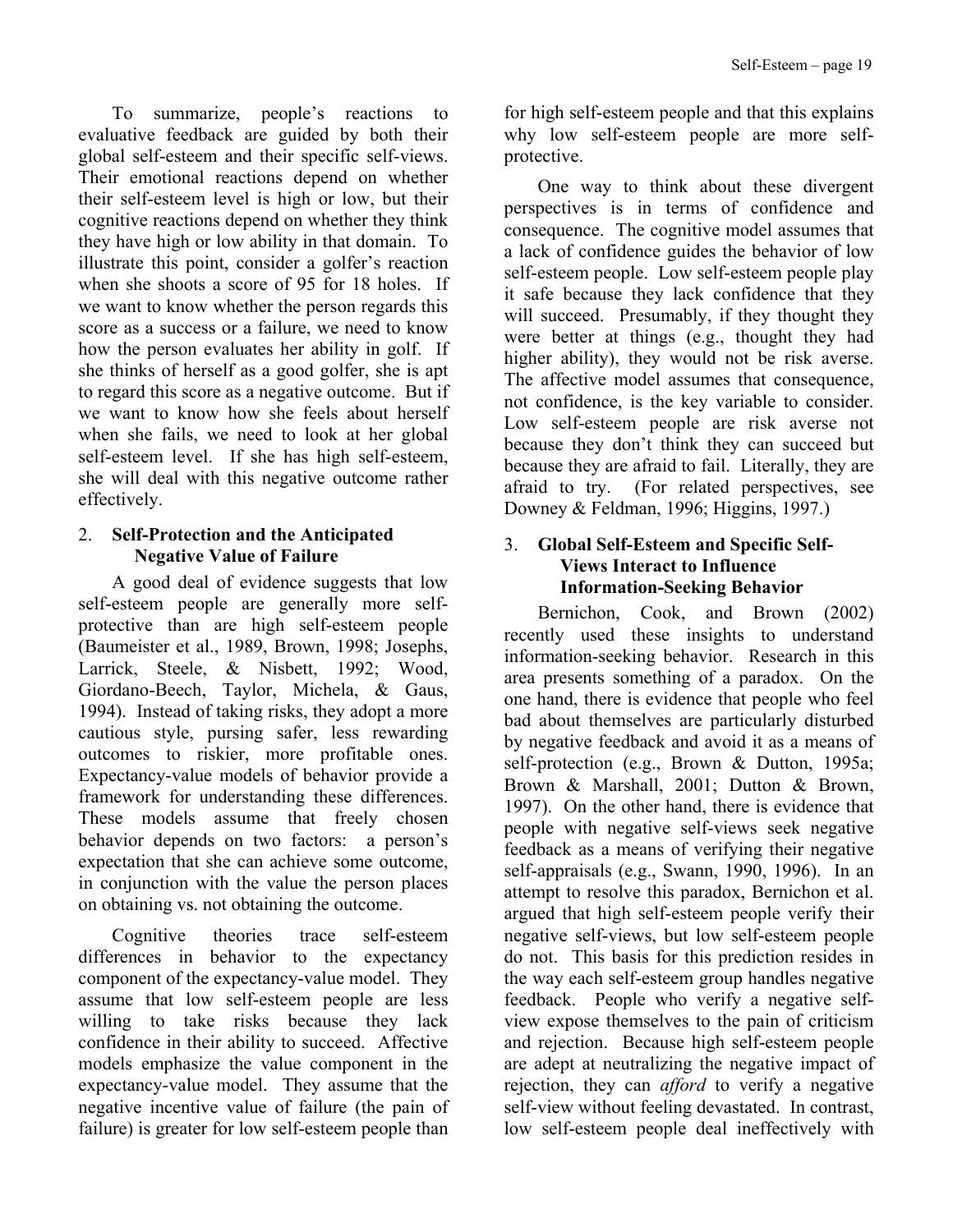To summarize, people's reactions to evaluative feedback are guided by both their global self-esteem and their specific self-views. Their emotional reactions depend on whether their self-esteem level is high or low, but their cognitive reactions depend on whether they think they have high or low ability in that domain. To illustrate this point, consider a golfer's reaction when she shoots a score of 95 for 18 holes. If we want to know whether the person regards this score as a success or a failure, we need to know how the person evaluates her ability in golf. If she thinks of herself as a good golfer, she is apt to regard this score as a negative outcome. But if we want to know how she feels about herself when she fails, we need to look at her global self-esteem level. If she has high self-esteem, she will deal with this negative outcome rather effectively.

## 2. **Self-Protection and the Anticipated Negative Value of Failure**

A good deal of evidence suggests that low self-esteem people are generally more selfprotective than are high self-esteem people (Baumeister et al., 1989, Brown, 1998; Josephs, Larrick, Steele, & Nisbett, 1992; Wood, Giordano-Beech, Taylor, Michela, & Gaus, 1994). Instead of taking risks, they adopt a more cautious style, pursing safer, less rewarding outcomes to riskier, more profitable ones. Expectancy-value models of behavior provide a framework for understanding these differences. These models assume that freely chosen behavior depends on two factors: a person's expectation that she can achieve some outcome, in conjunction with the value the person places on obtaining vs. not obtaining the outcome.

Cognitive theories trace self-esteem differences in behavior to the expectancy component of the expectancy-value model. They assume that low self-esteem people are less willing to take risks because they lack confidence in their ability to succeed. Affective models emphasize the value component in the expectancy-value model. They assume that the negative incentive value of failure (the pain of failure) is greater for low self-esteem people than for high self-esteem people and that this explains why low self-esteem people are more selfprotective.

One way to think about these divergent perspectives is in terms of confidence and consequence. The cognitive model assumes that a lack of confidence guides the behavior of low self-esteem people. Low self-esteem people play it safe because they lack confidence that they will succeed. Presumably, if they thought they were better at things (e.g., thought they had higher ability), they would not be risk averse. The affective model assumes that consequence, not confidence, is the key variable to consider. Low self-esteem people are risk averse not because they don't think they can succeed but because they are afraid to fail. Literally, they are afraid to try. (For related perspectives, see Downey & Feldman, 1996; Higgins, 1997.)

### 3. **Global Self-Esteem and Specific Self-Views Interact to Influence Information-Seeking Behavior**

Bernichon, Cook, and Brown (2002) recently used these insights to understand information-seeking behavior. Research in this area presents something of a paradox. On the one hand, there is evidence that people who feel bad about themselves are particularly disturbed by negative feedback and avoid it as a means of self-protection (e.g., Brown & Dutton, 1995a; Brown & Marshall, 2001; Dutton & Brown, 1997). On the other hand, there is evidence that people with negative self-views seek negative feedback as a means of verifying their negative self-appraisals (e.g., Swann, 1990, 1996). In an attempt to resolve this paradox, Bernichon et al. argued that high self-esteem people verify their negative self-views, but low self-esteem people do not. This basis for this prediction resides in the way each self-esteem group handles negative feedback. People who verify a negative selfview expose themselves to the pain of criticism and rejection. Because high self-esteem people are adept at neutralizing the negative impact of rejection, they can *afford* to verify a negative self-view without feeling devastated. In contrast, low self-esteem people deal ineffectively with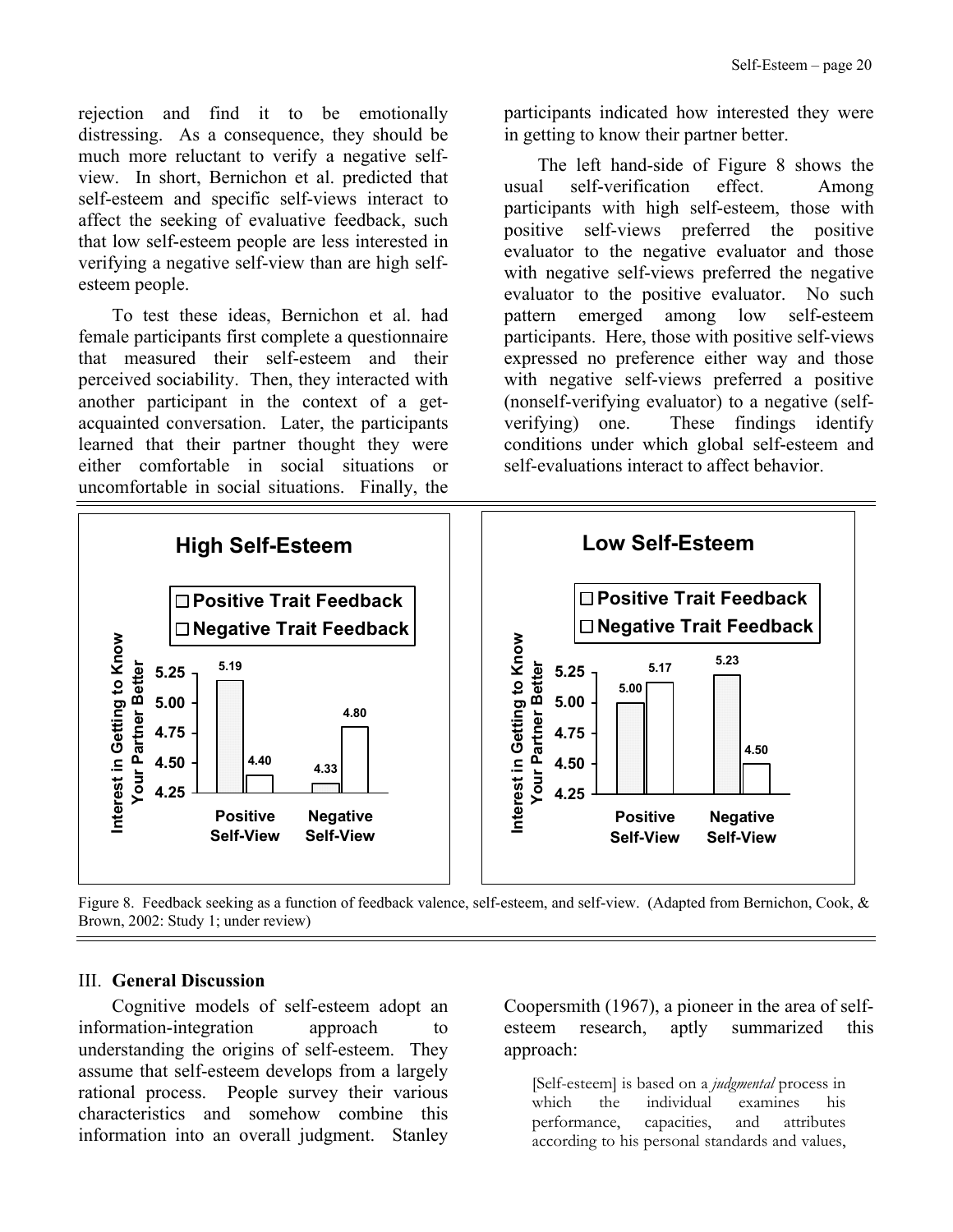<span id="page-19-0"></span>rejection and find it to be emotionally distressing. As a consequence, they should be much more reluctant to verify a negative selfview. In short, Bernichon et al. predicted that self-esteem and specific self-views interact to affect the seeking of evaluative feedback, such that low self-esteem people are less interested in verifying a negative self-view than are high selfesteem people.

To test these ideas, Bernichon et al. had female participants first complete a questionnaire that measured their self-esteem and their perceived sociability. Then, they interacted with another participant in the context of a getacquainted conversation. Later, the participants learned that their partner thought they were either comfortable in social situations or uncomfortable in social situations. Finally, the participants indicated how interested they were in getting to know their partner better.

The left hand-side of [Figure 8](#page-19-1) shows the usual self-verification effect. Among participants with high self-esteem, those with positive self-views preferred the positive evaluator to the negative evaluator and those with negative self-views preferred the negative evaluator to the positive evaluator. No such pattern emerged among low self-esteem participants. Here, those with positive self-views expressed no preference either way and those with negative self-views preferred a positive (nonself-verifying evaluator) to a negative (selfverifying) one. These findings identify conditions under which global self-esteem and self-evaluations interact to affect behavior.

<span id="page-19-1"></span>



### III. **General Discussion**

Cognitive models of self-esteem adopt an information-integration approach to understanding the origins of self-esteem. They assume that self-esteem develops from a largely rational process. People survey their various characteristics and somehow combine this information into an overall judgment. Stanley

Coopersmith (1967), a pioneer in the area of selfesteem research, aptly summarized this approach:

[Self-esteem] is based on a *judgmental* process in which the individual examines his performance, capacities, and attributes according to his personal standards and values,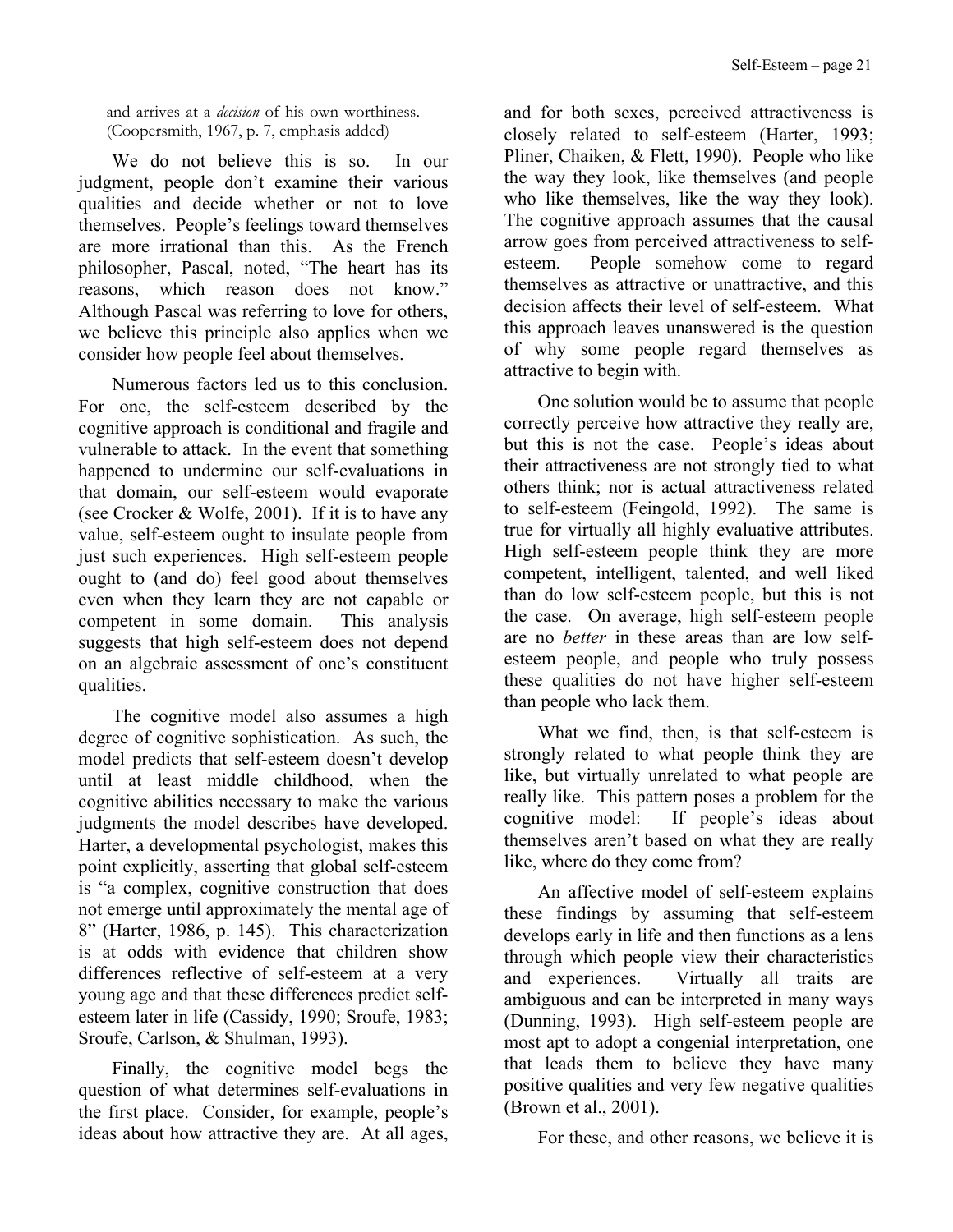and arrives at a *decision* of his own worthiness. (Coopersmith, 1967, p. 7, emphasis added)

We do not believe this is so. In our judgment, people don't examine their various qualities and decide whether or not to love themselves. People's feelings toward themselves are more irrational than this. As the French philosopher, Pascal, noted, "The heart has its reasons, which reason does not know." Although Pascal was referring to love for others, we believe this principle also applies when we consider how people feel about themselves.

Numerous factors led us to this conclusion. For one, the self-esteem described by the cognitive approach is conditional and fragile and vulnerable to attack. In the event that something happened to undermine our self-evaluations in that domain, our self-esteem would evaporate (see Crocker & Wolfe, 2001). If it is to have any value, self-esteem ought to insulate people from just such experiences. High self-esteem people ought to (and do) feel good about themselves even when they learn they are not capable or competent in some domain. This analysis suggests that high self-esteem does not depend on an algebraic assessment of one's constituent qualities.

The cognitive model also assumes a high degree of cognitive sophistication. As such, the model predicts that self-esteem doesn't develop until at least middle childhood, when the cognitive abilities necessary to make the various judgments the model describes have developed. Harter, a developmental psychologist, makes this point explicitly, asserting that global self-esteem is "a complex, cognitive construction that does not emerge until approximately the mental age of 8" (Harter, 1986, p. 145). This characterization is at odds with evidence that children show differences reflective of self-esteem at a very young age and that these differences predict selfesteem later in life (Cassidy, 1990; Sroufe, 1983; Sroufe, Carlson, & Shulman, 1993).

Finally, the cognitive model begs the question of what determines self-evaluations in the first place. Consider, for example, people's ideas about how attractive they are. At all ages, and for both sexes, perceived attractiveness is closely related to self-esteem (Harter, 1993; Pliner, Chaiken, & Flett, 1990). People who like the way they look, like themselves (and people who like themselves, like the way they look). The cognitive approach assumes that the causal arrow goes from perceived attractiveness to selfesteem. People somehow come to regard themselves as attractive or unattractive, and this decision affects their level of self-esteem. What this approach leaves unanswered is the question of why some people regard themselves as attractive to begin with.

One solution would be to assume that people correctly perceive how attractive they really are, but this is not the case. People's ideas about their attractiveness are not strongly tied to what others think; nor is actual attractiveness related to self-esteem (Feingold, 1992). The same is true for virtually all highly evaluative attributes. High self-esteem people think they are more competent, intelligent, talented, and well liked than do low self-esteem people, but this is not the case. On average, high self-esteem people are no *better* in these areas than are low selfesteem people, and people who truly possess these qualities do not have higher self-esteem than people who lack them.

What we find, then, is that self-esteem is strongly related to what people think they are like, but virtually unrelated to what people are really like. This pattern poses a problem for the cognitive model: If people's ideas about themselves aren't based on what they are really like, where do they come from?

An affective model of self-esteem explains these findings by assuming that self-esteem develops early in life and then functions as a lens through which people view their characteristics and experiences. Virtually all traits are ambiguous and can be interpreted in many ways (Dunning, 1993). High self-esteem people are most apt to adopt a congenial interpretation, one that leads them to believe they have many positive qualities and very few negative qualities (Brown et al., 2001).

For these, and other reasons, we believe it is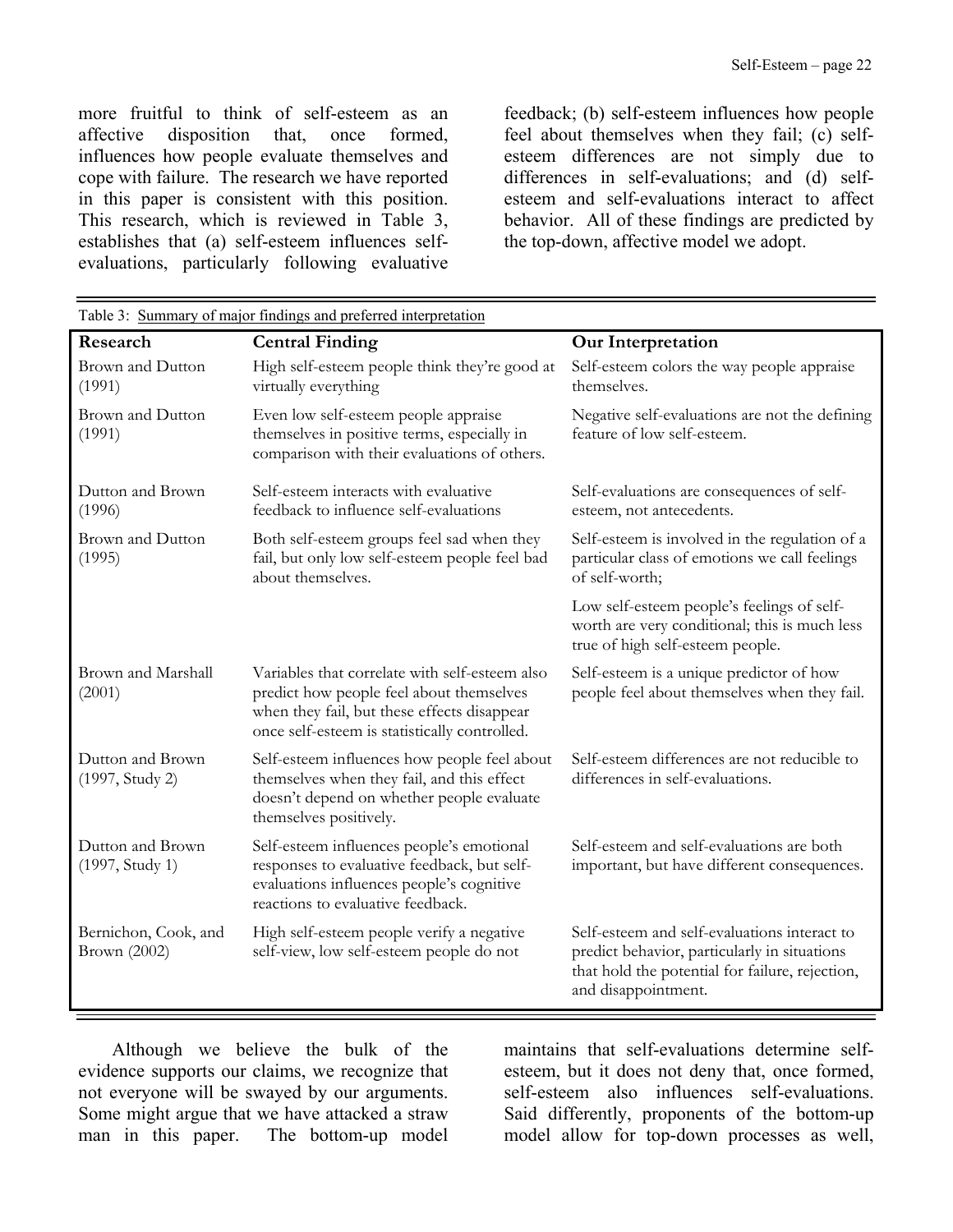more fruitful to think of self-esteem as an affective disposition that, once formed, influences how people evaluate themselves and cope with failure. The research we have reported in this paper is consistent with this position. This research, which is reviewed in [Table 3,](#page-21-0) establishes that (a) self-esteem influences selfevaluations, particularly following evaluative

feedback; (b) self-esteem influences how people feel about themselves when they fail; (c) selfesteem differences are not simply due to differences in self-evaluations; and (d) selfesteem and self-evaluations interact to affect behavior. All of these findings are predicted by the top-down, affective model we adopt.

<span id="page-21-0"></span>

| Table 3: Summary of major findings and preferred interpretation |                                                                                                                                                                                            |                                                                                                                                                                        |  |  |
|-----------------------------------------------------------------|--------------------------------------------------------------------------------------------------------------------------------------------------------------------------------------------|------------------------------------------------------------------------------------------------------------------------------------------------------------------------|--|--|
| Research                                                        | <b>Central Finding</b>                                                                                                                                                                     | <b>Our Interpretation</b>                                                                                                                                              |  |  |
| Brown and Dutton<br>(1991)                                      | High self-esteem people think they're good at<br>virtually everything                                                                                                                      | Self-esteem colors the way people appraise<br>themselves.                                                                                                              |  |  |
| Brown and Dutton<br>(1991)                                      | Even low self-esteem people appraise<br>themselves in positive terms, especially in<br>comparison with their evaluations of others.                                                        | Negative self-evaluations are not the defining<br>feature of low self-esteem.                                                                                          |  |  |
| Dutton and Brown<br>(1996)                                      | Self-esteem interacts with evaluative<br>feedback to influence self-evaluations                                                                                                            | Self-evaluations are consequences of self-<br>esteem, not antecedents.                                                                                                 |  |  |
| Brown and Dutton<br>(1995)                                      | Both self-esteem groups feel sad when they<br>fail, but only low self-esteem people feel bad<br>about themselves.                                                                          | Self-esteem is involved in the regulation of a<br>particular class of emotions we call feelings<br>of self-worth;                                                      |  |  |
|                                                                 |                                                                                                                                                                                            | Low self-esteem people's feelings of self-<br>worth are very conditional; this is much less<br>true of high self-esteem people.                                        |  |  |
| Brown and Marshall<br>(2001)                                    | Variables that correlate with self-esteem also<br>predict how people feel about themselves<br>when they fail, but these effects disappear<br>once self-esteem is statistically controlled. | Self-esteem is a unique predictor of how<br>people feel about themselves when they fail.                                                                               |  |  |
| Dutton and Brown<br>(1997, Study 2)                             | Self-esteem influences how people feel about<br>themselves when they fail, and this effect<br>doesn't depend on whether people evaluate<br>themselves positively.                          | Self-esteem differences are not reducible to<br>differences in self-evaluations.                                                                                       |  |  |
| Dutton and Brown<br>(1997, Study 1)                             | Self-esteem influences people's emotional<br>responses to evaluative feedback, but self-<br>evaluations influences people's cognitive<br>reactions to evaluative feedback.                 | Self-esteem and self-evaluations are both<br>important, but have different consequences.                                                                               |  |  |
| Bernichon, Cook, and<br>Brown (2002)                            | High self-esteem people verify a negative<br>self-view, low self-esteem people do not                                                                                                      | Self-esteem and self-evaluations interact to<br>predict behavior, particularly in situations<br>that hold the potential for failure, rejection,<br>and disappointment. |  |  |

Although we believe the bulk of the evidence supports our claims, we recognize that not everyone will be swayed by our arguments. Some might argue that we have attacked a straw man in this paper. The bottom-up model maintains that self-evaluations determine selfesteem, but it does not deny that, once formed, self-esteem also influences self-evaluations. Said differently, proponents of the bottom-up model allow for top-down processes as well,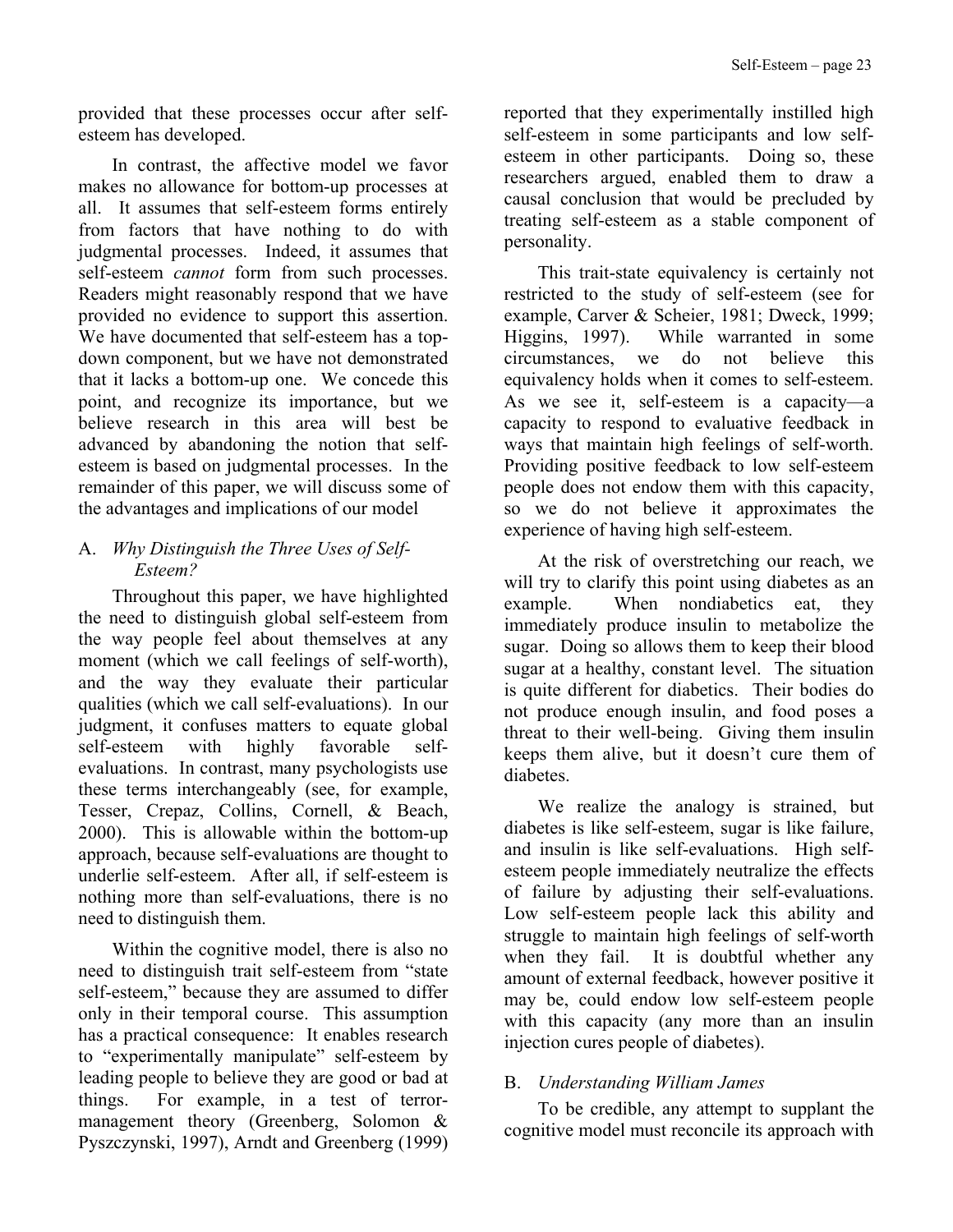<span id="page-22-0"></span>provided that these processes occur after selfesteem has developed.

In contrast, the affective model we favor makes no allowance for bottom-up processes at all. It assumes that self-esteem forms entirely from factors that have nothing to do with judgmental processes. Indeed, it assumes that self-esteem *cannot* form from such processes. Readers might reasonably respond that we have provided no evidence to support this assertion. We have documented that self-esteem has a topdown component, but we have not demonstrated that it lacks a bottom-up one. We concede this point, and recognize its importance, but we believe research in this area will best be advanced by abandoning the notion that selfesteem is based on judgmental processes. In the remainder of this paper, we will discuss some of the advantages and implications of our model

## A. *Why Distinguish the Three Uses of Self-Esteem?*

Throughout this paper, we have highlighted the need to distinguish global self-esteem from the way people feel about themselves at any moment (which we call feelings of self-worth), and the way they evaluate their particular qualities (which we call self-evaluations). In our judgment, it confuses matters to equate global self-esteem with highly favorable selfevaluations. In contrast, many psychologists use these terms interchangeably (see, for example, Tesser, Crepaz, Collins, Cornell, & Beach, 2000). This is allowable within the bottom-up approach, because self-evaluations are thought to underlie self-esteem. After all, if self-esteem is nothing more than self-evaluations, there is no need to distinguish them.

Within the cognitive model, there is also no need to distinguish trait self-esteem from "state self-esteem," because they are assumed to differ only in their temporal course. This assumption has a practical consequence: It enables research to "experimentally manipulate" self-esteem by leading people to believe they are good or bad at things. For example, in a test of terrormanagement theory (Greenberg, Solomon & Pyszczynski, 1997), Arndt and Greenberg (1999)

reported that they experimentally instilled high self-esteem in some participants and low selfesteem in other participants. Doing so, these researchers argued, enabled them to draw a causal conclusion that would be precluded by treating self-esteem as a stable component of personality.

This trait-state equivalency is certainly not restricted to the study of self-esteem (see for example, Carver & Scheier, 1981; Dweck, 1999; Higgins, 1997). While warranted in some circumstances, we do not believe this equivalency holds when it comes to self-esteem. As we see it, self-esteem is a capacity—a capacity to respond to evaluative feedback in ways that maintain high feelings of self-worth. Providing positive feedback to low self-esteem people does not endow them with this capacity, so we do not believe it approximates the experience of having high self-esteem.

At the risk of overstretching our reach, we will try to clarify this point using diabetes as an example. When nondiabetics eat, they immediately produce insulin to metabolize the sugar. Doing so allows them to keep their blood sugar at a healthy, constant level. The situation is quite different for diabetics. Their bodies do not produce enough insulin, and food poses a threat to their well-being. Giving them insulin keeps them alive, but it doesn't cure them of diabetes.

We realize the analogy is strained, but diabetes is like self-esteem, sugar is like failure, and insulin is like self-evaluations. High selfesteem people immediately neutralize the effects of failure by adjusting their self-evaluations. Low self-esteem people lack this ability and struggle to maintain high feelings of self-worth when they fail. It is doubtful whether any amount of external feedback, however positive it may be, could endow low self-esteem people with this capacity (any more than an insulin injection cures people of diabetes).

# B. *Understanding William James*

To be credible, any attempt to supplant the cognitive model must reconcile its approach with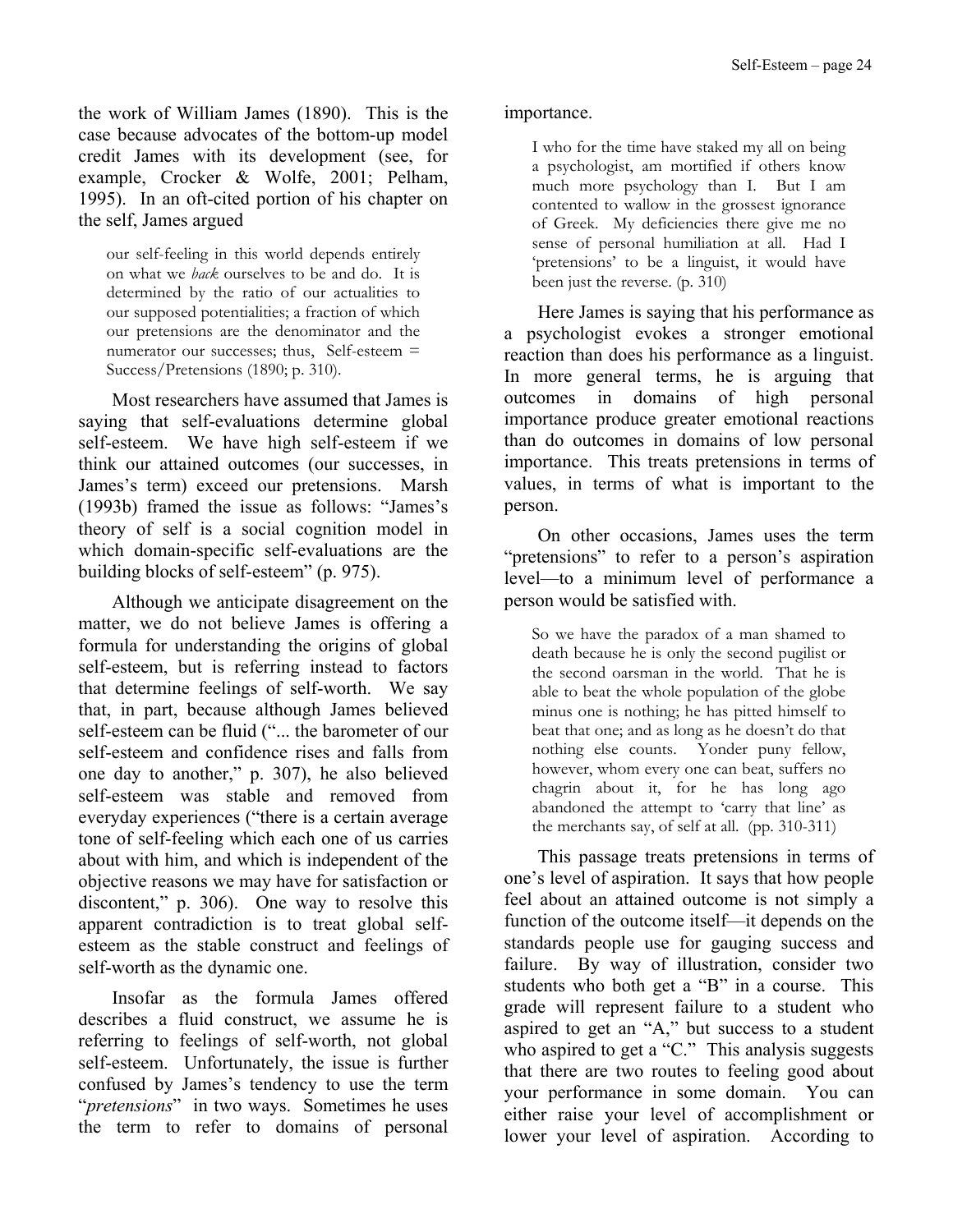the work of William James (1890). This is the case because advocates of the bottom-up model credit James with its development (see, for example, Crocker & Wolfe, 2001; Pelham, 1995). In an oft-cited portion of his chapter on the self, James argued

our self-feeling in this world depends entirely on what we *back* ourselves to be and do. It is determined by the ratio of our actualities to our supposed potentialities; a fraction of which our pretensions are the denominator and the numerator our successes; thus, Self-esteem = Success/Pretensions (1890; p. 310).

Most researchers have assumed that James is saying that self-evaluations determine global self-esteem. We have high self-esteem if we think our attained outcomes (our successes, in James's term) exceed our pretensions. Marsh (1993b) framed the issue as follows: "James's theory of self is a social cognition model in which domain-specific self-evaluations are the building blocks of self-esteem" (p. 975).

Although we anticipate disagreement on the matter, we do not believe James is offering a formula for understanding the origins of global self-esteem, but is referring instead to factors that determine feelings of self-worth. We say that, in part, because although James believed self-esteem can be fluid ("... the barometer of our self-esteem and confidence rises and falls from one day to another," p. 307), he also believed self-esteem was stable and removed from everyday experiences ("there is a certain average tone of self-feeling which each one of us carries about with him, and which is independent of the objective reasons we may have for satisfaction or discontent," p. 306). One way to resolve this apparent contradiction is to treat global selfesteem as the stable construct and feelings of self-worth as the dynamic one.

Insofar as the formula James offered describes a fluid construct, we assume he is referring to feelings of self-worth, not global self-esteem. Unfortunately, the issue is further confused by James's tendency to use the term "*pretensions*" in two ways. Sometimes he uses the term to refer to domains of personal

### importance.

I who for the time have staked my all on being a psychologist, am mortified if others know much more psychology than I. But I am contented to wallow in the grossest ignorance of Greek. My deficiencies there give me no sense of personal humiliation at all. Had I 'pretensions' to be a linguist, it would have been just the reverse. (p. 310)

Here James is saying that his performance as a psychologist evokes a stronger emotional reaction than does his performance as a linguist. In more general terms, he is arguing that outcomes in domains of high personal importance produce greater emotional reactions than do outcomes in domains of low personal importance. This treats pretensions in terms of values, in terms of what is important to the person.

On other occasions, James uses the term "pretensions" to refer to a person's aspiration level—to a minimum level of performance a person would be satisfied with.

So we have the paradox of a man shamed to death because he is only the second pugilist or the second oarsman in the world. That he is able to beat the whole population of the globe minus one is nothing; he has pitted himself to beat that one; and as long as he doesn't do that nothing else counts. Yonder puny fellow, however, whom every one can beat, suffers no chagrin about it, for he has long ago abandoned the attempt to 'carry that line' as the merchants say, of self at all. (pp. 310-311)

This passage treats pretensions in terms of one's level of aspiration. It says that how people feel about an attained outcome is not simply a function of the outcome itself—it depends on the standards people use for gauging success and failure. By way of illustration, consider two students who both get a "B" in a course. This grade will represent failure to a student who aspired to get an "A," but success to a student who aspired to get a "C." This analysis suggests that there are two routes to feeling good about your performance in some domain. You can either raise your level of accomplishment or lower your level of aspiration. According to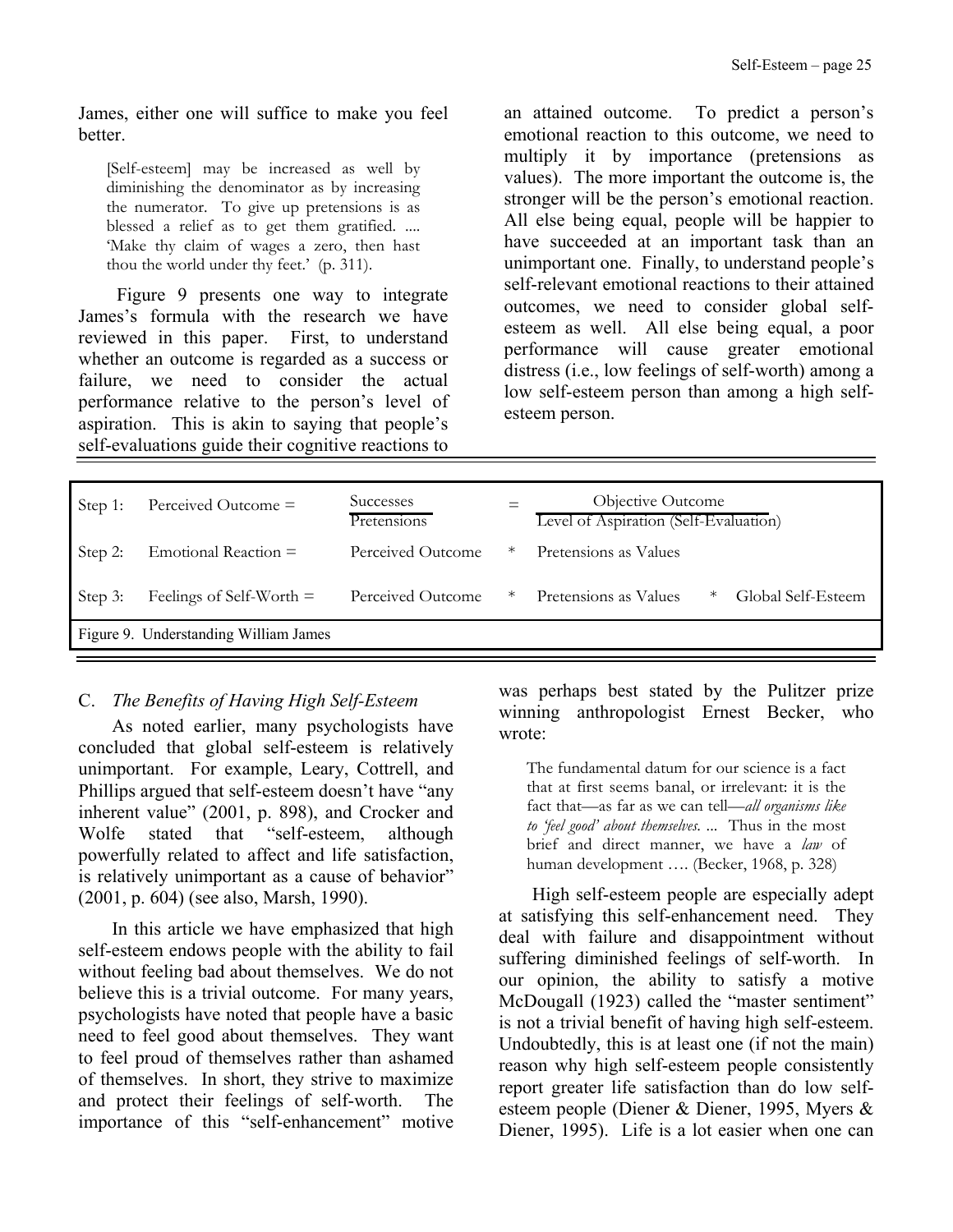<span id="page-24-0"></span>James, either one will suffice to make you feel **better** 

[Self-esteem] may be increased as well by diminishing the denominator as by increasing the numerator. To give up pretensions is as blessed a relief as to get them gratified. .... 'Make thy claim of wages a zero, then hast thou the world under thy feet.' (p. 311).

[Figure 9](#page-24-1) presents one way to integrate James's formula with the research we have reviewed in this paper. First, to understand whether an outcome is regarded as a success or failure, we need to consider the actual performance relative to the person's level of aspiration. This is akin to saying that people's self-evaluations guide their cognitive reactions to an attained outcome. To predict a person's emotional reaction to this outcome, we need to multiply it by importance (pretensions as values). The more important the outcome is, the stronger will be the person's emotional reaction. All else being equal, people will be happier to have succeeded at an important task than an unimportant one. Finally, to understand people's self-relevant emotional reactions to their attained outcomes, we need to consider global selfesteem as well. All else being equal, a poor performance will cause greater emotional distress (i.e., low feelings of self-worth) among a low self-esteem person than among a high selfesteem person.

| Step 1: | Perceived Outcome =                   | <b>Successes</b><br>Pretensions |        | Objective Outcome<br>Level of Aspiration (Self-Evaluation) |
|---------|---------------------------------------|---------------------------------|--------|------------------------------------------------------------|
| Step 2: | Emotional Reaction =                  | Perceived Outcome               | $\ast$ | Pretensions as Values                                      |
| Step 3: | Feelings of Self-Worth $=$            | Perceived Outcome               | $\ast$ | Pretensions as Values<br>Global Self-Esteem                |
|         | Figure 9. Understanding William James |                                 |        |                                                            |

# <span id="page-24-1"></span>C. *The Benefits of Having High Self-Esteem*

As noted earlier, many psychologists have concluded that global self-esteem is relatively unimportant. For example, Leary, Cottrell, and Phillips argued that self-esteem doesn't have "any inherent value" (2001, p. 898), and Crocker and Wolfe stated that "self-esteem, although powerfully related to affect and life satisfaction, is relatively unimportant as a cause of behavior" (2001, p. 604) (see also, Marsh, 1990).

In this article we have emphasized that high self-esteem endows people with the ability to fail without feeling bad about themselves. We do not believe this is a trivial outcome. For many years, psychologists have noted that people have a basic need to feel good about themselves. They want to feel proud of themselves rather than ashamed of themselves. In short, they strive to maximize and protect their feelings of self-worth. The importance of this "self-enhancement" motive

was perhaps best stated by the Pulitzer prize winning anthropologist Ernest Becker, who wrote:

The fundamental datum for our science is a fact that at first seems banal, or irrelevant: it is the fact that—as far as we can tell—*all organisms like to 'feel good' about themselves*. ... Thus in the most brief and direct manner, we have a *law* of human development …. (Becker, 1968, p. 328)

High self-esteem people are especially adept at satisfying this self-enhancement need. They deal with failure and disappointment without suffering diminished feelings of self-worth. In our opinion, the ability to satisfy a motive McDougall (1923) called the "master sentiment" is not a trivial benefit of having high self-esteem. Undoubtedly, this is at least one (if not the main) reason why high self-esteem people consistently report greater life satisfaction than do low selfesteem people (Diener & Diener, 1995, Myers & Diener, 1995). Life is a lot easier when one can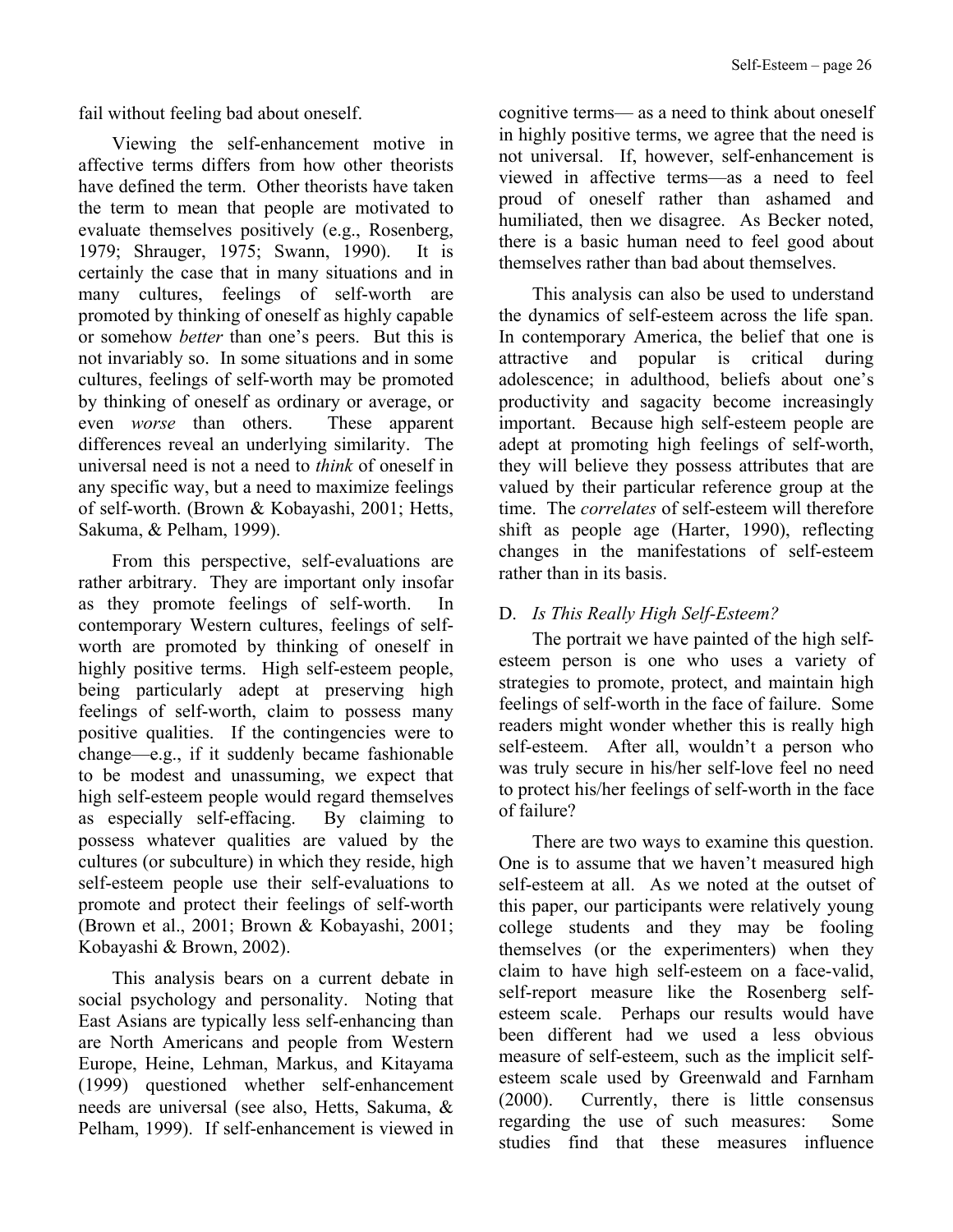<span id="page-25-0"></span>fail without feeling bad about oneself.

Viewing the self-enhancement motive in affective terms differs from how other theorists have defined the term. Other theorists have taken the term to mean that people are motivated to evaluate themselves positively (e.g., Rosenberg, 1979; Shrauger, 1975; Swann, 1990). It is certainly the case that in many situations and in many cultures, feelings of self-worth are promoted by thinking of oneself as highly capable or somehow *better* than one's peers. But this is not invariably so. In some situations and in some cultures, feelings of self-worth may be promoted by thinking of oneself as ordinary or average, or even *worse* than others. These apparent differences reveal an underlying similarity. The universal need is not a need to *think* of oneself in any specific way, but a need to maximize feelings of self-worth. (Brown & Kobayashi, 2001; Hetts, Sakuma, & Pelham, 1999).

From this perspective, self-evaluations are rather arbitrary. They are important only insofar as they promote feelings of self-worth. In contemporary Western cultures, feelings of selfworth are promoted by thinking of oneself in highly positive terms. High self-esteem people, being particularly adept at preserving high feelings of self-worth, claim to possess many positive qualities. If the contingencies were to change—e.g., if it suddenly became fashionable to be modest and unassuming, we expect that high self-esteem people would regard themselves as especially self-effacing. By claiming to possess whatever qualities are valued by the cultures (or subculture) in which they reside, high self-esteem people use their self-evaluations to promote and protect their feelings of self-worth (Brown et al., 2001; Brown & Kobayashi, 2001; Kobayashi & Brown, 2002).

This analysis bears on a current debate in social psychology and personality. Noting that East Asians are typically less self-enhancing than are North Americans and people from Western Europe, Heine, Lehman, Markus, and Kitayama (1999) questioned whether self-enhancement needs are universal (see also, Hetts, Sakuma, & Pelham, 1999). If self-enhancement is viewed in cognitive terms— as a need to think about oneself in highly positive terms, we agree that the need is not universal. If, however, self-enhancement is viewed in affective terms—as a need to feel proud of oneself rather than ashamed and humiliated, then we disagree. As Becker noted, there is a basic human need to feel good about themselves rather than bad about themselves.

This analysis can also be used to understand the dynamics of self-esteem across the life span. In contemporary America, the belief that one is attractive and popular is critical during adolescence; in adulthood, beliefs about one's productivity and sagacity become increasingly important. Because high self-esteem people are adept at promoting high feelings of self-worth, they will believe they possess attributes that are valued by their particular reference group at the time. The *correlates* of self-esteem will therefore shift as people age (Harter, 1990), reflecting changes in the manifestations of self-esteem rather than in its basis.

## D. *Is This Really High Self-Esteem?*

The portrait we have painted of the high selfesteem person is one who uses a variety of strategies to promote, protect, and maintain high feelings of self-worth in the face of failure. Some readers might wonder whether this is really high self-esteem. After all, wouldn't a person who was truly secure in his/her self-love feel no need to protect his/her feelings of self-worth in the face of failure?

There are two ways to examine this question. One is to assume that we haven't measured high self-esteem at all. As we noted at the outset of this paper, our participants were relatively young college students and they may be fooling themselves (or the experimenters) when they claim to have high self-esteem on a face-valid, self-report measure like the Rosenberg selfesteem scale. Perhaps our results would have been different had we used a less obvious measure of self-esteem, such as the implicit selfesteem scale used by Greenwald and Farnham (2000). Currently, there is little consensus regarding the use of such measures: Some studies find that these measures influence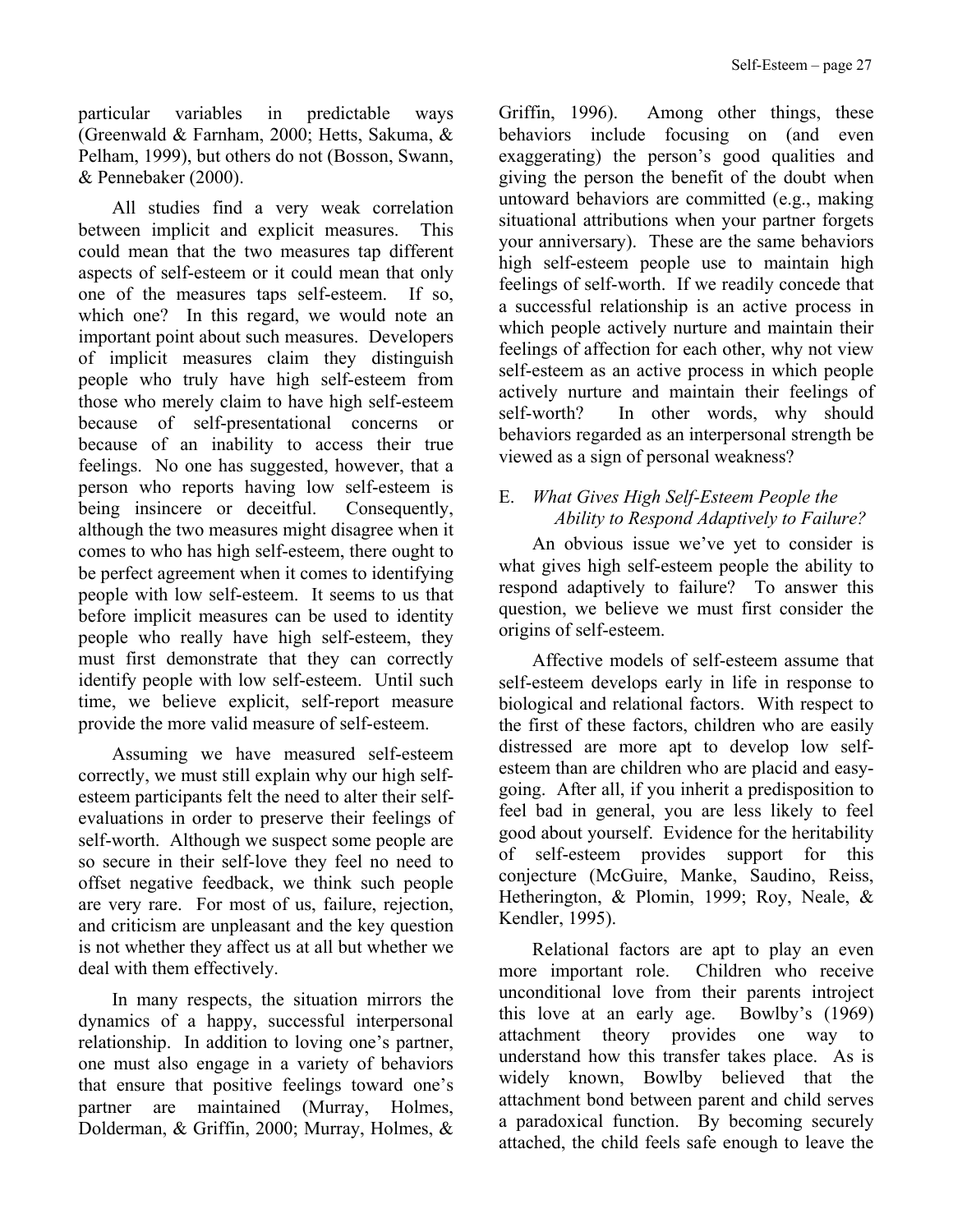<span id="page-26-0"></span>particular variables in predictable ways (Greenwald & Farnham, 2000; Hetts, Sakuma, & Pelham, 1999), but others do not (Bosson, Swann, & Pennebaker (2000).

All studies find a very weak correlation between implicit and explicit measures. This could mean that the two measures tap different aspects of self-esteem or it could mean that only one of the measures taps self-esteem. If so, which one? In this regard, we would note an important point about such measures. Developers of implicit measures claim they distinguish people who truly have high self-esteem from those who merely claim to have high self-esteem because of self-presentational concerns or because of an inability to access their true feelings. No one has suggested, however, that a person who reports having low self-esteem is being insincere or deceitful. Consequently, although the two measures might disagree when it comes to who has high self-esteem, there ought to be perfect agreement when it comes to identifying people with low self-esteem. It seems to us that before implicit measures can be used to identity people who really have high self-esteem, they must first demonstrate that they can correctly identify people with low self-esteem. Until such time, we believe explicit, self-report measure provide the more valid measure of self-esteem.

Assuming we have measured self-esteem correctly, we must still explain why our high selfesteem participants felt the need to alter their selfevaluations in order to preserve their feelings of self-worth. Although we suspect some people are so secure in their self-love they feel no need to offset negative feedback, we think such people are very rare. For most of us, failure, rejection, and criticism are unpleasant and the key question is not whether they affect us at all but whether we deal with them effectively.

In many respects, the situation mirrors the dynamics of a happy, successful interpersonal relationship. In addition to loving one's partner, one must also engage in a variety of behaviors that ensure that positive feelings toward one's partner are maintained (Murray, Holmes, Dolderman, & Griffin, 2000; Murray, Holmes, & Griffin, 1996). Among other things, these behaviors include focusing on (and even exaggerating) the person's good qualities and giving the person the benefit of the doubt when untoward behaviors are committed (e.g., making situational attributions when your partner forgets your anniversary). These are the same behaviors high self-esteem people use to maintain high feelings of self-worth. If we readily concede that a successful relationship is an active process in which people actively nurture and maintain their feelings of affection for each other, why not view self-esteem as an active process in which people actively nurture and maintain their feelings of self-worth? In other words, why should behaviors regarded as an interpersonal strength be viewed as a sign of personal weakness?

## E. *What Gives High Self-Esteem People the Ability to Respond Adaptively to Failure?*

An obvious issue we've yet to consider is what gives high self-esteem people the ability to respond adaptively to failure? To answer this question, we believe we must first consider the origins of self-esteem.

Affective models of self-esteem assume that self-esteem develops early in life in response to biological and relational factors. With respect to the first of these factors, children who are easily distressed are more apt to develop low selfesteem than are children who are placid and easygoing. After all, if you inherit a predisposition to feel bad in general, you are less likely to feel good about yourself. Evidence for the heritability of self-esteem provides support for this conjecture (McGuire, Manke, Saudino, Reiss, Hetherington, & Plomin, 1999; Roy, Neale, & Kendler, 1995).

Relational factors are apt to play an even more important role. Children who receive unconditional love from their parents introject this love at an early age. Bowlby's (1969) attachment theory provides one way to understand how this transfer takes place. As is widely known, Bowlby believed that the attachment bond between parent and child serves a paradoxical function. By becoming securely attached, the child feels safe enough to leave the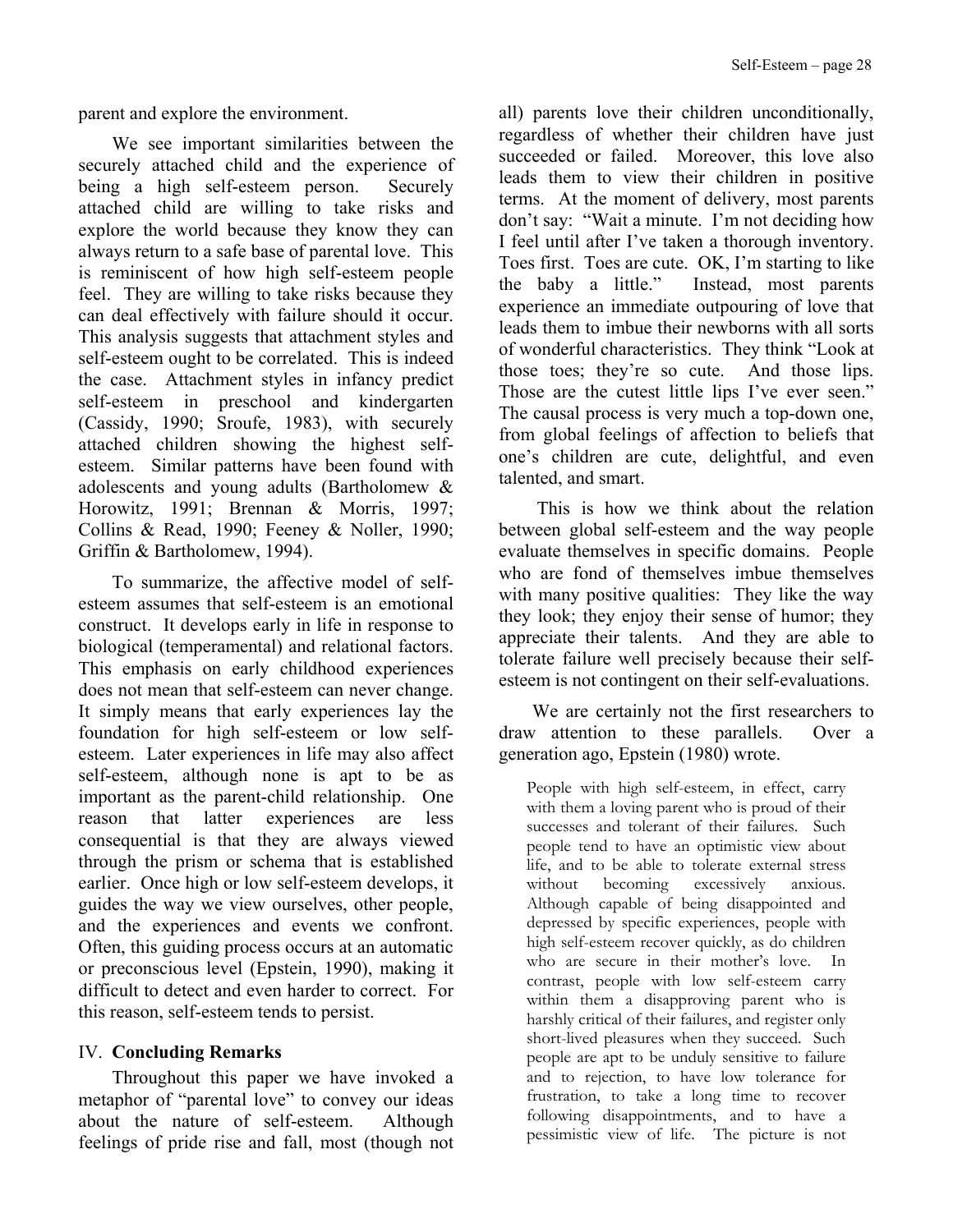<span id="page-27-0"></span>parent and explore the environment.

We see important similarities between the securely attached child and the experience of being a high self-esteem person. Securely attached child are willing to take risks and explore the world because they know they can always return to a safe base of parental love. This is reminiscent of how high self-esteem people feel. They are willing to take risks because they can deal effectively with failure should it occur. This analysis suggests that attachment styles and self-esteem ought to be correlated. This is indeed the case. Attachment styles in infancy predict self-esteem in preschool and kindergarten (Cassidy, 1990; Sroufe, 1983), with securely attached children showing the highest selfesteem. Similar patterns have been found with adolescents and young adults (Bartholomew & Horowitz, 1991; Brennan & Morris, 1997; Collins & Read, 1990; Feeney & Noller, 1990; Griffin & Bartholomew, 1994).

To summarize, the affective model of selfesteem assumes that self-esteem is an emotional construct. It develops early in life in response to biological (temperamental) and relational factors. This emphasis on early childhood experiences does not mean that self-esteem can never change. It simply means that early experiences lay the foundation for high self-esteem or low selfesteem. Later experiences in life may also affect self-esteem, although none is apt to be as important as the parent-child relationship. One reason that latter experiences are less consequential is that they are always viewed through the prism or schema that is established earlier. Once high or low self-esteem develops, it guides the way we view ourselves, other people, and the experiences and events we confront. Often, this guiding process occurs at an automatic or preconscious level (Epstein, 1990), making it difficult to detect and even harder to correct. For this reason, self-esteem tends to persist.

# IV. **Concluding Remarks**

Throughout this paper we have invoked a metaphor of "parental love" to convey our ideas about the nature of self-esteem. Although feelings of pride rise and fall, most (though not

all) parents love their children unconditionally, regardless of whether their children have just succeeded or failed. Moreover, this love also leads them to view their children in positive terms. At the moment of delivery, most parents don't say: "Wait a minute. I'm not deciding how I feel until after I've taken a thorough inventory. Toes first. Toes are cute. OK, I'm starting to like the baby a little." Instead, most parents experience an immediate outpouring of love that leads them to imbue their newborns with all sorts of wonderful characteristics. They think "Look at those toes; they're so cute. And those lips. Those are the cutest little lips I've ever seen." The causal process is very much a top-down one, from global feelings of affection to beliefs that one's children are cute, delightful, and even talented, and smart.

 This is how we think about the relation between global self-esteem and the way people evaluate themselves in specific domains. People who are fond of themselves imbue themselves with many positive qualities: They like the way they look; they enjoy their sense of humor; they appreciate their talents. And they are able to tolerate failure well precisely because their selfesteem is not contingent on their self-evaluations.

We are certainly not the first researchers to draw attention to these parallels. Over a generation ago, Epstein (1980) wrote.

People with high self-esteem, in effect, carry with them a loving parent who is proud of their successes and tolerant of their failures. Such people tend to have an optimistic view about life, and to be able to tolerate external stress without becoming excessively anxious. Although capable of being disappointed and depressed by specific experiences, people with high self-esteem recover quickly, as do children who are secure in their mother's love. In contrast, people with low self-esteem carry within them a disapproving parent who is harshly critical of their failures, and register only short-lived pleasures when they succeed. Such people are apt to be unduly sensitive to failure and to rejection, to have low tolerance for frustration, to take a long time to recover following disappointments, and to have a pessimistic view of life. The picture is not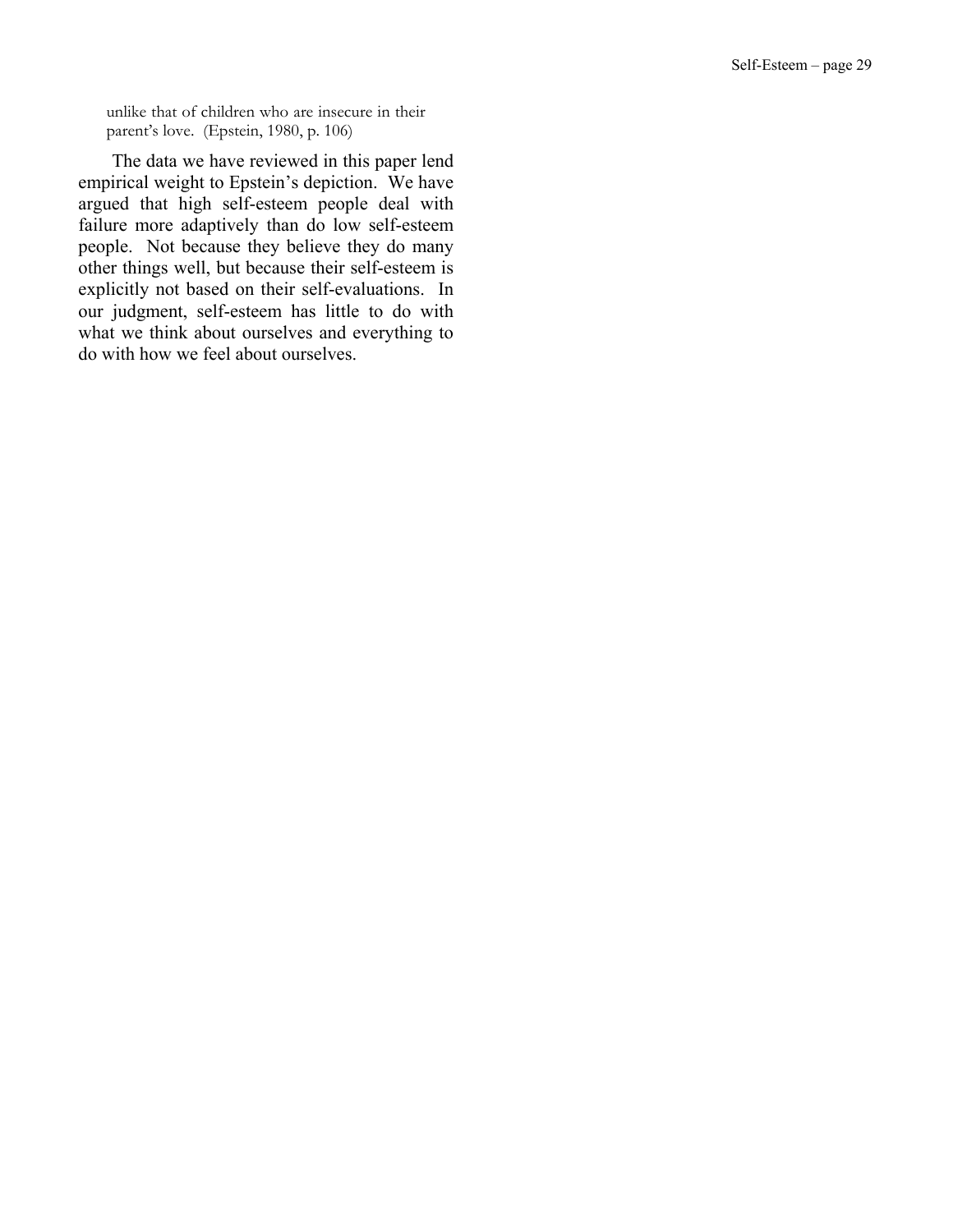unlike that of children who are insecure in their parent's love. (Epstein, 1980, p. 106)

The data we have reviewed in this paper lend empirical weight to Epstein's depiction. We have argued that high self-esteem people deal with failure more adaptively than do low self-esteem people. Not because they believe they do many other things well, but because their self-esteem is explicitly not based on their self-evaluations. In our judgment, self-esteem has little to do with what we think about ourselves and everything to do with how we feel about ourselves.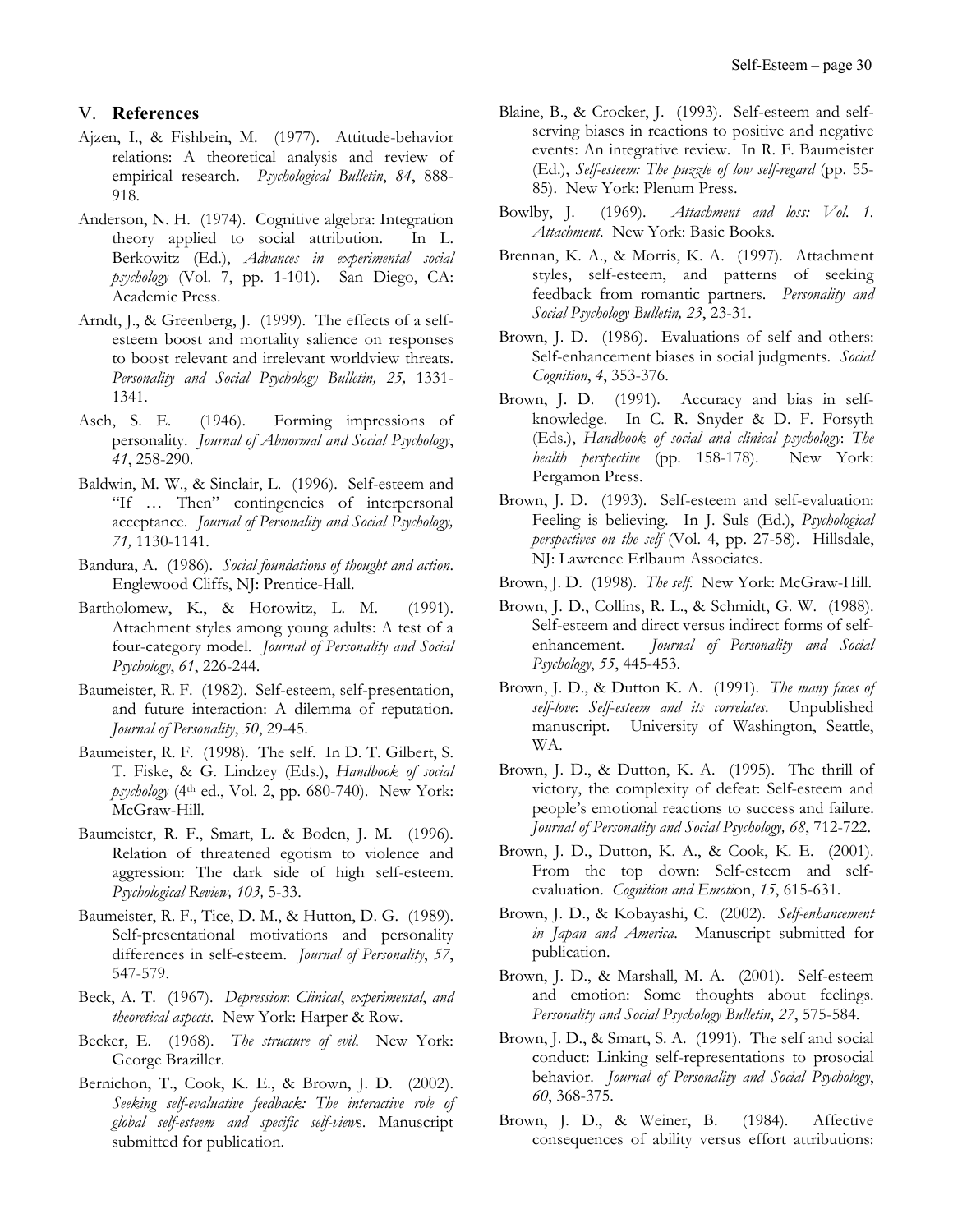#### <span id="page-29-0"></span>V. **References**

- Ajzen, I., & Fishbein, M. (1977). Attitude-behavior relations: A theoretical analysis and review of empirical research. *Psychological Bulletin*, *84*, 888- 918.
- Anderson, N. H. (1974). Cognitive algebra: Integration theory applied to social attribution. In L. Berkowitz (Ed.), *Advances in experimental social psychology* (Vol. 7, pp. 1-101). San Diego, CA: Academic Press.
- Arndt, J., & Greenberg, J. (1999). The effects of a selfesteem boost and mortality salience on responses to boost relevant and irrelevant worldview threats. *Personality and Social Psychology Bulletin, 25,* 1331- 1341.
- Asch, S. E. (1946). Forming impressions of personality. *Journal of Abnormal and Social Psychology*, *41*, 258-290.
- Baldwin, M. W., & Sinclair, L. (1996). Self-esteem and "If … Then" contingencies of interpersonal acceptance. *Journal of Personality and Social Psychology, 71,* 1130-1141.
- Bandura, A. (1986). *Social foundations of thought and action*. Englewood Cliffs, NJ: Prentice-Hall.
- Bartholomew, K., & Horowitz, L. M. (1991). Attachment styles among young adults: A test of a four-category model. *Journal of Personality and Social Psychology*, *61*, 226-244.
- Baumeister, R. F. (1982). Self-esteem, self-presentation, and future interaction: A dilemma of reputation. *Journal of Personality*, *50*, 29-45.
- Baumeister, R. F. (1998). The self. In D. T. Gilbert, S. T. Fiske, & G. Lindzey (Eds.), *Handbook of social psychology* (4th ed., Vol. 2, pp. 680-740). New York: McGraw-Hill.
- Baumeister, R. F., Smart, L. & Boden, J. M. (1996). Relation of threatened egotism to violence and aggression: The dark side of high self-esteem. *Psychological Review, 103,* 5-33.
- Baumeister, R. F., Tice, D. M., & Hutton, D. G. (1989). Self-presentational motivations and personality differences in self-esteem. *Journal of Personality*, *57*, 547-579.
- Beck, A. T. (1967). *Depression*: *Clinical*, *experimental*, *and theoretical aspects*. New York: Harper & Row.
- Becker, E. (1968). *The structure of evil*. New York: George Braziller.
- Bernichon, T., Cook, K. E., & Brown, J. D. (2002). *Seeking self-evaluative feedback: The interactive role of global self-esteem and specific self-view*s. Manuscript submitted for publication.
- Blaine, B., & Crocker, J. (1993). Self-esteem and selfserving biases in reactions to positive and negative events: An integrative review. In R. F. Baumeister (Ed.), *Self-esteem: The puzzle of low self-regard* (pp. 55- 85). New York: Plenum Press.
- Bowlby, J. (1969). *Attachment and loss: Vol. 1. Attachment*. New York: Basic Books.
- Brennan, K. A., & Morris, K. A. (1997). Attachment styles, self-esteem, and patterns of seeking feedback from romantic partners. *Personality and Social Psychology Bulletin, 23*, 23-31.
- Brown, J. D. (1986). Evaluations of self and others: Self-enhancement biases in social judgments. *Social Cognition*, *4*, 353-376.
- Brown, J. D. (1991). Accuracy and bias in selfknowledge. In C. R. Snyder & D. F. Forsyth (Eds.), *Handbook of social and clinical psychology*: *The health perspective* (pp. 158-178). New York: Pergamon Press.
- Brown, J. D. (1993). Self-esteem and self-evaluation: Feeling is believing. In J. Suls (Ed.), *Psychological perspectives on the self* (Vol. 4, pp. 27-58). Hillsdale, NJ: Lawrence Erlbaum Associates.
- Brown, J. D. (1998). *The self*. New York: McGraw-Hill.
- Brown, J. D., Collins, R. L., & Schmidt, G. W. (1988). Self-esteem and direct versus indirect forms of selfenhancement. *Journal of Personality and Social Psychology*, *55*, 445-453.
- Brown, J. D., & Dutton K. A. (1991). *The many faces of self-love*: *Self*-*esteem and its correlates*. Unpublished manuscript. University of Washington, Seattle, WA.
- Brown, J. D., & Dutton, K. A. (1995). The thrill of victory, the complexity of defeat: Self-esteem and people's emotional reactions to success and failure. *Journal of Personality and Social Psychology, 68*, 712-722.
- Brown, J. D., Dutton, K. A., & Cook, K. E. (2001). From the top down: Self-esteem and selfevaluation. *Cognition and Emoti*on, *15*, 615-631.
- Brown, J. D., & Kobayashi, C. (2002). *Self-enhancement in Japan and America*. Manuscript submitted for publication.
- Brown, J. D., & Marshall, M. A. (2001). Self-esteem and emotion: Some thoughts about feelings. *Personality and Social Psychology Bulletin*, *27*, 575-584.
- Brown, J. D., & Smart, S. A. (1991). The self and social conduct: Linking self-representations to prosocial behavior. *Journal of Personality and Social Psychology*, *60*, 368-375.
- Brown, J. D., & Weiner, B. (1984). Affective consequences of ability versus effort attributions: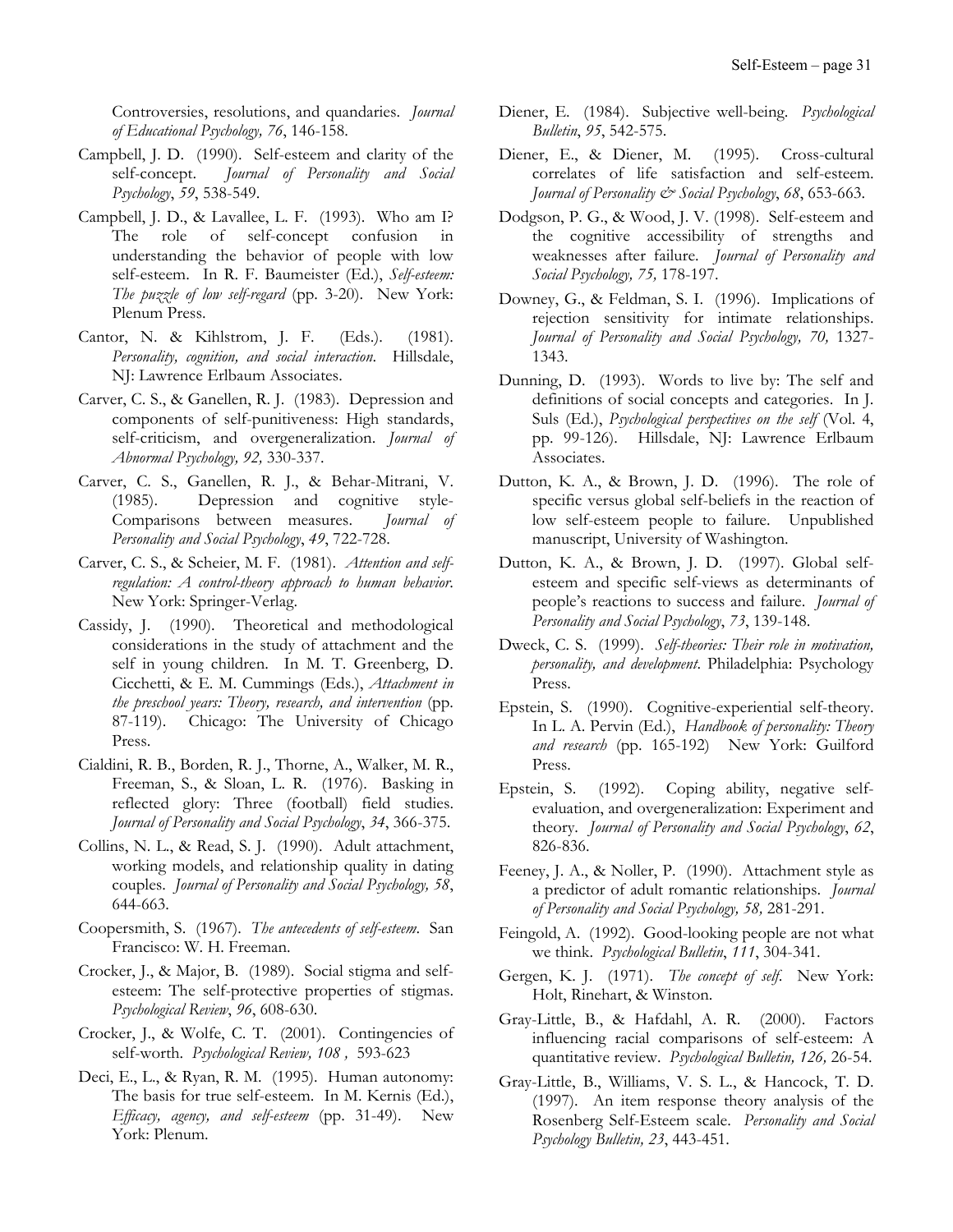Controversies, resolutions, and quandaries. *Journal of Educational Psychology, 76*, 146-158.

- Campbell, J. D. (1990). Self-esteem and clarity of the self-concept. *Journal of Personality and Social Psychology*, *59*, 538-549.
- Campbell, J. D., & Lavallee, L. F. (1993). Who am I? The role of self-concept confusion in understanding the behavior of people with low self-esteem. In R. F. Baumeister (Ed.), *Self-esteem: The puzzle of low self-regard* (pp. 3-20). New York: Plenum Press.
- Cantor, N. & Kihlstrom, J. F. (Eds.). (1981). *Personality, cognition, and social interaction*. Hillsdale, NJ: Lawrence Erlbaum Associates.
- Carver, C. S., & Ganellen, R. J. (1983). Depression and components of self-punitiveness: High standards, self-criticism, and overgeneralization. *Journal of Abnormal Psychology, 92,* 330-337.
- Carver, C. S., Ganellen, R. J., & Behar-Mitrani, V. (1985). Depression and cognitive style-Comparisons between measures. *Journal of Personality and Social Psychology*, *49*, 722-728.
- Carver, C. S., & Scheier, M. F. (1981). *Attention and selfregulation: A control-theory approach to human behavior*. New York: Springer-Verlag.
- Cassidy, J. (1990). Theoretical and methodological considerations in the study of attachment and the self in young children. In M. T. Greenberg, D. Cicchetti, & E. M. Cummings (Eds.), *Attachment in the preschool years: Theory, research, and intervention* (pp. 87-119). Chicago: The University of Chicago Press.
- Cialdini, R. B., Borden, R. J., Thorne, A., Walker, M. R., Freeman, S., & Sloan, L. R. (1976). Basking in reflected glory: Three (football) field studies. *Journal of Personality and Social Psychology*, *34*, 366-375.
- Collins, N. L., & Read, S. J. (1990). Adult attachment, working models, and relationship quality in dating couples. *Journal of Personality and Social Psychology, 58*, 644-663.
- Coopersmith, S. (1967). *The antecedents of self-esteem*. San Francisco: W. H. Freeman.
- Crocker, J., & Major, B. (1989). Social stigma and selfesteem: The self-protective properties of stigmas. *Psychological Review*, *96*, 608-630.
- Crocker, J., & Wolfe, C. T. (2001). Contingencies of self-worth. *Psychological Review, 108 ,* 593-623
- Deci, E., L., & Ryan, R. M. (1995). Human autonomy: The basis for true self-esteem. In M. Kernis (Ed.), *Efficacy, agency, and self-esteem* (pp. 31-49). New York: Plenum.
- Diener, E. (1984). Subjective well-being. *Psychological Bulletin*, *95*, 542-575.
- Diener, E., & Diener, M. (1995). Cross-cultural correlates of life satisfaction and self-esteem. *Journal of Personality & Social Psychology*, *68*, 653-663.
- Dodgson, P. G., & Wood, J. V. (1998). Self-esteem and the cognitive accessibility of strengths and weaknesses after failure. *Journal of Personality and Social Psychology, 75,* 178-197.
- Downey, G., & Feldman, S. I. (1996). Implications of rejection sensitivity for intimate relationships. *Journal of Personality and Social Psychology, 70,* 1327- 1343.
- Dunning, D. (1993). Words to live by: The self and definitions of social concepts and categories. In J. Suls (Ed.), *Psychological perspectives on the self* (Vol. 4, pp. 99-126). Hillsdale, NJ: Lawrence Erlbaum Associates.
- Dutton, K. A., & Brown, J. D. (1996). The role of specific versus global self-beliefs in the reaction of low self-esteem people to failure. Unpublished manuscript, University of Washington.
- Dutton, K. A., & Brown, J. D. (1997). Global selfesteem and specific self-views as determinants of people's reactions to success and failure. *Journal of Personality and Social Psychology*, *73*, 139-148.
- Dweck, C. S. (1999). *Self-theories: Their role in motivation, personality, and development*. Philadelphia: Psychology Press.
- Epstein, S. (1990). Cognitive-experiential self-theory. In L. A. Pervin (Ed.), *Handbook of personality: Theory and research* (pp. 165-192) New York: Guilford Press.
- Epstein, S. (1992). Coping ability, negative selfevaluation, and overgeneralization: Experiment and theory. *Journal of Personality and Social Psychology*, *62*, 826-836.
- Feeney, J. A., & Noller, P. (1990). Attachment style as a predictor of adult romantic relationships. *Journal of Personality and Social Psychology, 58,* 281-291.
- Feingold, A. (1992). Good-looking people are not what we think. *Psychological Bulletin*, *111*, 304-341.
- Gergen, K. J. (1971). *The concept of self*. New York: Holt, Rinehart, & Winston.
- Gray-Little, B., & Hafdahl, A. R. (2000). Factors influencing racial comparisons of self-esteem: A quantitative review. *Psychological Bulletin, 126,* 26-54.
- Gray-Little, B., Williams, V. S. L., & Hancock, T. D. (1997). An item response theory analysis of the Rosenberg Self-Esteem scale. *Personality and Social Psychology Bulletin, 23*, 443-451.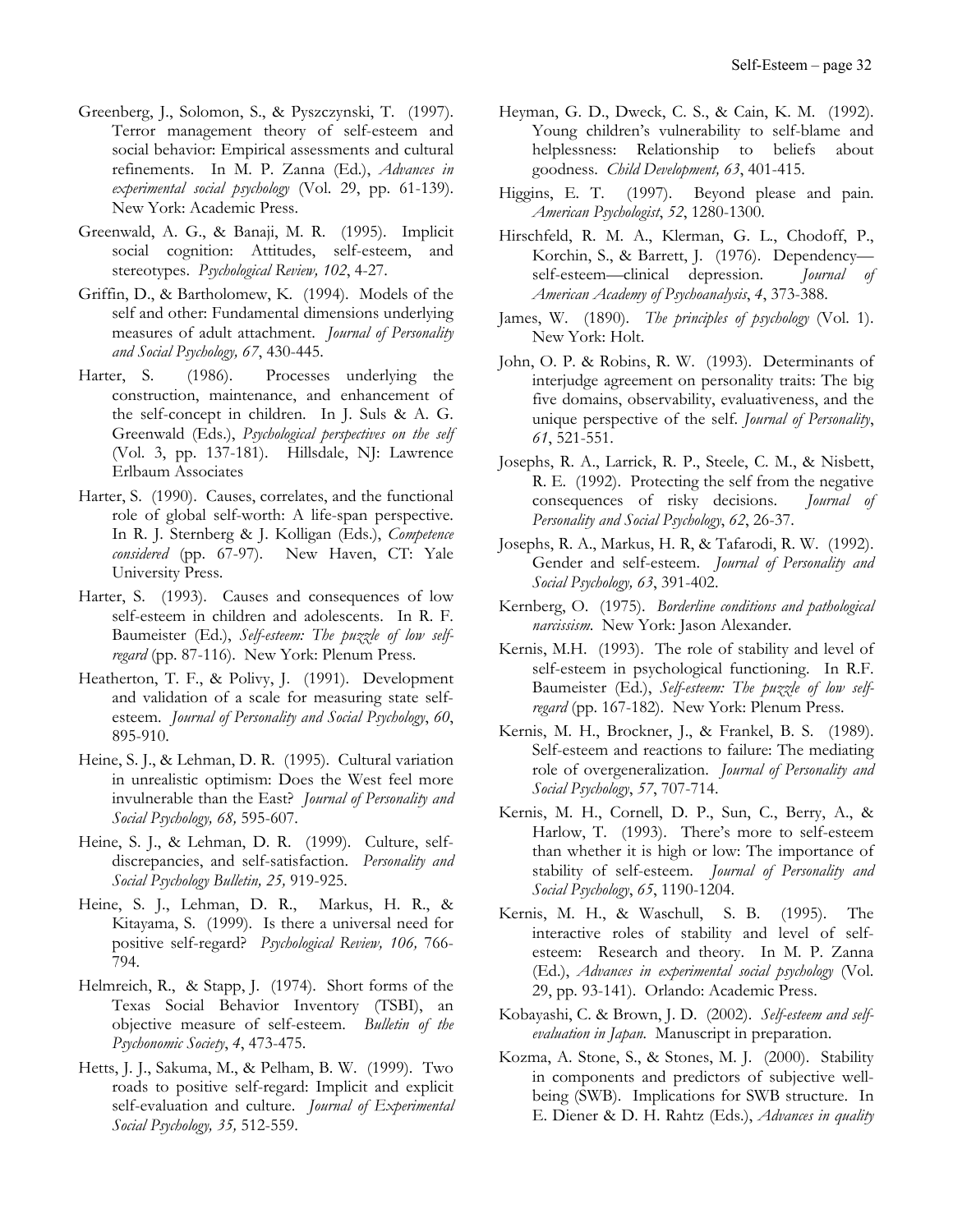- Greenberg, J., Solomon, S., & Pyszczynski, T. (1997). Terror management theory of self-esteem and social behavior: Empirical assessments and cultural refinements. In M. P. Zanna (Ed.), *Advances in experimental social psychology* (Vol. 29, pp. 61-139). New York: Academic Press.
- Greenwald, A. G., & Banaji, M. R. (1995). Implicit social cognition: Attitudes, self-esteem, and stereotypes. *Psychological Review, 102*, 4-27.
- Griffin, D., & Bartholomew, K. (1994). Models of the self and other: Fundamental dimensions underlying measures of adult attachment. *Journal of Personality and Social Psychology, 67*, 430-445.
- Harter, S. (1986). Processes underlying the construction, maintenance, and enhancement of the self-concept in children. In J. Suls & A. G. Greenwald (Eds.), *Psychological perspectives on the self* (Vol. 3, pp. 137-181). Hillsdale, NJ: Lawrence Erlbaum Associates
- Harter, S. (1990). Causes, correlates, and the functional role of global self-worth: A life-span perspective. In R. J. Sternberg & J. Kolligan (Eds.), *Competence considered* (pp. 67-97). New Haven, CT: Yale University Press.
- Harter, S. (1993). Causes and consequences of low self-esteem in children and adolescents. In R. F. Baumeister (Ed.), *Self-esteem: The puzzle of low selfregard* (pp. 87-116). New York: Plenum Press.
- Heatherton, T. F., & Polivy, J. (1991). Development and validation of a scale for measuring state selfesteem. *Journal of Personality and Social Psychology*, *60*, 895-910.
- Heine, S. J., & Lehman, D. R. (1995). Cultural variation in unrealistic optimism: Does the West feel more invulnerable than the East? *Journal of Personality and Social Psychology, 68,* 595-607.
- Heine, S. J., & Lehman, D. R. (1999). Culture, selfdiscrepancies, and self-satisfaction. *Personality and Social Psychology Bulletin, 25,* 919-925.
- Heine, S. J., Lehman, D. R., Markus, H. R., & Kitayama, S. (1999). Is there a universal need for positive self-regard? *Psychological Review, 106,* 766- 794.
- Helmreich, R., & Stapp, J. (1974). Short forms of the Texas Social Behavior Inventory (TSBI), an objective measure of self-esteem. *Bulletin of the Psychonomic Society*, *4*, 473-475.
- Hetts, J. J., Sakuma, M., & Pelham, B. W. (1999). Two roads to positive self-regard: Implicit and explicit self-evaluation and culture. *Journal of Experimental Social Psychology, 35,* 512-559.
- Heyman, G. D., Dweck, C. S., & Cain, K. M. (1992). Young children's vulnerability to self-blame and helplessness: Relationship to beliefs about goodness. *Child Development, 63*, 401-415.
- Higgins, E. T. (1997). Beyond please and pain. *American Psychologist*, *52*, 1280-1300.
- Hirschfeld, R. M. A., Klerman, G. L., Chodoff, P., Korchin, S., & Barrett, J. (1976). Dependency self-esteem—clinical depression. *Journal of American Academy of Psychoanalysis*, *4*, 373-388.
- James, W. (1890). *The principles of psychology* (Vol. 1). New York: Holt.
- John, O. P. & Robins, R. W. (1993). Determinants of interjudge agreement on personality traits: The big five domains, observability, evaluativeness, and the unique perspective of the self. *Journal of Personality*, *61*, 521-551.
- Josephs, R. A., Larrick, R. P., Steele, C. M., & Nisbett, R. E. (1992). Protecting the self from the negative consequences of risky decisions. *Journal of Personality and Social Psychology*, *62*, 26-37.
- Josephs, R. A., Markus, H. R, & Tafarodi, R. W. (1992). Gender and self-esteem. *Journal of Personality and Social Psychology, 63*, 391-402.
- Kernberg, O. (1975). *Borderline conditions and pathological narcissism*. New York: Jason Alexander.
- Kernis, M.H. (1993). The role of stability and level of self-esteem in psychological functioning. In R.F. Baumeister (Ed.), *Self-esteem: The puzzle of low selfregard* (pp. 167-182). New York: Plenum Press.
- Kernis, M. H., Brockner, J., & Frankel, B. S. (1989). Self-esteem and reactions to failure: The mediating role of overgeneralization. *Journal of Personality and Social Psychology*, *57*, 707-714.
- Kernis, M. H., Cornell, D. P., Sun, C., Berry, A., & Harlow, T. (1993). There's more to self-esteem than whether it is high or low: The importance of stability of self-esteem. *Journal of Personality and Social Psychology*, *65*, 1190-1204.
- Kernis, M. H., & Waschull, S. B. (1995). The interactive roles of stability and level of selfesteem: Research and theory. In M. P. Zanna (Ed.), *Advances in experimental social psychology* (Vol. 29, pp. 93-141). Orlando: Academic Press.
- Kobayashi, C. & Brown, J. D. (2002). *Self-esteem and selfevaluation in Japan.* Manuscript in preparation.
- Kozma, A. Stone, S., & Stones, M. J. (2000). Stability in components and predictors of subjective wellbeing (SWB). Implications for SWB structure. In E. Diener & D. H. Rahtz (Eds.), *Advances in quality*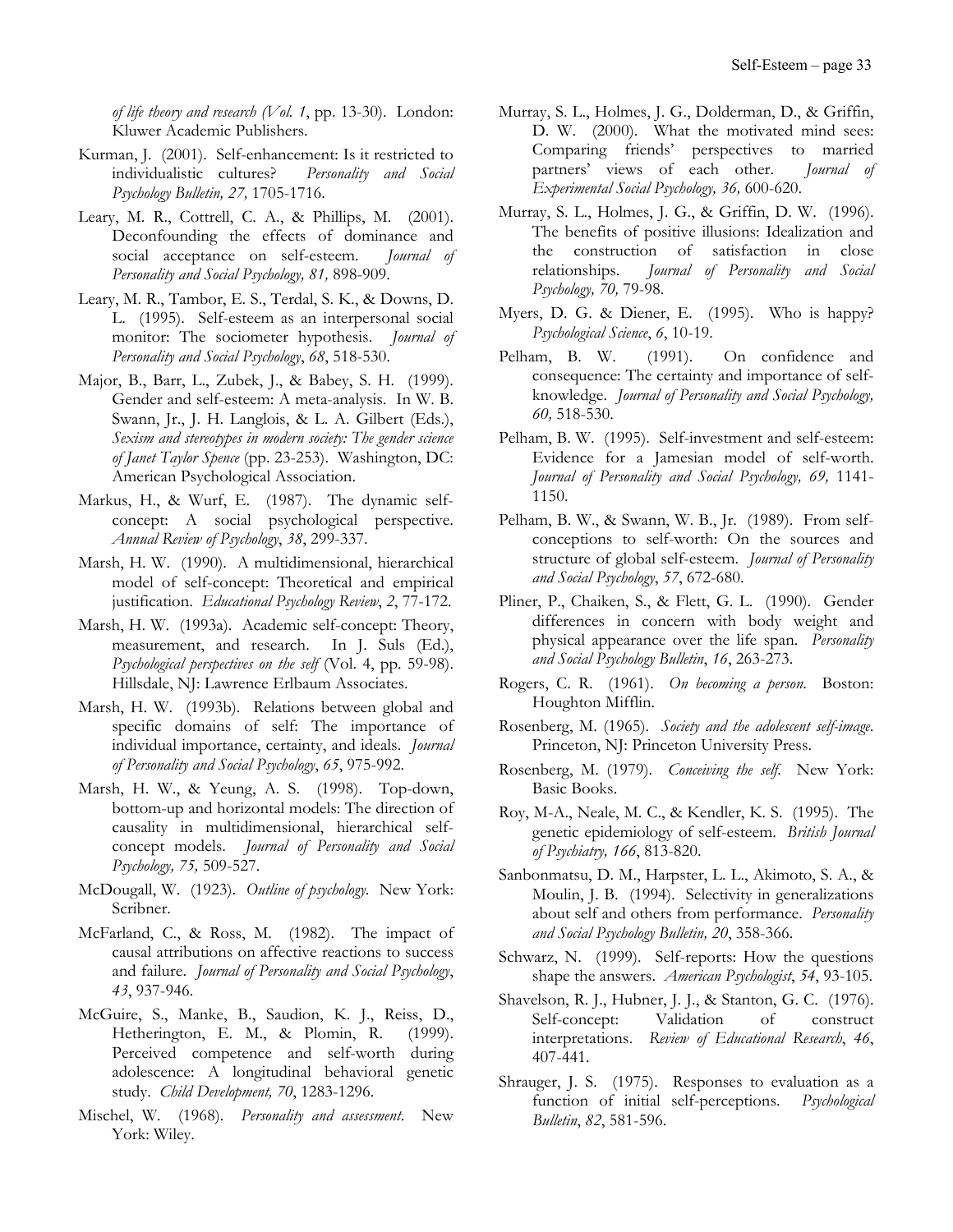*of life theory and research (Vol. 1*, pp. 13-30). London: Kluwer Academic Publishers.

- Kurman, J. (2001). Self-enhancement: Is it restricted to individualistic cultures? *Personality and Social Psychology Bulletin, 27,* 1705-1716.
- Leary, M. R., Cottrell, C. A., & Phillips, M. (2001). Deconfounding the effects of dominance and social acceptance on self-esteem. *Journal of Personality and Social Psychology, 81,* 898-909.
- Leary, M. R., Tambor, E. S., Terdal, S. K., & Downs, D. L. (1995). Self-esteem as an interpersonal social monitor: The sociometer hypothesis. *Journal of Personality and Social Psychology*, *68*, 518-530.
- Major, B., Barr, L., Zubek, J., & Babey, S. H. (1999). Gender and self-esteem: A meta-analysis. In W. B. Swann, Jr., J. H. Langlois, & L. A. Gilbert (Eds.), *Sexism and stereotypes in modern society: The gender science of Janet Taylor Spence* (pp. 23-253). Washington, DC: American Psychological Association.
- Markus, H., & Wurf, E. (1987). The dynamic selfconcept: A social psychological perspective. *Annual Review of Psychology*, *38*, 299-337.
- Marsh, H. W. (1990). A multidimensional, hierarchical model of self-concept: Theoretical and empirical justification. *Educational Psychology Review*, *2*, 77-172.
- Marsh, H. W. (1993a). Academic self-concept: Theory, measurement, and research. In J. Suls (Ed.), *Psychological perspectives on the self* (Vol. 4, pp. 59-98). Hillsdale, NJ: Lawrence Erlbaum Associates.
- Marsh, H. W. (1993b). Relations between global and specific domains of self: The importance of individual importance, certainty, and ideals. *Journal of Personality and Social Psychology*, *65*, 975-992.
- Marsh, H. W., & Yeung, A. S. (1998). Top-down, bottom-up and horizontal models: The direction of causality in multidimensional, hierarchical selfconcept models. *Journal of Personality and Social Psychology, 75,* 509-527.
- McDougall, W. (1923). *Outline of psychology*. New York: Scribner.
- McFarland, C., & Ross, M. (1982). The impact of causal attributions on affective reactions to success and failure. *Journal of Personality and Social Psychology*, *43*, 937-946.
- McGuire, S., Manke, B., Saudion, K. J., Reiss, D., Hetherington, E. M., & Plomin, R. (1999). Perceived competence and self-worth during adolescence: A longitudinal behavioral genetic study. *Child Development, 70*, 1283-1296.
- Mischel, W. (1968). *Personality and assessment*. New York: Wiley.
- Murray, S. L., Holmes, J. G., Dolderman, D., & Griffin, D. W. (2000). What the motivated mind sees: Comparing friends' perspectives to married partners' views of each other. *Journal of Experimental Social Psychology, 36,* 600-620.
- Murray, S. L., Holmes, J. G., & Griffin, D. W. (1996). The benefits of positive illusions: Idealization and the construction of satisfaction in close relationships. *Journal of Personality and Social Psychology, 70,* 79-98.
- Myers, D. G. & Diener, E. (1995). Who is happy? *Psychological Science*, *6*, 10-19.
- Pelham, B. W. (1991). On confidence and consequence: The certainty and importance of selfknowledge. *Journal of Personality and Social Psychology, 60,* 518-530.
- Pelham, B. W. (1995). Self-investment and self-esteem: Evidence for a Jamesian model of self-worth. *Journal of Personality and Social Psychology, 69,* 1141- 1150.
- Pelham, B. W., & Swann, W. B., Jr. (1989). From selfconceptions to self-worth: On the sources and structure of global self-esteem. *Journal of Personality and Social Psychology*, *57*, 672-680.
- Pliner, P., Chaiken, S., & Flett, G. L. (1990). Gender differences in concern with body weight and physical appearance over the life span. *Personality and Social Psychology Bulletin*, *16*, 263-273.
- Rogers, C. R. (1961). *On becoming a person*. Boston: Houghton Mifflin.
- Rosenberg, M. (1965). *Society and the adolescent self-image*. Princeton, NJ: Princeton University Press.
- Rosenberg, M. (1979). *Conceiving the self*. New York: Basic Books.
- Roy, M-A., Neale, M. C., & Kendler, K. S. (1995). The genetic epidemiology of self-esteem. *British Journal of Psychiatry, 166*, 813-820.
- Sanbonmatsu, D. M., Harpster, L. L., Akimoto, S. A., & Moulin, J. B. (1994). Selectivity in generalizations about self and others from performance. *Personality and Social Psychology Bulletin, 20*, 358-366.
- Schwarz, N. (1999). Self-reports: How the questions shape the answers. *American Psychologist*, *54*, 93-105.
- Shavelson, R. J., Hubner, J. J., & Stanton, G. C. (1976). Self-concept: Validation of construct interpretations. *Review of Educational Research*, *46*, 407-441.
- Shrauger, J. S. (1975). Responses to evaluation as a function of initial self-perceptions. *Psychological Bulletin*, *82*, 581-596.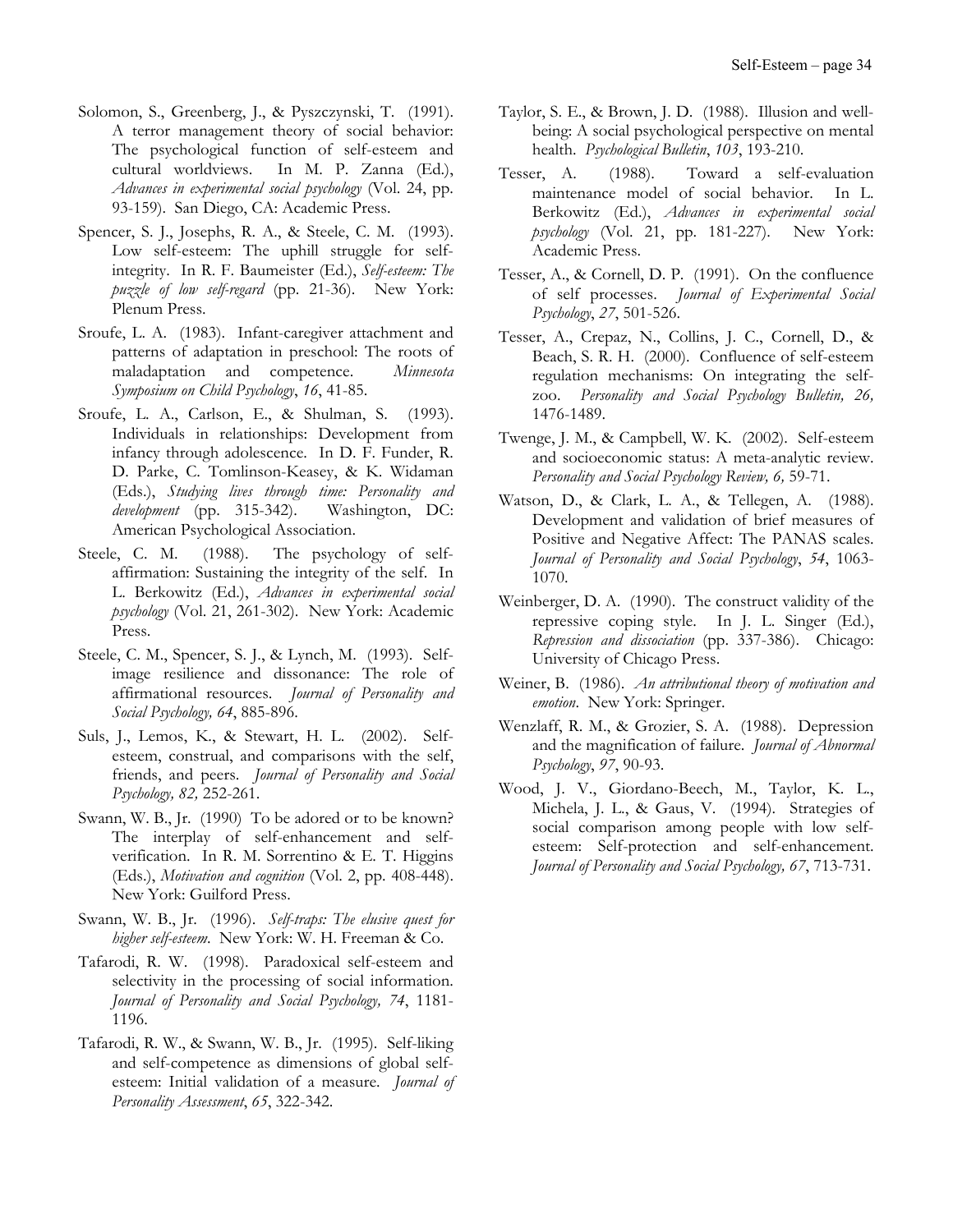- Solomon, S., Greenberg, J., & Pyszczynski, T. (1991). A terror management theory of social behavior: The psychological function of self-esteem and cultural worldviews. In M. P. Zanna (Ed.), *Advances in experimental social psychology* (Vol. 24, pp. 93-159). San Diego, CA: Academic Press.
- Spencer, S. J., Josephs, R. A., & Steele, C. M. (1993). Low self-esteem: The uphill struggle for selfintegrity. In R. F. Baumeister (Ed.), *Self-esteem: The puzzle of low self-regard* (pp. 21-36). New York: Plenum Press.
- Sroufe, L. A. (1983). Infant-caregiver attachment and patterns of adaptation in preschool: The roots of maladaptation and competence. *Minnesota Symposium on Child Psychology*, *16*, 41-85.
- Sroufe, L. A., Carlson, E., & Shulman, S. (1993). Individuals in relationships: Development from infancy through adolescence. In D. F. Funder, R. D. Parke, C. Tomlinson-Keasey, & K. Widaman (Eds.), *Studying lives through time: Personality and development* (pp. 315-342). Washington, DC: American Psychological Association.
- Steele, C. M. (1988). The psychology of selfaffirmation: Sustaining the integrity of the self. In L. Berkowitz (Ed.), *Advances in experimental social psychology* (Vol. 21, 261-302). New York: Academic Press.
- Steele, C. M., Spencer, S. J., & Lynch, M. (1993). Selfimage resilience and dissonance: The role of affirmational resources. *Journal of Personality and Social Psychology, 64*, 885-896.
- Suls, J., Lemos, K., & Stewart, H. L. (2002). Selfesteem, construal, and comparisons with the self, friends, and peers. *Journal of Personality and Social Psychology, 82,* 252-261.
- Swann, W. B., Jr. (1990) To be adored or to be known? The interplay of self-enhancement and selfverification. In R. M. Sorrentino & E. T. Higgins (Eds.), *Motivation and cognition* (Vol. 2, pp. 408-448). New York: Guilford Press.
- Swann, W. B., Jr. (1996). *Self-traps: The elusive quest for higher self-esteem*. New York: W. H. Freeman & Co.
- Tafarodi, R. W. (1998). Paradoxical self-esteem and selectivity in the processing of social information. *Journal of Personality and Social Psychology, 74*, 1181- 1196.
- Tafarodi, R. W., & Swann, W. B., Jr. (1995). Self-liking and self-competence as dimensions of global selfesteem: Initial validation of a measure. *Journal of Personality Assessment*, *65*, 322-342.
- Taylor, S. E., & Brown, J. D. (1988). Illusion and wellbeing: A social psychological perspective on mental health. *Psychological Bulletin*, *103*, 193-210.
- Tesser, A. (1988). Toward a self-evaluation maintenance model of social behavior. In L. Berkowitz (Ed.), *Advances in experimental social psychology* (Vol. 21, pp. 181-227). New York: Academic Press.
- Tesser, A., & Cornell, D. P. (1991). On the confluence of self processes. *Journal of Experimental Social Psychology*, *27*, 501-526.
- Tesser, A., Crepaz, N., Collins, J. C., Cornell, D., & Beach, S. R. H. (2000). Confluence of self-esteem regulation mechanisms: On integrating the selfzoo. *Personality and Social Psychology Bulletin, 26,* 1476-1489.
- Twenge, J. M., & Campbell, W. K. (2002). Self-esteem and socioeconomic status: A meta-analytic review. *Personality and Social Psychology Review, 6,* 59-71.
- Watson, D., & Clark, L. A., & Tellegen, A. (1988). Development and validation of brief measures of Positive and Negative Affect: The PANAS scales. *Journal of Personality and Social Psychology*, *54*, 1063- 1070.
- Weinberger, D. A. (1990). The construct validity of the repressive coping style. In J. L. Singer (Ed.), *Repression and dissociation* (pp. 337-386). Chicago: University of Chicago Press.
- Weiner, B. (1986). *An attributional theory of motivation and emotion*. New York: Springer.
- Wenzlaff, R. M., & Grozier, S. A. (1988). Depression and the magnification of failure. *Journal of Abnormal Psychology*, *97*, 90-93.
- Wood, J. V., Giordano-Beech, M., Taylor, K. L., Michela, J. L., & Gaus, V. (1994). Strategies of social comparison among people with low selfesteem: Self-protection and self-enhancement. *Journal of Personality and Social Psychology, 67*, 713-731.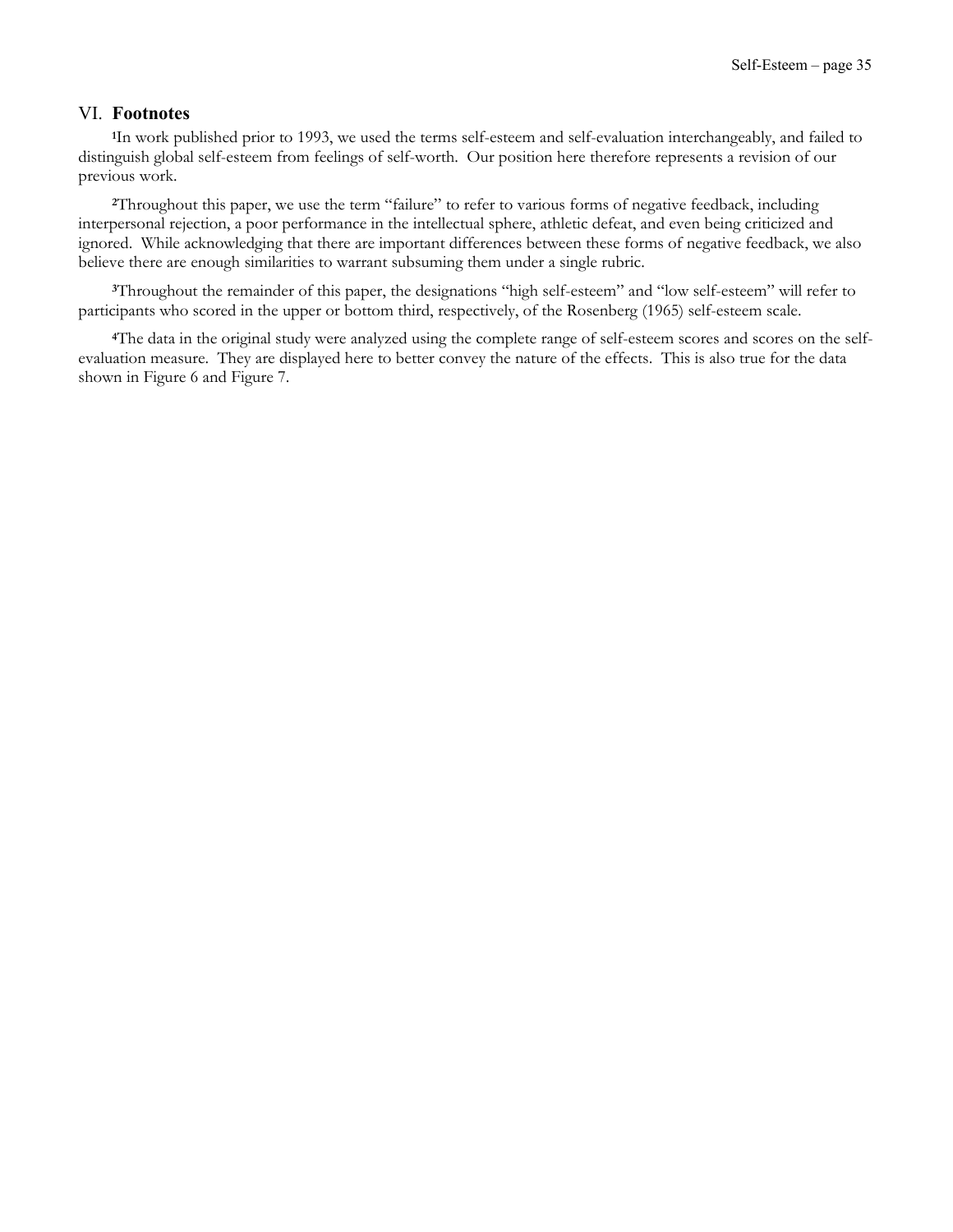#### <span id="page-34-0"></span>VI. **Footnotes**

<span id="page-34-1"></span>**<sup>1</sup>**In work published prior to 1993, we used the terms self-esteem and self-evaluation interchangeably, and failed to distinguish global self-esteem from feelings of self-worth. Our position here therefore represents a revision of our previous work.

<span id="page-34-2"></span>**<sup>2</sup>**Throughout this paper, we use the term "failure" to refer to various forms of negative feedback, including interpersonal rejection, a poor performance in the intellectual sphere, athletic defeat, and even being criticized and ignored. While acknowledging that there are important differences between these forms of negative feedback, we also believe there are enough similarities to warrant subsuming them under a single rubric.

<span id="page-34-3"></span>**<sup>3</sup>**Throughout the remainder of this paper, the designations "high self-esteem" and "low self-esteem" will refer to participants who scored in the upper or bottom third, respectively, of the Rosenberg (1965) self-esteem scale.

<span id="page-34-4"></span>**4**The data in the original study were analyzed using the complete range of self-esteem scores and scores on the selfevaluation measure. They are displayed here to better convey the nature of the effects. This is also true for the data shown in [Figure 6](#page-17-0) and [Figure 7.](#page-17-1)